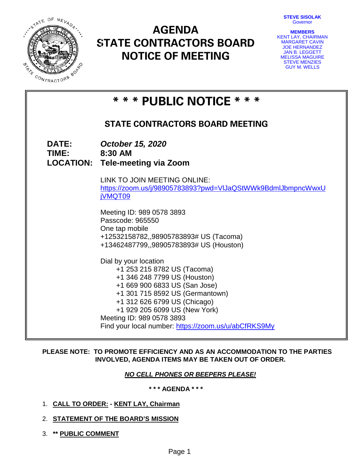**STEVE SISOLAK Governor** 



# **AGENDA STATE CONTRACTORS BOARD NOTICE OF MEETING**

| <b>MEMBERS</b>            |
|---------------------------|
| <b>KENT LAY, CHAIRMAN</b> |
| <b>MARGARET CAVIN</b>     |
| <b>JOE HERNANDEZ</b>      |
| <b>JAN B. LEGGETT</b>     |
| <b>MELISSA MAGUIRE</b>    |
| <b>STEVE MENZIES</b>      |
| <b>GUY M. WELLS</b>       |

|                       | * * * PUBLIC NOTICE * * *                                                                                                                                                                                                                                                                                      |  |  |  |  |
|-----------------------|----------------------------------------------------------------------------------------------------------------------------------------------------------------------------------------------------------------------------------------------------------------------------------------------------------------|--|--|--|--|
|                       | <b>STATE CONTRACTORS BOARD MEETING</b>                                                                                                                                                                                                                                                                         |  |  |  |  |
| <b>DATE:</b><br>TIME: | October 15, 2020<br>8:30 AM<br><b>LOCATION: Tele-meeting via Zoom</b>                                                                                                                                                                                                                                          |  |  |  |  |
|                       | LINK TO JOIN MEETING ONLINE:<br>https://zoom.us/j/98905783893?pwd=VIJaQStWWk9BdmlJbmpncWwxU<br>jVMQT09                                                                                                                                                                                                         |  |  |  |  |
|                       | Meeting ID: 989 0578 3893<br>Passcode: 965550<br>One tap mobile<br>+12532158782,,98905783893# US (Tacoma)<br>+13462487799,,98905783893# US (Houston)                                                                                                                                                           |  |  |  |  |
|                       | Dial by your location<br>+1 253 215 8782 US (Tacoma)<br>+1 346 248 7799 US (Houston)<br>+1 669 900 6833 US (San Jose)<br>+1 301 715 8592 US (Germantown)<br>+1 312 626 6799 US (Chicago)<br>+1 929 205 6099 US (New York)<br>Meeting ID: 989 0578 3893<br>Find your local number: https://zoom.us/u/abCfRKS9My |  |  |  |  |

# **PLEASE NOTE: TO PROMOTE EFFICIENCY AND AS AN ACCOMMODATION TO THE PARTIES INVOLVED, AGENDA ITEMS MAY BE TAKEN OUT OF ORDER.**

# *NO CELL PHONES OR BEEPERS PLEASE!*

**\* \* \* AGENDA \* \* \***

- 1. **CALL TO ORDER: - KENT LAY, Chairman**
- 2. **STATEMENT OF THE BOARD'S MISSION**
- 3. **\*\* PUBLIC COMMENT**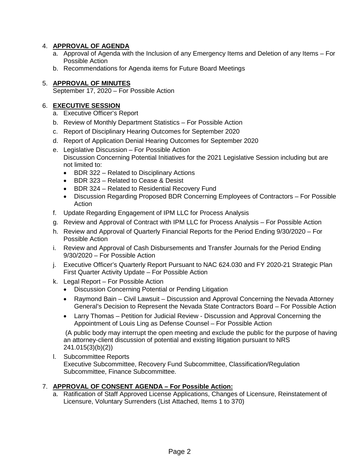# 4. **APPROVAL OF AGENDA**

- a. Approval of Agenda with the Inclusion of any Emergency Items and Deletion of any Items For Possible Action
- b. Recommendations for Agenda items for Future Board Meetings

# 5. **APPROVAL OF MINUTES**

September 17, 2020 – For Possible Action

# 6. **EXECUTIVE SESSION**

- a. Executive Officer's Report
- b. Review of Monthly Department Statistics For Possible Action
- c. Report of Disciplinary Hearing Outcomes for September 2020
- d. Report of Application Denial Hearing Outcomes for September 2020
- e. Legislative Discussion For Possible Action Discussion Concerning Potential Initiatives for the 2021 Legislative Session including but are not limited to:
	- BDR 322 Related to Disciplinary Actions
	- BDR 323 Related to Cease & Desist
	- BDR 324 Related to Residential Recovery Fund
	- Discussion Regarding Proposed BDR Concerning Employees of Contractors For Possible Action
- f. Update Regarding Engagement of IPM LLC for Process Analysis
- g. Review and Approval of Contract with IPM LLC for Process Analysis For Possible Action
- h. Review and Approval of Quarterly Financial Reports for the Period Ending 9/30/2020 For Possible Action
- i. Review and Approval of Cash Disbursements and Transfer Journals for the Period Ending 9/30/2020 – For Possible Action
- j. Executive Officer's Quarterly Report Pursuant to NAC 624.030 and FY 2020-21 Strategic Plan First Quarter Activity Update – For Possible Action
- k. Legal Report For Possible Action
	- Discussion Concerning Potential or Pending Litigation
	- Raymond Bain Civil Lawsuit Discussion and Approval Concerning the Nevada Attorney General's Decision to Represent the Nevada State Contractors Board – For Possible Action
	- Larry Thomas Petition for Judicial Review Discussion and Approval Concerning the Appointment of Louis Ling as Defense Counsel – For Possible Action

(A public body may interrupt the open meeting and exclude the public for the purpose of having an attorney-client discussion of potential and existing litigation pursuant to NRS 241.015(3)(b)(2))

l. Subcommittee Reports Executive Subcommittee, Recovery Fund Subcommittee, Classification/Regulation Subcommittee, Finance Subcommittee.

# 7. **APPROVAL OF CONSENT AGENDA – For Possible Action:**

a. Ratification of Staff Approved License Applications, Changes of Licensure, Reinstatement of Licensure, Voluntary Surrenders (List Attached, Items 1 to 370)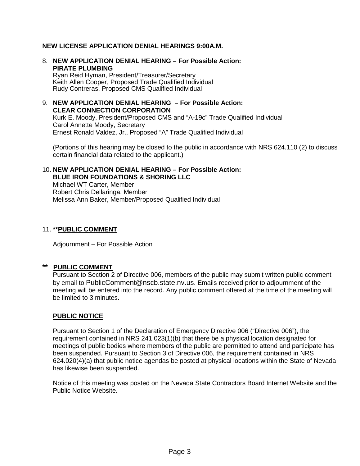# **NEW LICENSE APPLICATION DENIAL HEARINGS 9:00A.M.**

8. **NEW APPLICATION DENIAL HEARING – For Possible Action: PIRATE PLUMBING**

Ryan Reid Hyman, President/Treasurer/Secretary Keith Allen Cooper, Proposed Trade Qualified Individual Rudy Contreras, Proposed CMS Qualified Individual

# 9. **NEW APPLICATION DENIAL HEARING – For Possible Action: CLEAR CONNECTION CORPORATION**

Kurk E. Moody, President/Proposed CMS and "A-19c" Trade Qualified Individual Carol Annette Moody, Secretary Ernest Ronald Valdez, Jr., Proposed "A" Trade Qualified Individual

(Portions of this hearing may be closed to the public in accordance with NRS 624.110 (2) to discuss certain financial data related to the applicant.)

# 10. **NEW APPLICATION DENIAL HEARING – For Possible Action: BLUE IRON FOUNDATIONS & SHORING LLC**

Michael WT Carter, Member Robert Chris Dellaringa, Member Melissa Ann Baker, Member/Proposed Qualified Individual

# 11. **\*\*PUBLIC COMMENT**

Adjournment – For Possible Action

# **\*\* PUBLIC COMMENT**

Pursuant to Section 2 of Directive 006, members of the public may submit written public comment by email to [PublicComment@nscb.state.nv.us.](mailto:PublicComment@nscb.state.nv.us) Emails received prior to adjournment of the meeting will be entered into the record. Any public comment offered at the time of the meeting will be limited to 3 minutes.

# **PUBLIC NOTICE**

Pursuant to Section 1 of the Declaration of Emergency Directive 006 ("Directive 006"), the requirement contained in NRS 241.023(1)(b) that there be a physical location designated for meetings of public bodies where members of the public are permitted to attend and participate has been suspended. Pursuant to Section 3 of Directive 006, the requirement contained in NRS 624.020(4)(a) that public notice agendas be posted at physical locations within the State of Nevada has likewise been suspended.

Notice of this meeting was posted on the Nevada State Contractors Board Internet Website and the Public Notice Website.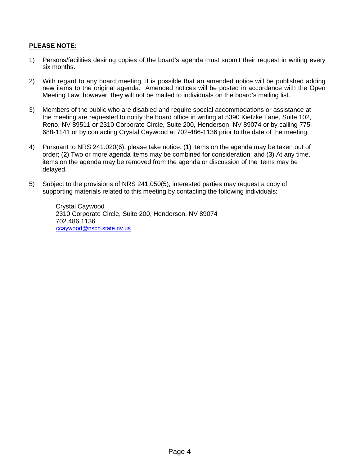# **PLEASE NOTE:**

- 1) Persons/facilities desiring copies of the board's agenda must submit their request in writing every six months.
- 2) With regard to any board meeting, it is possible that an amended notice will be published adding new items to the original agenda. Amended notices will be posted in accordance with the Open Meeting Law: however, they will not be mailed to individuals on the board's mailing list.
- 3) Members of the public who are disabled and require special accommodations or assistance at the meeting are requested to notify the board office in writing at 5390 Kietzke Lane, Suite 102, Reno, NV 89511 or 2310 Corporate Circle, Suite 200, Henderson, NV 89074 or by calling 775- 688-1141 or by contacting Crystal Caywood at 702-486-1136 prior to the date of the meeting.
- 4) Pursuant to NRS 241.020(6), please take notice: (1) Items on the agenda may be taken out of order; (2) Two or more agenda items may be combined for consideration; and (3) At any time, items on the agenda may be removed from the agenda or discussion of the items may be delayed.
- 5) Subject to the provisions of NRS 241.050(5), interested parties may request a copy of supporting materials related to this meeting by contacting the following individuals:

Crystal Caywood 2310 Corporate Circle, Suite 200, Henderson, NV 89074 702.486.1136 [ccaywood@nscb.state.nv.us](mailto:ccaywood@nscb.state.nv.us)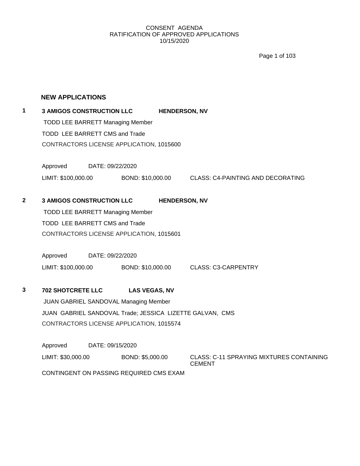Page 1 of 103

# **NEW APPLICATIONS**

# **1 3 AMIGOS CONSTRUCTION LLC HENDERSON, NV** TODD LEE BARRETT Managing Member TODD LEE BARRETT CMS and Trade CONTRACTORS LICENSE APPLICATION, 1015600

Approved DATE: 09/22/2020 LIMIT: \$100,000.00 BOND: \$10,000.00 CLASS: C4-PAINTING AND DECORATING

# **2 3 AMIGOS CONSTRUCTION LLC HENDERSON, NV**

TODD LEE BARRETT Managing Member TODD LEE BARRETT CMS and Trade CONTRACTORS LICENSE APPLICATION, 1015601

Approved DATE: 09/22/2020 LIMIT: \$100,000.00 BOND: \$10,000.00 CLASS: C3-CARPENTRY

# **3 702 SHOTCRETE LLC LAS VEGAS, NV**

JUAN GABRIEL SANDOVAL Managing Member JUAN GABRIEL SANDOVAL Trade; JESSICA LIZETTE GALVAN, CMS CONTRACTORS LICENSE APPLICATION, 1015574

Approved DATE: 09/15/2020

LIMIT: \$30,000.00 BOND: \$5,000.00 CLASS: C-11 SPRAYING MIXTURES CONTAINING **CEMENT** 

CONTINGENT ON PASSING REQUIRED CMS EXAM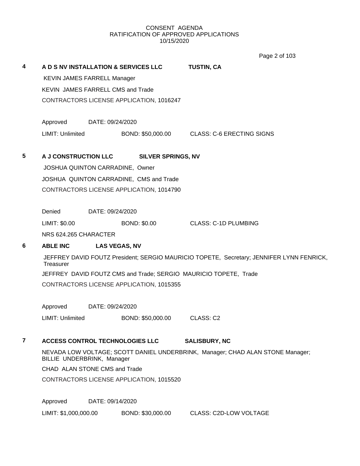Page 2 of 103

|   |                                          |                               |                                          | $1$ ayd $2$ VI 100                                                                       |  |  |  |
|---|------------------------------------------|-------------------------------|------------------------------------------|------------------------------------------------------------------------------------------|--|--|--|
| 4 |                                          |                               | A D S NV INSTALLATION & SERVICES LLC     | <b>TUSTIN, CA</b>                                                                        |  |  |  |
|   | <b>KEVIN JAMES FARRELL Manager</b>       |                               |                                          |                                                                                          |  |  |  |
|   | <b>KEVIN JAMES FARRELL CMS and Trade</b> |                               |                                          |                                                                                          |  |  |  |
|   |                                          |                               | CONTRACTORS LICENSE APPLICATION, 1016247 |                                                                                          |  |  |  |
|   | Approved                                 | DATE: 09/24/2020              |                                          |                                                                                          |  |  |  |
|   | <b>LIMIT: Unlimited</b>                  |                               |                                          | BOND: \$50,000.00 CLASS: C-6 ERECTING SIGNS                                              |  |  |  |
| 5 | A J CONSTRUCTION LLC                     |                               | <b>SILVER SPRINGS, NV</b>                |                                                                                          |  |  |  |
|   | JOSHUA QUINTON CARRADINE, Owner          |                               |                                          |                                                                                          |  |  |  |
|   |                                          |                               | JOSHUA QUINTON CARRADINE, CMS and Trade  |                                                                                          |  |  |  |
|   |                                          |                               | CONTRACTORS LICENSE APPLICATION, 1014790 |                                                                                          |  |  |  |
|   |                                          |                               |                                          |                                                                                          |  |  |  |
|   | Denied<br>LIMIT: \$0.00                  | DATE: 09/24/2020              | <b>BOND: \$0.00</b>                      | CLASS: C-1D PLUMBING                                                                     |  |  |  |
|   | NRS 624.265 CHARACTER                    |                               |                                          |                                                                                          |  |  |  |
|   |                                          |                               |                                          |                                                                                          |  |  |  |
| 6 | <b>ABLE INC</b>                          |                               | <b>LAS VEGAS, NV</b>                     |                                                                                          |  |  |  |
|   | Treasurer                                |                               |                                          | JEFFREY DAVID FOUTZ President; SERGIO MAURICIO TOPETE, Secretary; JENNIFER LYNN FENRICK, |  |  |  |
|   |                                          |                               |                                          | JEFFREY DAVID FOUTZ CMS and Trade; SERGIO MAURICIO TOPETE, Trade                         |  |  |  |
|   |                                          |                               | CONTRACTORS LICENSE APPLICATION, 1015355 |                                                                                          |  |  |  |
|   | Approved                                 | DATE: 09/24/2020              |                                          |                                                                                          |  |  |  |
|   | LIMIT: Unlimited                         |                               | BOND: \$50,000.00                        | CLASS: C2                                                                                |  |  |  |
| 7 |                                          |                               | <b>ACCESS CONTROL TECHNOLOGIES LLC</b>   | <b>SALISBURY, NC</b>                                                                     |  |  |  |
|   | BILLIE UNDERBRINK, Manager               |                               |                                          | NEVADA LOW VOLTAGE; SCOTT DANIEL UNDERBRINK, Manager; CHAD ALAN STONE Manager;           |  |  |  |
|   |                                          | CHAD ALAN STONE CMS and Trade |                                          |                                                                                          |  |  |  |
|   |                                          |                               | CONTRACTORS LICENSE APPLICATION, 1015520 |                                                                                          |  |  |  |
|   | Approved                                 | DATE: 09/14/2020              |                                          |                                                                                          |  |  |  |
|   | LIMIT: \$1,000,000.00                    |                               | BOND: \$30,000.00                        | <b>CLASS: C2D-LOW VOLTAGE</b>                                                            |  |  |  |
|   |                                          |                               |                                          |                                                                                          |  |  |  |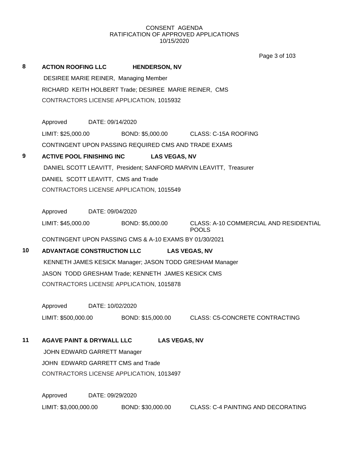Page 3 of 103

| 8  | <b>ACTION ROOFING LLC</b>                              |                  | <b>HENDERSON, NV</b> |                      |                                                                    |
|----|--------------------------------------------------------|------------------|----------------------|----------------------|--------------------------------------------------------------------|
|    | DESIREE MARIE REINER, Managing Member                  |                  |                      |                      |                                                                    |
|    | RICHARD KEITH HOLBERT Trade; DESIREE MARIE REINER, CMS |                  |                      |                      |                                                                    |
|    | CONTRACTORS LICENSE APPLICATION, 1015932               |                  |                      |                      |                                                                    |
|    |                                                        |                  |                      |                      |                                                                    |
|    | Approved                                               | DATE: 09/14/2020 |                      |                      |                                                                    |
|    | LIMIT: \$25,000.00                                     |                  | BOND: \$5,000.00     |                      | CLASS: C-15A ROOFING                                               |
|    |                                                        |                  |                      |                      | CONTINGENT UPON PASSING REQUIRED CMS AND TRADE EXAMS               |
| 9  | <b>ACTIVE POOL FINISHING INC</b>                       |                  |                      | <b>LAS VEGAS, NV</b> |                                                                    |
|    |                                                        |                  |                      |                      | DANIEL SCOTT LEAVITT, President; SANFORD MARVIN LEAVITT, Treasurer |
|    | DANIEL SCOTT LEAVITT, CMS and Trade                    |                  |                      |                      |                                                                    |
|    | CONTRACTORS LICENSE APPLICATION, 1015549               |                  |                      |                      |                                                                    |
|    |                                                        | DATE: 09/04/2020 |                      |                      |                                                                    |
|    | Approved                                               |                  |                      |                      |                                                                    |
|    | LIMIT: \$45,000.00                                     |                  | BOND: \$5,000.00     |                      | CLASS: A-10 COMMERCIAL AND RESIDENTIAL<br><b>POOLS</b>             |
|    | CONTINGENT UPON PASSING CMS & A-10 EXAMS BY 01/30/2021 |                  |                      |                      |                                                                    |
| 10 | <b>ADVANTAGE CONSTRUCTION LLC</b>                      |                  |                      |                      | <b>LAS VEGAS, NV</b>                                               |
|    |                                                        |                  |                      |                      | KENNETH JAMES KESICK Manager; JASON TODD GRESHAM Manager           |
|    | JASON TODD GRESHAM Trade; KENNETH JAMES KESICK CMS     |                  |                      |                      |                                                                    |
|    | CONTRACTORS LICENSE APPLICATION, 1015878               |                  |                      |                      |                                                                    |
|    | Approved                                               | DATE: 10/02/2020 |                      |                      |                                                                    |
|    | LIMIT: \$500,000.00                                    |                  | BOND: \$15,000.00    |                      | <b>CLASS: C5-CONCRETE CONTRACTING</b>                              |
|    |                                                        |                  |                      |                      |                                                                    |
| 11 | <b>AGAVE PAINT &amp; DRYWALL LLC</b>                   |                  |                      | <b>LAS VEGAS, NV</b> |                                                                    |
|    | JOHN EDWARD GARRETT Manager                            |                  |                      |                      |                                                                    |
|    | JOHN EDWARD GARRETT CMS and Trade                      |                  |                      |                      |                                                                    |
|    | CONTRACTORS LICENSE APPLICATION, 1013497               |                  |                      |                      |                                                                    |
|    | Approved                                               | DATE: 09/29/2020 |                      |                      |                                                                    |

LIMIT: \$3,000,000.00 BOND: \$30,000.00 CLASS: C-4 PAINTING AND DECORATING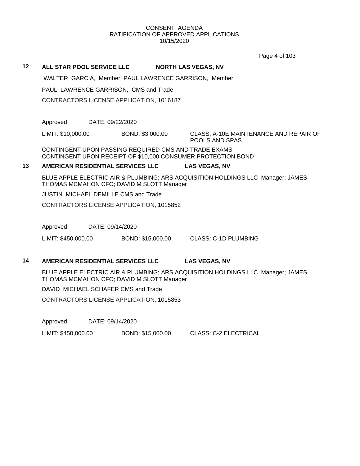Page 4 of 103

## **12 ALL STAR POOL SERVICE LLC NORTH LAS VEGAS, NV**

WALTER GARCIA, Member; PAUL LAWRENCE GARRISON, Member

PAUL LAWRENCE GARRISON, CMS and Trade

CONTRACTORS LICENSE APPLICATION, 1016187

Approved DATE: 09/22/2020

LIMIT: \$10,000.00 BOND: \$3,000.00 CLASS: A-10E MAINTENANCE AND REPAIR OF POOLS AND SPAS

CONTINGENT UPON PASSING REQUIRED CMS AND TRADE EXAMS CONTINGENT UPON RECEIPT OF \$10,000 CONSUMER PROTECTION BOND

# **13 AMERICAN RESIDENTIAL SERVICES LLC LAS VEGAS, NV**

BLUE APPLE ELECTRIC AIR & PLUMBING; ARS ACQUISITION HOLDINGS LLC Manager; JAMES THOMAS MCMAHON CFO; DAVID M SLOTT Manager

JUSTIN MICHAEL DEMILLE CMS and Trade

CONTRACTORS LICENSE APPLICATION, 1015852

Approved DATE: 09/14/2020

LIMIT: \$450,000.00 BOND: \$15,000.00 CLASS: C-1D PLUMBING

# **14 AMERICAN RESIDENTIAL SERVICES LLC LAS VEGAS, NV**

BLUE APPLE ELECTRIC AIR & PLUMBING; ARS ACQUISITION HOLDINGS LLC Manager; JAMES THOMAS MCMAHON CFO; DAVID M SLOTT Manager

DAVID MICHAEL SCHAFER CMS and Trade

CONTRACTORS LICENSE APPLICATION, 1015853

Approved DATE: 09/14/2020

LIMIT: \$450,000.00 BOND: \$15,000.00 CLASS: C-2 ELECTRICAL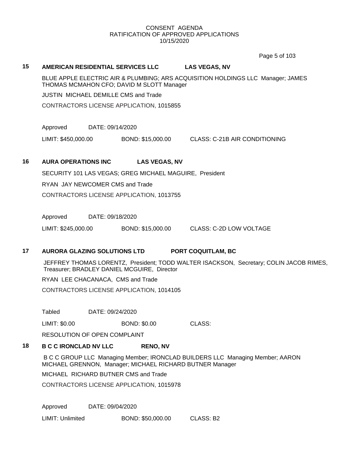Page 5 of 103

## **15 AMERICAN RESIDENTIAL SERVICES LLC LAS VEGAS, NV**

BLUE APPLE ELECTRIC AIR & PLUMBING; ARS ACQUISITION HOLDINGS LLC Manager; JAMES THOMAS MCMAHON CFO; DAVID M SLOTT Manager

JUSTIN MICHAEL DEMILLE CMS and Trade

CONTRACTORS LICENSE APPLICATION, 1015855

Approved DATE: 09/14/2020

LIMIT: \$450,000.00 BOND: \$15,000.00 CLASS: C-21B AIR CONDITIONING

# **16 AURA OPERATIONS INC LAS VEGAS, NV**

SECURITY 101 LAS VEGAS; GREG MICHAEL MAGUIRE, President

RYAN JAY NEWCOMER CMS and Trade

CONTRACTORS LICENSE APPLICATION, 1013755

Approved DATE: 09/18/2020

LIMIT: \$245,000.00 BOND: \$15,000.00 CLASS: C-2D LOW VOLTAGE

# **17 AURORA GLAZING SOLUTIONS LTD PORT COQUITLAM, BC**

JEFFREY THOMAS LORENTZ, President; TODD WALTER ISACKSON, Secretary; COLIN JACOB RIMES, Treasurer; BRADLEY DANIEL MCGUIRE, Director

RYAN LEE CHACANACA, CMS and Trade

CONTRACTORS LICENSE APPLICATION, 1014105

Tabled DATE: 09/24/2020

LIMIT: \$0.00 BOND: \$0.00 CLASS:

RESOLUTION OF OPEN COMPLAINT

# **18 B C C IRONCLAD NV LLC RENO, NV**

B C C GROUP LLC Managing Member; IRONCLAD BUILDERS LLC Managing Member; AARON MICHAEL GRENNON, Manager; MICHAEL RICHARD BUTNER Manager

MICHAEL RICHARD BUTNER CMS and Trade

CONTRACTORS LICENSE APPLICATION, 1015978

Approved DATE: 09/04/2020

LIMIT: Unlimited BOND: \$50,000.00 CLASS: B2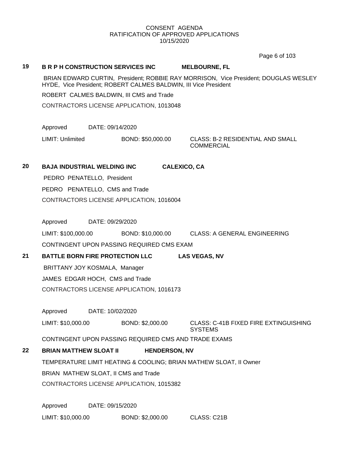Page 6 of 103

## **19 B R P H CONSTRUCTION SERVICES INC MELBOURNE, FL**

BRIAN EDWARD CURTIN, President; ROBBIE RAY MORRISON, Vice President; DOUGLAS WESLEY HYDE, Vice President; ROBERT CALMES BALDWIN, III Vice President

ROBERT CALMES BALDWIN, III CMS and Trade

CONTRACTORS LICENSE APPLICATION, 1013048

Approved DATE: 09/14/2020

LIMIT: Unlimited BOND: \$50,000.00 CLASS: B-2 RESIDENTIAL AND SMALL

COMMERCIAL

# **20 BAJA INDUSTRIAL WELDING INC CALEXICO, CA**

PEDRO PENATELLO, President PEDRO PENATELLO, CMS and Trade CONTRACTORS LICENSE APPLICATION, 1016004

Approved DATE: 09/29/2020

LIMIT: \$100,000.00 BOND: \$10,000.00 CLASS: A GENERAL ENGINEERING

CONTINGENT UPON PASSING REQUIRED CMS EXAM

**21 BATTLE BORN FIRE PROTECTION LLC LAS VEGAS, NV**

BRITTANY JOY KOSMALA, Manager JAMES EDGAR HOCH, CMS and Trade

CONTRACTORS LICENSE APPLICATION, 1016173

Approved DATE: 10/02/2020

LIMIT: \$10,000.00 BOND: \$2,000.00 CLASS: C-41B FIXED FIRE EXTINGUISHING **SYSTEMS** 

CONTINGENT UPON PASSING REQUIRED CMS AND TRADE EXAMS

# **22 BRIAN MATTHEW SLOAT II HENDERSON, NV**

TEMPERATURE LIMIT HEATING & COOLING; BRIAN MATHEW SLOAT, II Owner

BRIAN MATHEW SLOAT, II CMS and Trade

CONTRACTORS LICENSE APPLICATION, 1015382

Approved DATE: 09/15/2020 LIMIT: \$10,000.00 BOND: \$2,000.00 CLASS: C21B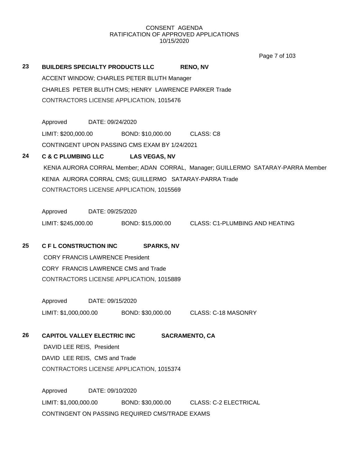Page 7 of 103

| 23 |                                    | <b>BUILDERS SPECIALTY PRODUCTS LLC</b>                 | <b>RENO, NV</b>                                                                  |
|----|------------------------------------|--------------------------------------------------------|----------------------------------------------------------------------------------|
|    |                                    | ACCENT WINDOW; CHARLES PETER BLUTH Manager             |                                                                                  |
|    |                                    | CHARLES PETER BLUTH CMS; HENRY LAWRENCE PARKER Trade   |                                                                                  |
|    |                                    | CONTRACTORS LICENSE APPLICATION, 1015476               |                                                                                  |
|    |                                    |                                                        |                                                                                  |
|    | Approved                           | DATE: 09/24/2020                                       |                                                                                  |
|    | LIMIT: \$200,000.00                | BOND: \$10,000.00 CLASS: C8                            |                                                                                  |
|    |                                    | CONTINGENT UPON PASSING CMS EXAM BY 1/24/2021          |                                                                                  |
| 24 |                                    | C & C PLUMBING LLC LAS VEGAS, NV                       |                                                                                  |
|    |                                    |                                                        | KENIA AURORA CORRAL Member; ADAN CORRAL, Manager; GUILLERMO SATARAY-PARRA Member |
|    |                                    | KENIA AURORA CORRAL CMS; GUILLERMO SATARAY-PARRA Trade |                                                                                  |
|    |                                    | CONTRACTORS LICENSE APPLICATION, 1015569               |                                                                                  |
|    |                                    |                                                        |                                                                                  |
|    | Approved DATE: 09/25/2020          |                                                        |                                                                                  |
|    |                                    |                                                        | LIMIT: \$245,000.00 BOND: \$15,000.00 CLASS: C1-PLUMBING AND HEATING             |
|    |                                    |                                                        |                                                                                  |
| 25 | <b>C F L CONSTRUCTION INC</b>      | <b>SPARKS, NV</b>                                      |                                                                                  |
|    |                                    | <b>CORY FRANCIS LAWRENCE President</b>                 |                                                                                  |
|    |                                    | CORY FRANCIS LAWRENCE CMS and Trade                    |                                                                                  |
|    |                                    | CONTRACTORS LICENSE APPLICATION, 1015889               |                                                                                  |
|    |                                    |                                                        |                                                                                  |
|    | Approved                           | DATE: 09/15/2020                                       |                                                                                  |
|    |                                    | LIMIT: \$1,000,000.00 BOND: \$30,000.00                | <b>CLASS: C-18 MASONRY</b>                                                       |
|    |                                    |                                                        |                                                                                  |
| 26 | <b>CAPITOL VALLEY ELECTRIC INC</b> |                                                        | <b>SACRAMENTO, CA</b>                                                            |
|    | DAVID LEE REIS, President          |                                                        |                                                                                  |
|    | DAVID LEE REIS, CMS and Trade      |                                                        |                                                                                  |
|    |                                    | CONTRACTORS LICENSE APPLICATION, 1015374               |                                                                                  |
|    |                                    |                                                        |                                                                                  |
|    | Approved                           | DATE: 09/10/2020                                       |                                                                                  |
|    | LIMIT: \$1,000,000.00              | BOND: \$30,000.00                                      | <b>CLASS: C-2 ELECTRICAL</b>                                                     |
|    |                                    |                                                        |                                                                                  |

CONTINGENT ON PASSING REQUIRED CMS/TRADE EXAMS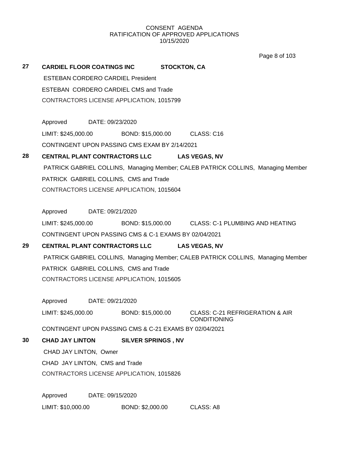Page 8 of 103

| 27 | <b>CARDIEL FLOOR COATINGS INC</b>                      | <b>STOCKTON, CA</b>       |                                                                                  |
|----|--------------------------------------------------------|---------------------------|----------------------------------------------------------------------------------|
|    | <b>ESTEBAN CORDERO CARDIEL President</b>               |                           |                                                                                  |
|    | ESTEBAN CORDERO CARDIEL CMS and Trade                  |                           |                                                                                  |
|    | CONTRACTORS LICENSE APPLICATION, 1015799               |                           |                                                                                  |
|    |                                                        |                           |                                                                                  |
|    | Approved<br>DATE: 09/23/2020                           |                           |                                                                                  |
|    | LIMIT: \$245,000.00 BOND: \$15,000.00 CLASS: C16       |                           |                                                                                  |
|    | CONTINGENT UPON PASSING CMS EXAM BY 2/14/2021          |                           |                                                                                  |
| 28 | CENTRAL PLANT CONTRACTORS LLC                          |                           | <b>LAS VEGAS, NV</b>                                                             |
|    |                                                        |                           | PATRICK GABRIEL COLLINS, Managing Member; CALEB PATRICK COLLINS, Managing Member |
|    | PATRICK GABRIEL COLLINS, CMS and Trade                 |                           |                                                                                  |
|    | CONTRACTORS LICENSE APPLICATION, 1015604               |                           |                                                                                  |
|    |                                                        |                           |                                                                                  |
|    | Approved DATE: 09/21/2020                              |                           |                                                                                  |
|    |                                                        |                           | LIMIT: \$245,000.00 BOND: \$15,000.00 CLASS: C-1 PLUMBING AND HEATING            |
|    | CONTINGENT UPON PASSING CMS & C-1 EXAMS BY 02/04/2021  |                           |                                                                                  |
| 29 | CENTRAL PLANT CONTRACTORS LLC LAS VEGAS, NV            |                           |                                                                                  |
|    |                                                        |                           | PATRICK GABRIEL COLLINS, Managing Member; CALEB PATRICK COLLINS, Managing Member |
|    | PATRICK GABRIEL COLLINS, CMS and Trade                 |                           |                                                                                  |
|    | CONTRACTORS LICENSE APPLICATION, 1015605               |                           |                                                                                  |
|    |                                                        |                           |                                                                                  |
|    | Approved<br>DATE: 09/21/2020                           |                           |                                                                                  |
|    | LIMIT: \$245,000.00 BOND: \$15,000.00                  |                           | CLASS: C-21 REFRIGERATION & AIR                                                  |
|    | CONTINGENT UPON PASSING CMS & C-21 EXAMS BY 02/04/2021 |                           | <b>CONDITIONING</b>                                                              |
| 30 | <b>CHAD JAY LINTON</b>                                 | <b>SILVER SPRINGS, NV</b> |                                                                                  |
|    | CHAD JAY LINTON, Owner                                 |                           |                                                                                  |
|    | CHAD JAY LINTON, CMS and Trade                         |                           |                                                                                  |
|    | CONTRACTORS LICENSE APPLICATION, 1015826               |                           |                                                                                  |
|    |                                                        |                           |                                                                                  |
|    | Approved<br>DATE: 09/15/2020                           |                           |                                                                                  |
|    | LIMIT: \$10,000.00                                     | BOND: \$2,000.00          | CLASS: A8                                                                        |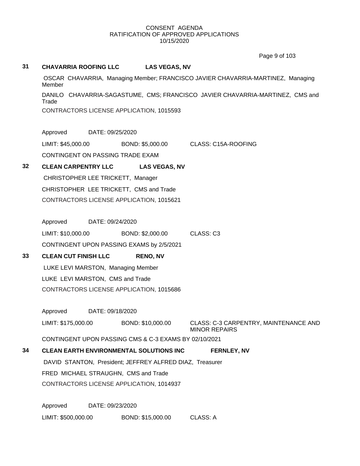Page 9 of 103

## **31 CHAVARRIA ROOFING LLC LAS VEGAS, NV**

OSCAR CHAVARRIA, Managing Member; FRANCISCO JAVIER CHAVARRIA-MARTINEZ, Managing Member DANILO CHAVARRIA-SAGASTUME, CMS; FRANCISCO JAVIER CHAVARRIA-MARTINEZ, CMS and **Trade** CONTRACTORS LICENSE APPLICATION, 1015593

Approved DATE: 09/25/2020

LIMIT: \$45,000.00 BOND: \$5,000.00 CLASS: C15A-ROOFING CONTINGENT ON PASSING TRADE EXAM

# **32 CLEAN CARPENTRY LLC LAS VEGAS, NV**

CHRISTOPHER LEE TRICKETT, Manager CHRISTOPHER LEE TRICKETT, CMS and Trade CONTRACTORS LICENSE APPLICATION, 1015621

Approved DATE: 09/24/2020

LIMIT: \$10,000.00 BOND: \$2,000.00 CLASS: C3 CONTINGENT UPON PASSING EXAMS by 2/5/2021

# **33 CLEAN CUT FINISH LLC RENO, NV**

LUKE LEVI MARSTON, Managing Member LUKE LEVI MARSTON, CMS and Trade CONTRACTORS LICENSE APPLICATION, 1015686

Approved DATE: 09/18/2020 LIMIT: \$175,000.00 BOND: \$10,000.00 CLASS: C-3 CARPENTRY, MAINTENANCE AND MINOR REPAIRS

CONTINGENT UPON PASSING CMS & C-3 EXAMS BY 02/10/2021

# **34 CLEAN EARTH ENVIRONMENTAL SOLUTIONS INC FERNLEY, NV** DAVID STANTON, President; JEFFREY ALFRED DIAZ, Treasurer FRED MICHAEL STRAUGHN, CMS and Trade CONTRACTORS LICENSE APPLICATION, 1014937

Approved DATE: 09/23/2020 LIMIT: \$500,000.00 BOND: \$15,000.00 CLASS: A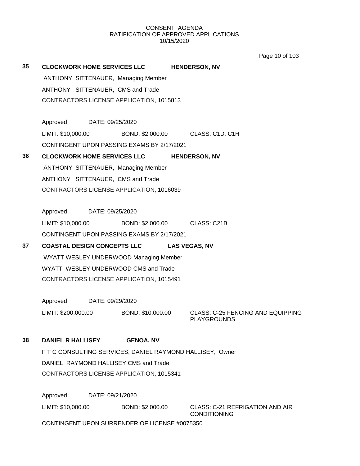Page 10 of 103

| 35 | <b>CLOCKWORK HOME SERVICES LLC</b>                        |                                  | <b>HENDERSON, NV</b>                                    |
|----|-----------------------------------------------------------|----------------------------------|---------------------------------------------------------|
|    | ANTHONY SITTENAUER, Managing Member                       |                                  |                                                         |
|    | ANTHONY SITTENAUER, CMS and Trade                         |                                  |                                                         |
|    | CONTRACTORS LICENSE APPLICATION, 1015813                  |                                  |                                                         |
|    |                                                           |                                  |                                                         |
|    | Approved DATE: 09/25/2020                                 |                                  |                                                         |
|    | LIMIT: \$10,000.00                                        | BOND: \$2,000.00 CLASS: C1D; C1H |                                                         |
|    | CONTINGENT UPON PASSING EXAMS BY 2/17/2021                |                                  |                                                         |
| 36 | <b>CLOCKWORK HOME SERVICES LLC</b>                        |                                  | <b>HENDERSON, NV</b>                                    |
|    | ANTHONY SITTENAUER, Managing Member                       |                                  |                                                         |
|    | ANTHONY SITTENAUER, CMS and Trade                         |                                  |                                                         |
|    | CONTRACTORS LICENSE APPLICATION, 1016039                  |                                  |                                                         |
|    | Approved<br>DATE: 09/25/2020                              |                                  |                                                         |
|    | LIMIT: \$10,000.00                                        | BOND: \$2,000.00 CLASS: C21B     |                                                         |
|    | CONTINGENT UPON PASSING EXAMS BY 2/17/2021                |                                  |                                                         |
| 37 | <b>COASTAL DESIGN CONCEPTS LLC</b>                        |                                  | <b>LAS VEGAS, NV</b>                                    |
|    | WYATT WESLEY UNDERWOOD Managing Member                    |                                  |                                                         |
|    | WYATT WESLEY UNDERWOOD CMS and Trade                      |                                  |                                                         |
|    | CONTRACTORS LICENSE APPLICATION, 1015491                  |                                  |                                                         |
|    |                                                           |                                  |                                                         |
|    | Approved DATE: 09/29/2020                                 |                                  |                                                         |
|    | LIMIT: \$200,000.00                                       | BOND: \$10,000.00                | CLASS: C-25 FENCING AND EQUIPPING<br><b>PLAYGROUNDS</b> |
| 38 | <b>DANIEL R HALLISEY</b>                                  | <b>GENOA, NV</b>                 |                                                         |
|    | F T C CONSULTING SERVICES; DANIEL RAYMOND HALLISEY, Owner |                                  |                                                         |
|    | DANIEL RAYMOND HALLISEY CMS and Trade                     |                                  |                                                         |
|    | CONTRACTORS LICENSE APPLICATION, 1015341                  |                                  |                                                         |
|    | Approved<br>DATE: 09/21/2020                              |                                  |                                                         |
|    | LIMIT: \$10,000.00                                        | BOND: \$2,000.00                 | CLASS: C-21 REFRIGATION AND AIR<br><b>CONDITIONING</b>  |
|    | CONTINGENT UPON SURRENDER OF LICENSE #0075350             |                                  |                                                         |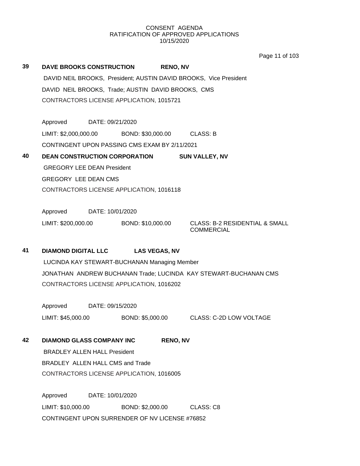Page 11 of 103

| 39 | <b>DAVE BROOKS CONSTRUCTION</b><br>DAVID NEIL BROOKS, Trade; AUSTIN DAVID BROOKS, CMS<br>CONTRACTORS LICENSE APPLICATION, 1015721 |                  |                                              | <b>RENO, NV</b> | DAVID NEIL BROOKS, President; AUSTIN DAVID BROOKS, Vice President |
|----|-----------------------------------------------------------------------------------------------------------------------------------|------------------|----------------------------------------------|-----------------|-------------------------------------------------------------------|
|    | Approved DATE: 09/21/2020                                                                                                         |                  |                                              |                 |                                                                   |
|    | LIMIT: \$2,000,000.00 BOND: \$30,000.00 CLASS: B                                                                                  |                  |                                              |                 |                                                                   |
|    | CONTINGENT UPON PASSING CMS EXAM BY 2/11/2021                                                                                     |                  |                                              |                 |                                                                   |
| 40 | <b>DEAN CONSTRUCTION CORPORATION</b>                                                                                              |                  |                                              |                 | <b>SUN VALLEY, NV</b>                                             |
|    | <b>GREGORY LEE DEAN President</b>                                                                                                 |                  |                                              |                 |                                                                   |
|    | <b>GREGORY LEE DEAN CMS</b>                                                                                                       |                  |                                              |                 |                                                                   |
|    | CONTRACTORS LICENSE APPLICATION, 1016118                                                                                          |                  |                                              |                 |                                                                   |
|    |                                                                                                                                   |                  |                                              |                 |                                                                   |
|    | Approved DATE: 10/01/2020                                                                                                         |                  |                                              |                 |                                                                   |
|    | LIMIT: \$200,000.00 BOND: \$10,000.00                                                                                             |                  |                                              |                 | <b>CLASS: B-2 RESIDENTIAL &amp; SMALL</b><br><b>COMMERCIAL</b>    |
| 41 | <b>DIAMOND DIGITAL LLC</b>                                                                                                        |                  | <b>LAS VEGAS, NV</b>                         |                 |                                                                   |
|    |                                                                                                                                   |                  | LUCINDA KAY STEWART-BUCHANAN Managing Member |                 |                                                                   |
|    |                                                                                                                                   |                  |                                              |                 | JONATHAN ANDREW BUCHANAN Trade; LUCINDA KAY STEWART-BUCHANAN CMS  |
|    | CONTRACTORS LICENSE APPLICATION, 1016202                                                                                          |                  |                                              |                 |                                                                   |
|    | Approved DATE: 09/15/2020                                                                                                         |                  |                                              |                 |                                                                   |
|    | LIMIT: \$45,000.00                                                                                                                |                  |                                              |                 | BOND: \$5,000.00 CLASS: C-2D LOW VOLTAGE                          |
| 42 | <b>DIAMOND GLASS COMPANY INC</b>                                                                                                  |                  |                                              | <b>RENO, NV</b> |                                                                   |
|    | <b>BRADLEY ALLEN HALL President</b>                                                                                               |                  |                                              |                 |                                                                   |
|    | BRADLEY ALLEN HALL CMS and Trade                                                                                                  |                  |                                              |                 |                                                                   |
|    | CONTRACTORS LICENSE APPLICATION, 1016005                                                                                          |                  |                                              |                 |                                                                   |
|    | Approved                                                                                                                          | DATE: 10/01/2020 |                                              |                 |                                                                   |
|    | LIMIT: \$10,000.00                                                                                                                |                  | BOND: \$2,000.00                             |                 | CLASS: C8                                                         |

CONTINGENT UPON SURRENDER OF NV LICENSE #76852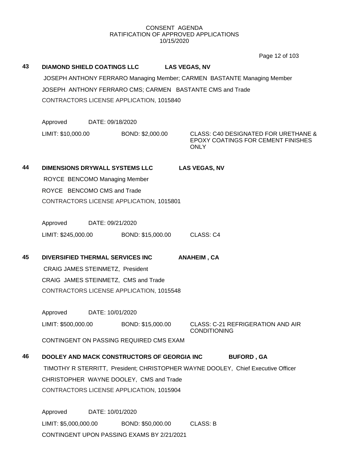Page 12 of 103

| 43 | <b>DIAMOND SHIELD COATINGS LLC</b><br><b>LAS VEGAS, NV</b> |                  |                                                                         |  |                      |                                                                                   |  |
|----|------------------------------------------------------------|------------------|-------------------------------------------------------------------------|--|----------------------|-----------------------------------------------------------------------------------|--|
|    |                                                            |                  | JOSEPH ANTHONY FERRARO Managing Member; CARMEN BASTANTE Managing Member |  |                      |                                                                                   |  |
|    | JOSEPH ANTHONY FERRARO CMS; CARMEN BASTANTE CMS and Trade  |                  |                                                                         |  |                      |                                                                                   |  |
|    |                                                            |                  | CONTRACTORS LICENSE APPLICATION, 1015840                                |  |                      |                                                                                   |  |
|    |                                                            |                  |                                                                         |  |                      |                                                                                   |  |
|    | Approved                                                   | DATE: 09/18/2020 |                                                                         |  |                      |                                                                                   |  |
|    | LIMIT: \$10,000.00                                         |                  | BOND: \$2,000.00                                                        |  | <b>ONLY</b>          | CLASS: C40 DESIGNATED FOR URETHANE &<br><b>EPOXY COATINGS FOR CEMENT FINISHES</b> |  |
| 44 | <b>DIMENSIONS DRYWALL SYSTEMS LLC</b>                      |                  |                                                                         |  | <b>LAS VEGAS, NV</b> |                                                                                   |  |
|    | ROYCE BENCOMO Managing Member                              |                  |                                                                         |  |                      |                                                                                   |  |
|    | ROYCE BENCOMO CMS and Trade                                |                  |                                                                         |  |                      |                                                                                   |  |
|    |                                                            |                  | CONTRACTORS LICENSE APPLICATION, 1015801                                |  |                      |                                                                                   |  |
|    |                                                            |                  |                                                                         |  |                      |                                                                                   |  |
|    | Approved                                                   | DATE: 09/21/2020 |                                                                         |  |                      |                                                                                   |  |
|    | LIMIT: \$245,000.00                                        |                  | BOND: \$15,000.00                                                       |  | CLASS: C4            |                                                                                   |  |
| 45 | DIVERSIFIED THERMAL SERVICES INC                           |                  |                                                                         |  | <b>ANAHEIM, CA</b>   |                                                                                   |  |
|    | CRAIG JAMES STEINMETZ, President                           |                  |                                                                         |  |                      |                                                                                   |  |
|    |                                                            |                  | CRAIG JAMES STEINMETZ, CMS and Trade                                    |  |                      |                                                                                   |  |
|    |                                                            |                  | CONTRACTORS LICENSE APPLICATION, 1015548                                |  |                      |                                                                                   |  |
|    |                                                            |                  |                                                                         |  |                      |                                                                                   |  |
|    | Approved                                                   | DATE: 10/01/2020 |                                                                         |  |                      |                                                                                   |  |
|    |                                                            |                  |                                                                         |  | <b>CONDITIONING</b>  | LIMIT: \$500,000.00 BOND: \$15,000.00 CLASS: C-21 REFRIGERATION AND AIR           |  |
|    |                                                            |                  | CONTINGENT ON PASSING REQUIRED CMS EXAM                                 |  |                      |                                                                                   |  |
| 46 |                                                            |                  | DOOLEY AND MACK CONSTRUCTORS OF GEORGIA INC                             |  |                      | <b>BUFORD, GA</b>                                                                 |  |
|    |                                                            |                  |                                                                         |  |                      | TIMOTHY R STERRITT, President; CHRISTOPHER WAYNE DOOLEY, Chief Executive Officer  |  |
|    |                                                            |                  | CHRISTOPHER WAYNE DOOLEY, CMS and Trade                                 |  |                      |                                                                                   |  |
|    |                                                            |                  | CONTRACTORS LICENSE APPLICATION, 1015904                                |  |                      |                                                                                   |  |
|    | Approved                                                   | DATE: 10/01/2020 |                                                                         |  |                      |                                                                                   |  |
|    | LIMIT: \$5,000,000.00                                      |                  | BOND: \$50,000.00                                                       |  | <b>CLASS: B</b>      |                                                                                   |  |
|    |                                                            |                  | CONTINGENT UPON PASSING EXAMS BY 2/21/2021                              |  |                      |                                                                                   |  |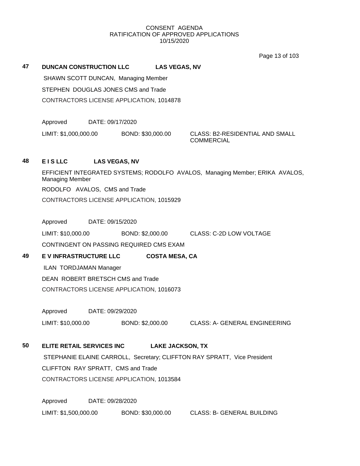Page 13 of 103

**47 DUNCAN CONSTRUCTION LLC LAS VEGAS, NV**

SHAWN SCOTT DUNCAN, Managing Member STEPHEN DOUGLAS JONES CMS and Trade CONTRACTORS LICENSE APPLICATION, 1014878

Approved DATE: 09/17/2020

LIMIT: \$1,000,000.00 BOND: \$30,000.00 CLASS: B2-RESIDENTIAL AND SMALL

**COMMERCIAL** 

# **48 E I S LLC LAS VEGAS, NV**

EFFICIENT INTEGRATED SYSTEMS; RODOLFO AVALOS, Managing Member; ERIKA AVALOS, Managing Member RODOLFO AVALOS, CMS and Trade CONTRACTORS LICENSE APPLICATION, 1015929

Approved DATE: 09/15/2020

LIMIT: \$10,000.00 BOND: \$2,000.00 CLASS: C-2D LOW VOLTAGE

CONTINGENT ON PASSING REQUIRED CMS EXAM

**49 E V INFRASTRUCTURE LLC COSTA MESA, CA**

ILAN TORDJAMAN Manager

DEAN ROBERT BRETSCH CMS and Trade CONTRACTORS LICENSE APPLICATION, 1016073

Approved DATE: 09/29/2020

LIMIT: \$10,000.00 BOND: \$2,000.00 CLASS: A- GENERAL ENGINEERING

# **50 ELITE RETAIL SERVICES INC LAKE JACKSON, TX**

STEPHANIE ELAINE CARROLL, Secretary; CLIFFTON RAY SPRATT, Vice President CLIFFTON RAY SPRATT, CMS and Trade CONTRACTORS LICENSE APPLICATION, 1013584

Approved DATE: 09/28/2020 LIMIT: \$1,500,000.00 BOND: \$30,000.00 CLASS: B- GENERAL BUILDING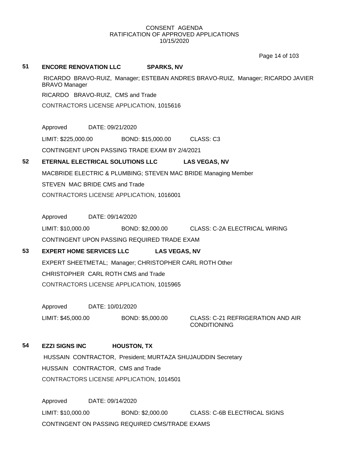Page 14 of 103

## **51 ENCORE RENOVATION LLC SPARKS, NV**

RICARDO BRAVO-RUIZ, Manager; ESTEBAN ANDRES BRAVO-RUIZ, Manager; RICARDO JAVIER BRAVO Manager RICARDO BRAVO-RUIZ, CMS and Trade CONTRACTORS LICENSE APPLICATION, 1015616

Approved DATE: 09/21/2020

LIMIT: \$225,000.00 BOND: \$15,000.00 CLASS: C3

CONTINGENT UPON PASSING TRADE EXAM BY 2/4/2021

# **52 ETERNAL ELECTRICAL SOLUTIONS LLC LAS VEGAS, NV**

MACBRIDE ELECTRIC & PLUMBING; STEVEN MAC BRIDE Managing Member STEVEN MAC BRIDE CMS and Trade CONTRACTORS LICENSE APPLICATION, 1016001

Approved DATE: 09/14/2020

LIMIT: \$10,000.00 BOND: \$2,000.00 CLASS: C-2A ELECTRICAL WIRING CONTINGENT UPON PASSING REQUIRED TRADE EXAM

# **53 EXPERT HOME SERVICES LLC LAS VEGAS, NV**

EXPERT SHEETMETAL; Manager; CHRISTOPHER CARL ROTH Other CHRISTOPHER CARL ROTH CMS and Trade CONTRACTORS LICENSE APPLICATION, 1015965

Approved DATE: 10/01/2020

LIMIT: \$45,000.00 BOND: \$5,000.00 CLASS: C-21 REFRIGERATION AND AIR

CONDITIONING

# **54 EZZI SIGNS INC HOUSTON, TX**

HUSSAIN CONTRACTOR, President; MURTAZA SHUJAUDDIN Secretary HUSSAIN CONTRACTOR, CMS and Trade CONTRACTORS LICENSE APPLICATION, 1014501

Approved DATE: 09/14/2020 LIMIT: \$10,000.00 BOND: \$2,000.00 CLASS: C-6B ELECTRICAL SIGNS CONTINGENT ON PASSING REQUIRED CMS/TRADE EXAMS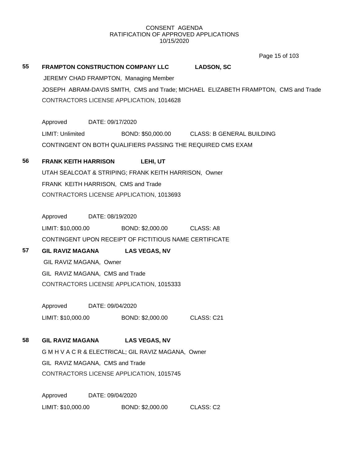Page 15 of 103

**55 FRAMPTON CONSTRUCTION COMPANY LLC LADSON, SC** JEREMY CHAD FRAMPTON, Managing Member JOSEPH ABRAM-DAVIS SMITH, CMS and Trade; MICHAEL ELIZABETH FRAMPTON, CMS and Trade CONTRACTORS LICENSE APPLICATION, 1014628 Approved DATE: 09/17/2020

LIMIT: Unlimited BOND: \$50,000.00 CLASS: B GENERAL BUILDING CONTINGENT ON BOTH QUALIFIERS PASSING THE REQUIRED CMS EXAM

**56 FRANK KEITH HARRISON LEHI, UT** UTAH SEALCOAT & STRIPING; FRANK KEITH HARRISON, Owner FRANK KEITH HARRISON, CMS and Trade CONTRACTORS LICENSE APPLICATION, 1013693

Approved DATE: 08/19/2020 LIMIT: \$10,000.00 BOND: \$2,000.00 CLASS: A8 CONTINGENT UPON RECEIPT OF FICTITIOUS NAME CERTIFICATE

**57 GIL RAVIZ MAGANA LAS VEGAS, NV** GIL RAVIZ MAGANA, Owner GIL RAVIZ MAGANA, CMS and Trade CONTRACTORS LICENSE APPLICATION, 1015333

> Approved DATE: 09/04/2020 LIMIT: \$10,000.00 BOND: \$2,000.00 CLASS: C21

**58 GIL RAVIZ MAGANA LAS VEGAS, NV**

G M H V A C R & ELECTRICAL; GIL RAVIZ MAGANA, Owner GIL RAVIZ MAGANA, CMS and Trade CONTRACTORS LICENSE APPLICATION, 1015745

Approved DATE: 09/04/2020 LIMIT: \$10,000.00 BOND: \$2,000.00 CLASS: C2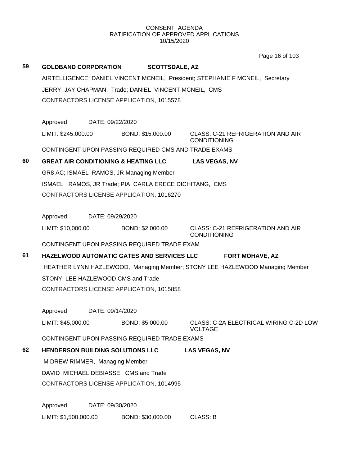Page 16 of 103

| 59 | <b>GOLDBAND CORPORATION</b>       |                  | <b>SCOTTSDALE, AZ</b>                                  |                                                                                |  |
|----|-----------------------------------|------------------|--------------------------------------------------------|--------------------------------------------------------------------------------|--|
|    |                                   |                  |                                                        | AIRTELLIGENCE; DANIEL VINCENT MCNEIL, President; STEPHANIE F MCNEIL, Secretary |  |
|    |                                   |                  | JERRY JAY CHAPMAN, Trade; DANIEL VINCENT MCNEIL, CMS   |                                                                                |  |
|    |                                   |                  | CONTRACTORS LICENSE APPLICATION, 1015578               |                                                                                |  |
|    |                                   |                  |                                                        |                                                                                |  |
|    | Approved                          | DATE: 09/22/2020 |                                                        |                                                                                |  |
|    | LIMIT: \$245,000.00               |                  | BOND: \$15,000.00                                      | CLASS: C-21 REFRIGERATION AND AIR<br><b>CONDITIONING</b>                       |  |
|    |                                   |                  | CONTINGENT UPON PASSING REQUIRED CMS AND TRADE EXAMS   |                                                                                |  |
| 60 |                                   |                  | <b>GREAT AIR CONDITIONING &amp; HEATING LLC</b>        | <b>LAS VEGAS, NV</b>                                                           |  |
|    |                                   |                  | GR8 AC; ISMAEL RAMOS, JR Managing Member               |                                                                                |  |
|    |                                   |                  | ISMAEL RAMOS, JR Trade; PIA CARLA ERECE DICHITANG, CMS |                                                                                |  |
|    |                                   |                  | CONTRACTORS LICENSE APPLICATION, 1016270               |                                                                                |  |
|    |                                   |                  |                                                        |                                                                                |  |
|    | Approved                          | DATE: 09/29/2020 |                                                        |                                                                                |  |
|    | LIMIT: \$10,000.00                |                  | BOND: \$2,000.00                                       | <b>CLASS: C-21 REFRIGERATION AND AIR</b><br><b>CONDITIONING</b>                |  |
|    |                                   |                  | CONTINGENT UPON PASSING REQUIRED TRADE EXAM            |                                                                                |  |
| 61 |                                   |                  | HAZELWOOD AUTOMATIC GATES AND SERVICES LLC             | <b>FORT MOHAVE, AZ</b>                                                         |  |
|    |                                   |                  |                                                        | HEATHER LYNN HAZLEWOOD, Managing Member; STONY LEE HAZLEWOOD Managing Member   |  |
|    | STONY LEE HAZLEWOOD CMS and Trade |                  |                                                        |                                                                                |  |
|    |                                   |                  | CONTRACTORS LICENSE APPLICATION, 1015858               |                                                                                |  |
|    |                                   |                  |                                                        |                                                                                |  |
|    | Approved                          | DATE: 09/14/2020 |                                                        |                                                                                |  |
|    | LIMIT: \$45,000.00                |                  |                                                        | BOND: \$5,000.00 CLASS: C-2A ELECTRICAL WIRING C-2D LOW<br><b>VOLTAGE</b>      |  |
|    |                                   |                  | CONTINGENT UPON PASSING REQUIRED TRADE EXAMS           |                                                                                |  |
| 62 | HENDERSON BUILDING SOLUTIONS LLC  |                  |                                                        | <b>LAS VEGAS, NV</b>                                                           |  |
|    | M DREW RIMMER, Managing Member    |                  |                                                        |                                                                                |  |
|    |                                   |                  | DAVID MICHAEL DEBIASSE, CMS and Trade                  |                                                                                |  |
|    |                                   |                  | CONTRACTORS LICENSE APPLICATION, 1014995               |                                                                                |  |
|    | Approved                          | DATE: 09/30/2020 |                                                        |                                                                                |  |
|    | LIMIT: \$1,500,000.00             |                  | BOND: \$30,000.00                                      | <b>CLASS: B</b>                                                                |  |
|    |                                   |                  |                                                        |                                                                                |  |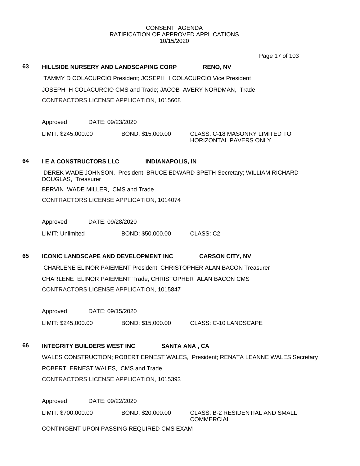Page 17 of 103

**63 HILLSIDE NURSERY AND LANDSCAPING CORP RENO, NV** TAMMY D COLACURCIO President; JOSEPH H COLACURCIO Vice President JOSEPH H COLACURCIO CMS and Trade; JACOB AVERY NORDMAN, Trade CONTRACTORS LICENSE APPLICATION, 1015608

Approved DATE: 09/23/2020

LIMIT: \$245,000.00 BOND: \$15,000.00 CLASS: C-18 MASONRY LIMITED TO

HORIZONTAL PAVERS ONLY

# **64 I E A CONSTRUCTORS LLC INDIANAPOLIS, IN**

DEREK WADE JOHNSON, President; BRUCE EDWARD SPETH Secretary; WILLIAM RICHARD DOUGLAS, Treasurer BERVIN WADE MILLER, CMS and Trade CONTRACTORS LICENSE APPLICATION, 1014074

Approved DATE: 09/28/2020

LIMIT: Unlimited BOND: \$50,000.00 CLASS: C2

**65 ICONIC LANDSCAPE AND DEVELOPMENT INC CARSON CITY, NV** CHARLENE ELINOR PAIEMENT President; CHRISTOPHER ALAN BACON Treasurer CHARLENE ELINOR PAIEMENT Trade; CHRISTOPHER ALAN BACON CMS CONTRACTORS LICENSE APPLICATION, 1015847

Approved DATE: 09/15/2020

LIMIT: \$245,000.00 BOND: \$15,000.00 CLASS: C-10 LANDSCAPE

# **66 INTEGRITY BUILDERS WEST INC SANTA ANA , CA**

WALES CONSTRUCTION; ROBERT ERNEST WALES, President; RENATA LEANNE WALES Secretary ROBERT ERNEST WALES, CMS and Trade CONTRACTORS LICENSE APPLICATION, 1015393

Approved DATE: 09/22/2020

LIMIT: \$700,000.00 BOND: \$20,000.00 CLASS: B-2 RESIDENTIAL AND SMALL

**COMMERCIAL** 

CONTINGENT UPON PASSING REQUIRED CMS EXAM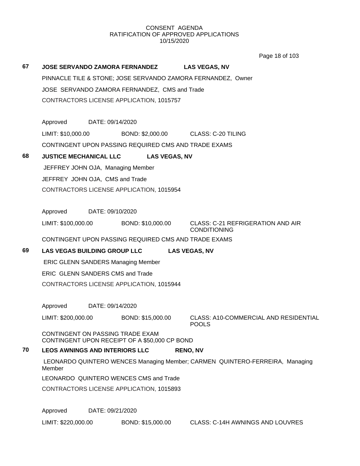|    |                                       |                  |                                                      |                                                                              | Page 18 of 103                        |
|----|---------------------------------------|------------------|------------------------------------------------------|------------------------------------------------------------------------------|---------------------------------------|
| 67 |                                       |                  | <b>JOSE SERVANDO ZAMORA FERNANDEZ</b>                | <b>LAS VEGAS, NV</b>                                                         |                                       |
|    |                                       |                  |                                                      | PINNACLE TILE & STONE; JOSE SERVANDO ZAMORA FERNANDEZ, Owner                 |                                       |
|    |                                       |                  | JOSE SERVANDO ZAMORA FERNANDEZ, CMS and Trade        |                                                                              |                                       |
|    |                                       |                  | CONTRACTORS LICENSE APPLICATION, 1015757             |                                                                              |                                       |
|    |                                       |                  |                                                      |                                                                              |                                       |
|    | Approved DATE: 09/14/2020             |                  |                                                      |                                                                              |                                       |
|    | LIMIT: \$10,000.00                    |                  |                                                      | BOND: \$2,000.00 CLASS: C-20 TILING                                          |                                       |
|    |                                       |                  | CONTINGENT UPON PASSING REQUIRED CMS AND TRADE EXAMS |                                                                              |                                       |
| 68 | <b>JUSTICE MECHANICAL LLC</b>         |                  | <b>LAS VEGAS, NV</b>                                 |                                                                              |                                       |
|    | JEFFREY JOHN OJA, Managing Member     |                  |                                                      |                                                                              |                                       |
|    | JEFFREY JOHN OJA, CMS and Trade       |                  |                                                      |                                                                              |                                       |
|    |                                       |                  | CONTRACTORS LICENSE APPLICATION, 1015954             |                                                                              |                                       |
|    |                                       |                  |                                                      |                                                                              |                                       |
|    | Approved DATE: 09/10/2020             |                  |                                                      |                                                                              |                                       |
|    | LIMIT: \$100,000.00                   |                  | BOND: \$10,000.00                                    | <b>CLASS: C-21 REFRIGERATION AND AIR</b><br><b>CONDITIONING</b>              |                                       |
|    |                                       |                  | CONTINGENT UPON PASSING REQUIRED CMS AND TRADE EXAMS |                                                                              |                                       |
| 69 |                                       |                  | <b>LAS VEGAS BUILDING GROUP LLC</b>                  | <b>LAS VEGAS, NV</b>                                                         |                                       |
|    |                                       |                  | <b>ERIC GLENN SANDERS Managing Member</b>            |                                                                              |                                       |
|    | ERIC GLENN SANDERS CMS and Trade      |                  |                                                      |                                                                              |                                       |
|    |                                       |                  | CONTRACTORS LICENSE APPLICATION, 1015944             |                                                                              |                                       |
|    | Approved                              | DATE: 09/14/2020 |                                                      |                                                                              |                                       |
|    | LIMIT: \$200,000.00                   |                  | BOND: \$15,000.00                                    |                                                                              | CLASS: A10-COMMERCIAL AND RESIDENTIAL |
|    |                                       |                  |                                                      | <b>POOLS</b>                                                                 |                                       |
|    | CONTINGENT ON PASSING TRADE EXAM      |                  | CONTINGENT UPON RECEIPT OF A \$50,000 CP BOND        |                                                                              |                                       |
| 70 | <b>LEOS AWNINGS AND INTERIORS LLC</b> |                  |                                                      | <b>RENO, NV</b>                                                              |                                       |
|    | Member                                |                  |                                                      | LEONARDO QUINTERO WENCES Managing Member; CARMEN QUINTERO-FERREIRA, Managing |                                       |
|    |                                       |                  | LEONARDO QUINTERO WENCES CMS and Trade               |                                                                              |                                       |
|    |                                       |                  | CONTRACTORS LICENSE APPLICATION, 1015893             |                                                                              |                                       |
|    |                                       |                  |                                                      |                                                                              |                                       |
|    | Approved                              | DATE: 09/21/2020 |                                                      |                                                                              |                                       |
|    | LIMIT: \$220,000.00                   |                  | BOND: \$15,000.00                                    | CLASS: C-14H AWNINGS AND LOUVRES                                             |                                       |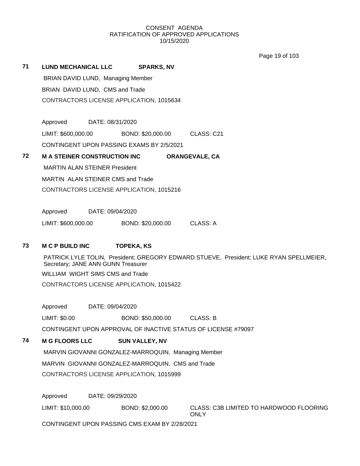Page 19 of 103

| 71 | <b>LUND MECHANICAL LLC</b>           | <b>SPARKS, NV</b>                                             |                                                                                        |
|----|--------------------------------------|---------------------------------------------------------------|----------------------------------------------------------------------------------------|
|    | BRIAN DAVID LUND, Managing Member    |                                                               |                                                                                        |
|    | BRIAN DAVID LUND, CMS and Trade      |                                                               |                                                                                        |
|    |                                      | CONTRACTORS LICENSE APPLICATION, 1015634                      |                                                                                        |
|    |                                      |                                                               |                                                                                        |
|    | Approved<br>DATE: 08/31/2020         |                                                               |                                                                                        |
|    | LIMIT: \$600,000.00                  | BOND: \$20,000.00                                             | CLASS: C21                                                                             |
|    |                                      | CONTINGENT UPON PASSING EXAMS BY 2/5/2021                     |                                                                                        |
| 72 | <b>M A STEINER CONSTRUCTION INC</b>  |                                                               | <b>ORANGEVALE, CA</b>                                                                  |
|    | <b>MARTIN ALAN STEINER President</b> |                                                               |                                                                                        |
|    | MARTIN ALAN STEINER CMS and Trade    |                                                               |                                                                                        |
|    |                                      | CONTRACTORS LICENSE APPLICATION, 1015216                      |                                                                                        |
|    | Approved<br>DATE: 09/04/2020         |                                                               |                                                                                        |
|    | LIMIT: \$600,000.00                  | BOND: \$20,000.00                                             | <b>CLASS: A</b>                                                                        |
|    |                                      |                                                               |                                                                                        |
| 73 | <b>M C P BUILD INC</b>               | <b>TOPEKA, KS</b>                                             |                                                                                        |
|    | Secretary; JANE ANN GUNN Treasurer   |                                                               | PATRICK LYLE TOLIN, President; GREGORY EDWARD STUEVE, President; LUKE RYAN SPELLMEIER, |
|    | WILLIAM WIGHT SIMS CMS and Trade     |                                                               |                                                                                        |
|    |                                      | CONTRACTORS LICENSE APPLICATION, 1015422                      |                                                                                        |
|    | Approved                             | DATE: 09/04/2020                                              |                                                                                        |
|    | LIMIT: \$0.00                        | BOND: \$50,000.00                                             | <b>CLASS: B</b>                                                                        |
|    |                                      | CONTINGENT UPON APPROVAL OF INACTIVE STATUS OF LICENSE #79097 |                                                                                        |
| 74 | <b>M G FLOORS LLC</b>                | <b>SUN VALLEY, NV</b>                                         |                                                                                        |
|    |                                      | MARVIN GIOVANNI GONZALEZ-MARROQUIN, Managing Member           |                                                                                        |
|    |                                      | MARVIN GIOVANNI GONZALEZ-MARROQUIN, CMS and Trade             |                                                                                        |
|    |                                      | CONTRACTORS LICENSE APPLICATION, 1015999                      |                                                                                        |
|    |                                      |                                                               |                                                                                        |
|    | Approved                             | DATE: 09/29/2020                                              |                                                                                        |
|    | LIMIT: \$10,000.00                   | BOND: \$2,000.00                                              | CLASS: C3B LIMITED TO HARDWOOD FLOORING<br><b>ONLY</b>                                 |
|    |                                      | CONTINGENT UPON PASSING CMS EXAM BY 2/28/2021                 |                                                                                        |
|    |                                      |                                                               |                                                                                        |
|    |                                      |                                                               |                                                                                        |
|    |                                      |                                                               |                                                                                        |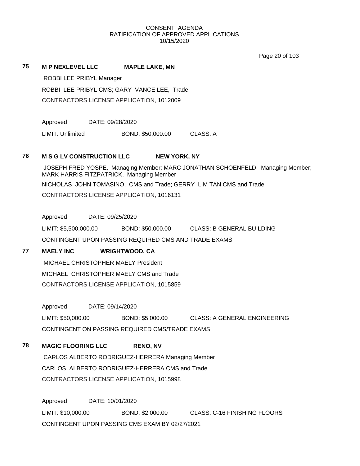Page 20 of 103

## **75 M P NEXLEVEL LLC MAPLE LAKE, MN**

ROBBI LEE PRIBYL Manager

ROBBI LEE PRIBYL CMS; GARY VANCE LEE, Trade

CONTRACTORS LICENSE APPLICATION, 1012009

Approved DATE: 09/28/2020

LIMIT: Unlimited BOND: \$50,000.00 CLASS: A

## **76 M S G LV CONSTRUCTION LLC NEW YORK, NY**

JOSEPH FRED YOSPE, Managing Member; MARC JONATHAN SCHOENFELD, Managing Member; MARK HARRIS FITZPATRICK, Managing Member NICHOLAS JOHN TOMASINO, CMS and Trade; GERRY LIM TAN CMS and Trade CONTRACTORS LICENSE APPLICATION, 1016131

Approved DATE: 09/25/2020

LIMIT: \$5,500,000.00 BOND: \$50,000.00 CLASS: B GENERAL BUILDING CONTINGENT UPON PASSING REQUIRED CMS AND TRADE EXAMS

# **77 MAELY INC WRIGHTWOOD, CA**

MICHAEL CHRISTOPHER MAELY President MICHAEL CHRISTOPHER MAELY CMS and Trade CONTRACTORS LICENSE APPLICATION, 1015859

Approved DATE: 09/14/2020

LIMIT: \$50,000.00 BOND: \$5,000.00 CLASS: A GENERAL ENGINEERING CONTINGENT ON PASSING REQUIRED CMS/TRADE EXAMS

# **78 MAGIC FLOORING LLC RENO, NV**

CARLOS ALBERTO RODRIGUEZ-HERRERA Managing Member CARLOS ALBERTO RODRIGUEZ-HERRERA CMS and Trade CONTRACTORS LICENSE APPLICATION, 1015998

Approved DATE: 10/01/2020 LIMIT: \$10,000.00 BOND: \$2,000.00 CLASS: C-16 FINISHING FLOORS CONTINGENT UPON PASSING CMS EXAM BY 02/27/2021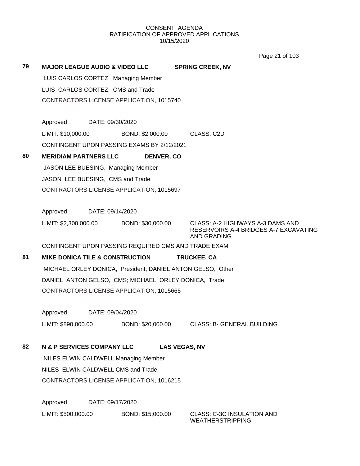Page 21 of 103

| 79 | <b>MAJOR LEAGUE AUDIO &amp; VIDEO LLC</b>                  | <b>SPRING CREEK, NV</b>                                                                  |
|----|------------------------------------------------------------|------------------------------------------------------------------------------------------|
|    | LUIS CARLOS CORTEZ, Managing Member                        |                                                                                          |
|    | LUIS CARLOS CORTEZ, CMS and Trade                          |                                                                                          |
|    | CONTRACTORS LICENSE APPLICATION, 1015740                   |                                                                                          |
|    |                                                            |                                                                                          |
|    | Approved<br>DATE: 09/30/2020                               |                                                                                          |
|    | LIMIT: \$10,000.00<br>BOND: \$2,000.00                     | CLASS: C2D                                                                               |
|    | CONTINGENT UPON PASSING EXAMS BY 2/12/2021                 |                                                                                          |
| 80 | <b>MERIDIAM PARTNERS LLC</b><br><b>DENVER, CO</b>          |                                                                                          |
|    | JASON LEE BUESING, Managing Member                         |                                                                                          |
|    | JASON LEE BUESING, CMS and Trade                           |                                                                                          |
|    | CONTRACTORS LICENSE APPLICATION, 1015697                   |                                                                                          |
|    |                                                            |                                                                                          |
|    | Approved<br>DATE: 09/14/2020                               |                                                                                          |
|    | LIMIT: \$2,300,000.00<br>BOND: \$30,000.00                 | CLASS: A-2 HIGHWAYS A-3 DAMS AND<br>RESERVOIRS A-4 BRIDGES A-7 EXCAVATING<br>AND GRADING |
|    | CONTINGENT UPON PASSING REQUIRED CMS AND TRADE EXAM        |                                                                                          |
| 81 | <b>MIKE DONICA TILE &amp; CONSTRUCTION</b>                 | <b>TRUCKEE, CA</b>                                                                       |
|    | MICHAEL ORLEY DONICA, President; DANIEL ANTON GELSO, Other |                                                                                          |
|    | DANIEL ANTON GELSO, CMS; MICHAEL ORLEY DONICA, Trade       |                                                                                          |
|    | CONTRACTORS LICENSE APPLICATION, 1015665                   |                                                                                          |
|    |                                                            |                                                                                          |
|    | DATE: 09/04/2020<br>Approved                               |                                                                                          |
|    | LIMIT: \$890,000.00                                        | BOND: \$20,000.00 CLASS: B- GENERAL BUILDING                                             |
| 82 | <b>N &amp; P SERVICES COMPANY LLC</b>                      | <b>LAS VEGAS, NV</b>                                                                     |
|    | NILES ELWIN CALDWELL Managing Member                       |                                                                                          |
|    | NILES ELWIN CALDWELL CMS and Trade                         |                                                                                          |
|    | CONTRACTORS LICENSE APPLICATION, 1016215                   |                                                                                          |
|    |                                                            |                                                                                          |
|    | Approved<br>DATE: 09/17/2020                               |                                                                                          |
|    |                                                            |                                                                                          |

LIMIT: \$500,000.00 BOND: \$15,000.00 CLASS: C-3C INSULATION AND

WEATHERSTRIPPING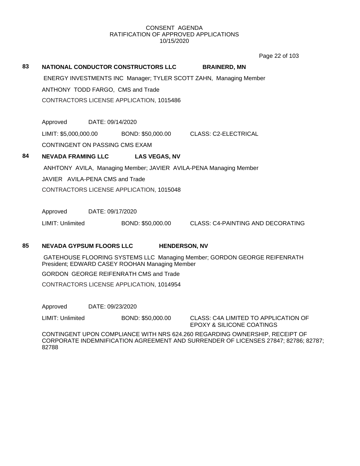Page 22 of 103

| 83 | <b>NATIONAL CONDUCTOR CONSTRUCTORS LLC</b>                        |                      | <b>BRAINERD, MN</b>                                               |  |  |
|----|-------------------------------------------------------------------|----------------------|-------------------------------------------------------------------|--|--|
|    | ENERGY INVESTMENTS INC Manager; TYLER SCOTT ZAHN, Managing Member |                      |                                                                   |  |  |
|    | ANTHONY TODD FARGO, CMS and Trade                                 |                      |                                                                   |  |  |
|    | CONTRACTORS LICENSE APPLICATION, 1015486                          |                      |                                                                   |  |  |
|    |                                                                   |                      |                                                                   |  |  |
|    | Approved<br>DATE: 09/14/2020                                      |                      |                                                                   |  |  |
|    | LIMIT: \$5,000,000.00                                             | BOND: \$50,000.00    | <b>CLASS: C2-ELECTRICAL</b>                                       |  |  |
|    | CONTINGENT ON PASSING CMS EXAM                                    |                      |                                                                   |  |  |
| 84 | <b>NEVADA FRAMING LLC</b>                                         | <b>LAS VEGAS, NV</b> |                                                                   |  |  |
|    |                                                                   |                      | ANHTONY AVILA, Managing Member; JAVIER AVILA-PENA Managing Member |  |  |
|    | JAVIER AVILA-PENA CMS and Trade                                   |                      |                                                                   |  |  |
|    | CONTRACTORS LICENSE APPLICATION, 1015048                          |                      |                                                                   |  |  |
|    |                                                                   |                      |                                                                   |  |  |
|    | DATE: 09/17/2020<br>Approved                                      |                      |                                                                   |  |  |
|    | LIMIT: Unlimited                                                  | BOND: \$50,000.00    | CLASS: C4-PAINTING AND DECORATING                                 |  |  |
|    |                                                                   |                      |                                                                   |  |  |

# **85 NEVADA GYPSUM FLOORS LLC HENDERSON, NV**

GATEHOUSE FLOORING SYSTEMS LLC Managing Member; GORDON GEORGE REIFENRATH President; EDWARD CASEY ROOHAN Managing Member

GORDON GEORGE REIFENRATH CMS and Trade

CONTRACTORS LICENSE APPLICATION, 1014954

Approved DATE: 09/23/2020

LIMIT: Unlimited BOND: \$50,000.00 CLASS: C4A LIMITED TO APPLICATION OF

EPOXY & SILICONE COATINGS

CONTINGENT UPON COMPLIANCE WITH NRS 624.260 REGARDING OWNERSHIP, RECEIPT OF CORPORATE INDEMNIFICATION AGREEMENT AND SURRENDER OF LICENSES 27847; 82786; 82787; 82788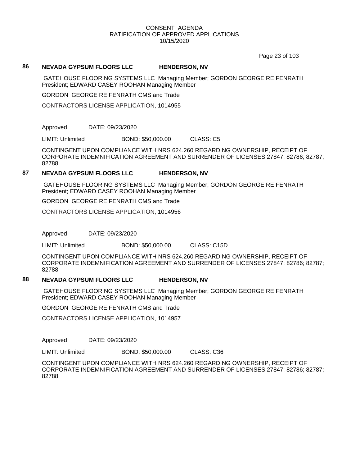Page 23 of 103

### **86 NEVADA GYPSUM FLOORS LLC HENDERSON, NV**

GATEHOUSE FLOORING SYSTEMS LLC Managing Member; GORDON GEORGE REIFENRATH President; EDWARD CASEY ROOHAN Managing Member

GORDON GEORGE REIFENRATH CMS and Trade

CONTRACTORS LICENSE APPLICATION, 1014955

Approved DATE: 09/23/2020

LIMIT: Unlimited BOND: \$50,000.00 CLASS: C5

CONTINGENT UPON COMPLIANCE WITH NRS 624.260 REGARDING OWNERSHIP, RECEIPT OF CORPORATE INDEMNIFICATION AGREEMENT AND SURRENDER OF LICENSES 27847; 82786; 82787; 82788

## **87 NEVADA GYPSUM FLOORS LLC HENDERSON, NV**

GATEHOUSE FLOORING SYSTEMS LLC Managing Member; GORDON GEORGE REIFENRATH President; EDWARD CASEY ROOHAN Managing Member

GORDON GEORGE REIFENRATH CMS and Trade

CONTRACTORS LICENSE APPLICATION, 1014956

Approved DATE: 09/23/2020

LIMIT: Unlimited BOND: \$50,000.00 CLASS: C15D

CONTINGENT UPON COMPLIANCE WITH NRS 624.260 REGARDING OWNERSHIP, RECEIPT OF CORPORATE INDEMNIFICATION AGREEMENT AND SURRENDER OF LICENSES 27847; 82786; 82787; 82788

# **88 NEVADA GYPSUM FLOORS LLC HENDERSON, NV**

GATEHOUSE FLOORING SYSTEMS LLC Managing Member; GORDON GEORGE REIFENRATH President; EDWARD CASEY ROOHAN Managing Member

GORDON GEORGE REIFENRATH CMS and Trade

CONTRACTORS LICENSE APPLICATION, 1014957

Approved DATE: 09/23/2020

LIMIT: Unlimited BOND: \$50,000.00 CLASS: C36

CONTINGENT UPON COMPLIANCE WITH NRS 624.260 REGARDING OWNERSHIP, RECEIPT OF CORPORATE INDEMNIFICATION AGREEMENT AND SURRENDER OF LICENSES 27847; 82786; 82787; 82788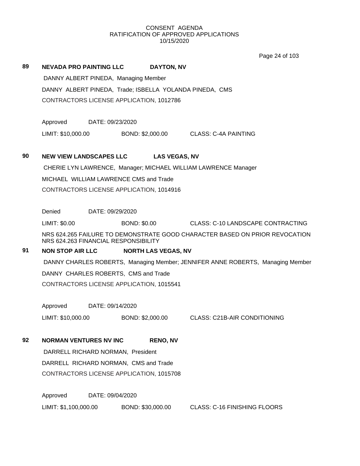Page 24 of 103

## **89 NEVADA PRO PAINTING LLC DAYTON, NV**

DANNY ALBERT PINEDA, Managing Member DANNY ALBERT PINEDA, Trade; ISBELLA YOLANDA PINEDA, CMS CONTRACTORS LICENSE APPLICATION, 1012786

Approved DATE: 09/23/2020

LIMIT: \$10,000.00 BOND: \$2,000.00 CLASS: C-4A PAINTING

## **90 NEW VIEW LANDSCAPES LLC LAS VEGAS, NV**

CHERIE LYN LAWRENCE, Manager; MICHAEL WILLIAM LAWRENCE Manager MICHAEL WILLIAM LAWRENCE CMS and Trade CONTRACTORS LICENSE APPLICATION, 1014916

Denied DATE: 09/29/2020

LIMIT: \$0.00 BOND: \$0.00 CLASS: C-10 LANDSCAPE CONTRACTING

NRS 624.265 FAILURE TO DEMONSTRATE GOOD CHARACTER BASED ON PRIOR REVOCATION NRS 624.263 FINANCIAL RESPONSIBILITY

# **91 NON STOP AIR LLC NORTH LAS VEGAS, NV**

DANNY CHARLES ROBERTS, Managing Member; JENNIFER ANNE ROBERTS, Managing Member

DANNY CHARLES ROBERTS, CMS and Trade

CONTRACTORS LICENSE APPLICATION, 1015541

Approved DATE: 09/14/2020

LIMIT: \$10,000.00 BOND: \$2,000.00 CLASS: C21B-AIR CONDITIONING

# **92 NORMAN VENTURES NV INC RENO, NV**

DARRELL RICHARD NORMAN, President DARRELL RICHARD NORMAN, CMS and Trade CONTRACTORS LICENSE APPLICATION, 1015708

Approved DATE: 09/04/2020 LIMIT: \$1,100,000.00 BOND: \$30,000.00 CLASS: C-16 FINISHING FLOORS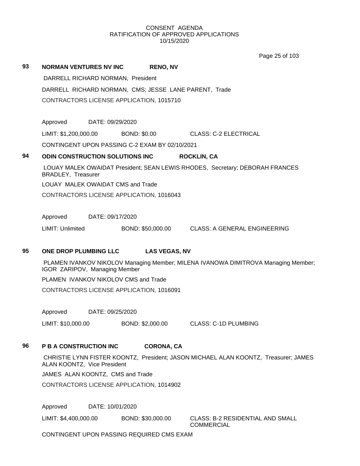Page 25 of 103

|    |                                                                                                                    |                  |                     |                      | Page 25 of 103                                                                    |
|----|--------------------------------------------------------------------------------------------------------------------|------------------|---------------------|----------------------|-----------------------------------------------------------------------------------|
| 93 | <b>NORMAN VENTURES NV INC</b>                                                                                      |                  |                     | <b>RENO, NV</b>      |                                                                                   |
|    | DARRELL RICHARD NORMAN, President                                                                                  |                  |                     |                      |                                                                                   |
|    |                                                                                                                    |                  |                     |                      | DARRELL RICHARD NORMAN, CMS; JESSE LANE PARENT, Trade                             |
|    | CONTRACTORS LICENSE APPLICATION, 1015710                                                                           |                  |                     |                      |                                                                                   |
|    |                                                                                                                    |                  |                     |                      |                                                                                   |
|    | Approved                                                                                                           | DATE: 09/29/2020 |                     |                      |                                                                                   |
|    | LIMIT: \$1,200,000.00                                                                                              |                  | <b>BOND: \$0.00</b> |                      | CLASS: C-2 ELECTRICAL                                                             |
|    | CONTINGENT UPON PASSING C-2 EXAM BY 02/10/2021                                                                     |                  |                     |                      |                                                                                   |
| 94 | ODIN CONSTRUCTION SOLUTIONS INC                                                                                    |                  |                     |                      | <b>ROCKLIN, CA</b>                                                                |
|    | <b>BRADLEY, Treasurer</b>                                                                                          |                  |                     |                      | LOUAY MALEK OWAIDAT President; SEAN LEWIS RHODES, Secretary; DEBORAH FRANCES      |
|    | LOUAY MALEK OWAIDAT CMS and Trade                                                                                  |                  |                     |                      |                                                                                   |
|    | CONTRACTORS LICENSE APPLICATION, 1016043                                                                           |                  |                     |                      |                                                                                   |
|    |                                                                                                                    |                  |                     |                      |                                                                                   |
|    | Approved                                                                                                           | DATE: 09/17/2020 |                     |                      |                                                                                   |
|    | LIMIT: Unlimited                                                                                                   |                  |                     | BOND: \$50,000.00    | CLASS: A GENERAL ENGINEERING                                                      |
| 95 | ONE DROP PLUMBING LLC                                                                                              |                  |                     | <b>LAS VEGAS, NV</b> |                                                                                   |
|    |                                                                                                                    |                  |                     |                      | PLAMEN IVANKOV NIKOLOV Managing Member; MILENA IVANOWA DIMITROVA Managing Member; |
|    | IGOR ZARIPOV, Managing Member                                                                                      |                  |                     |                      |                                                                                   |
|    | PLAMEN IVANKOV NIKOLOV CMS and Trade                                                                               |                  |                     |                      |                                                                                   |
|    | CONTRACTORS LICENSE APPLICATION, 1016091                                                                           |                  |                     |                      |                                                                                   |
|    | Approved                                                                                                           | DATE: 09/25/2020 |                     |                      |                                                                                   |
|    | LIMIT: \$10,000.00                                                                                                 |                  |                     | BOND: \$2,000.00     | <b>CLASS: C-1D PLUMBING</b>                                                       |
|    |                                                                                                                    |                  |                     |                      |                                                                                   |
| 96 | P B A CONSTRUCTION INC                                                                                             |                  |                     | <b>CORONA, CA</b>    |                                                                                   |
|    | CHRISTIE LYNN FISTER KOONTZ, President; JASON MICHAEL ALAN KOONTZ, Treasurer; JAMES<br>ALAN KOONTZ, Vice President |                  |                     |                      |                                                                                   |
|    | JAMES ALAN KOONTZ, CMS and Trade                                                                                   |                  |                     |                      |                                                                                   |
|    | CONTRACTORS LICENSE APPLICATION, 1014902                                                                           |                  |                     |                      |                                                                                   |
|    | Approved<br>DATE: 10/01/2020                                                                                       |                  |                     |                      |                                                                                   |
|    |                                                                                                                    |                  |                     |                      |                                                                                   |
|    | LIMIT: \$4,400,000.00                                                                                              |                  |                     | BOND: \$30,000.00    | <b>CLASS: B-2 RESIDENTIAL AND SMALL</b><br><b>COMMERCIAL</b>                      |

CONTINGENT UPON PASSING REQUIRED CMS EXAM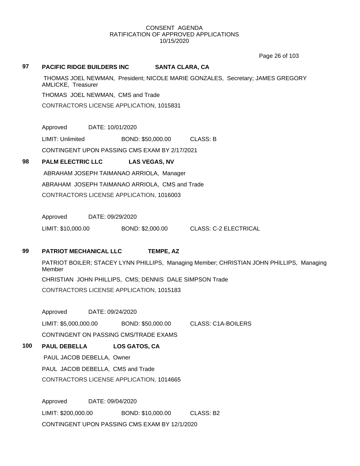Page 26 of 103

## **97 PACIFIC RIDGE BUILDERS INC SANTA CLARA, CA**

THOMAS JOEL NEWMAN, President; NICOLE MARIE GONZALES, Secretary; JAMES GREGORY AMLICKE, Treasurer

THOMAS JOEL NEWMAN, CMS and Trade

CONTRACTORS LICENSE APPLICATION, 1015831

Approved DATE: 10/01/2020

LIMIT: Unlimited BOND: \$50,000.00 CLASS: B

CONTINGENT UPON PASSING CMS EXAM BY 2/17/2021

# **98 PALM ELECTRIC LLC LAS VEGAS, NV**

ABRAHAM JOSEPH TAIMANAO ARRIOLA, Manager ABRAHAM JOSEPH TAIMANAO ARRIOLA, CMS and Trade CONTRACTORS LICENSE APPLICATION, 1016003

Approved DATE: 09/29/2020

LIMIT: \$10,000.00 BOND: \$2,000.00 CLASS: C-2 ELECTRICAL

# **99 PATRIOT MECHANICAL LLC TEMPE, AZ**

PATRIOT BOILER; STACEY LYNN PHILLIPS, Managing Member; CHRISTIAN JOHN PHILLIPS, Managing Member CHRISTIAN JOHN PHILLIPS, CMS; DENNIS DALE SIMPSON Trade CONTRACTORS LICENSE APPLICATION, 1015183

Approved DATE: 09/24/2020

LIMIT: \$5,000,000.00 BOND: \$50,000.00 CLASS: C1A-BOILERS CONTINGENT ON PASSING CMS/TRADE EXAMS

# **100 PAUL DEBELLA LOS GATOS, CA**

PAUL JACOB DEBELLA, Owner PAUL JACOB DEBELLA, CMS and Trade CONTRACTORS LICENSE APPLICATION, 1014665

Approved DATE: 09/04/2020 LIMIT: \$200,000.00 BOND: \$10,000.00 CLASS: B2 CONTINGENT UPON PASSING CMS EXAM BY 12/1/2020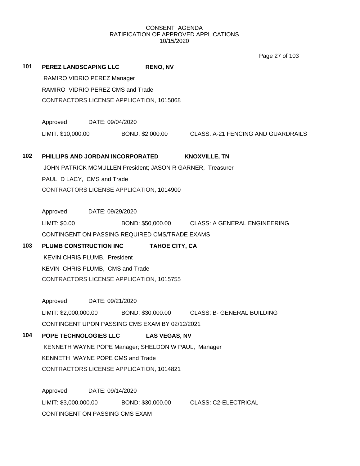Page 27 of 103

| 101 | <b>PEREZ LANDSCAPING LLC</b>             |                  | <b>RENO, NV</b>                                            |                                                                        |  |
|-----|------------------------------------------|------------------|------------------------------------------------------------|------------------------------------------------------------------------|--|
|     | RAMIRO VIDRIO PEREZ Manager              |                  |                                                            |                                                                        |  |
|     | RAMIRO VIDRIO PEREZ CMS and Trade        |                  |                                                            |                                                                        |  |
|     |                                          |                  | CONTRACTORS LICENSE APPLICATION, 1015868                   |                                                                        |  |
|     | Approved DATE: 09/04/2020                |                  |                                                            |                                                                        |  |
|     |                                          |                  |                                                            | LIMIT: \$10,000.00 BOND: \$2,000.00 CLASS: A-21 FENCING AND GUARDRAILS |  |
| 102 |                                          |                  | PHILLIPS AND JORDAN INCORPORATED                           | <b>KNOXVILLE, TN</b>                                                   |  |
|     |                                          |                  | JOHN PATRICK MCMULLEN President; JASON R GARNER, Treasurer |                                                                        |  |
|     | PAUL D LACY, CMS and Trade               |                  |                                                            |                                                                        |  |
|     |                                          |                  | CONTRACTORS LICENSE APPLICATION, 1014900                   |                                                                        |  |
|     |                                          |                  |                                                            |                                                                        |  |
|     | Approved DATE: 09/29/2020                |                  |                                                            |                                                                        |  |
|     | LIMIT: \$0.00                            |                  |                                                            | BOND: \$50,000.00 CLASS: A GENERAL ENGINEERING                         |  |
|     |                                          |                  | CONTINGENT ON PASSING REQUIRED CMS/TRADE EXAMS             |                                                                        |  |
| 103 | PLUMB CONSTRUCTION INC                   |                  | <b>TAHOE CITY, CA</b>                                      |                                                                        |  |
|     | KEVIN CHRIS PLUMB, President             |                  |                                                            |                                                                        |  |
|     | KEVIN CHRIS PLUMB, CMS and Trade         |                  |                                                            |                                                                        |  |
|     | CONTRACTORS LICENSE APPLICATION, 1015755 |                  |                                                            |                                                                        |  |
|     | Approved                                 | DATE: 09/21/2020 |                                                            |                                                                        |  |
|     |                                          |                  |                                                            | LIMIT: \$2,000,000.00 BOND: \$30,000.00 CLASS: B- GENERAL BUILDING     |  |
|     |                                          |                  | CONTINGENT UPON PASSING CMS EXAM BY 02/12/2021             |                                                                        |  |
| 104 | POPE TECHNOLOGIES LLC                    |                  | <b>LAS VEGAS, NV</b>                                       |                                                                        |  |
|     |                                          |                  | KENNETH WAYNE POPE Manager; SHELDON W PAUL, Manager        |                                                                        |  |
|     | KENNETH WAYNE POPE CMS and Trade         |                  |                                                            |                                                                        |  |
|     | CONTRACTORS LICENSE APPLICATION, 1014821 |                  |                                                            |                                                                        |  |
|     | Approved                                 | DATE: 09/14/2020 |                                                            |                                                                        |  |
|     | LIMIT: \$3,000,000.00                    |                  | BOND: \$30,000.00                                          | <b>CLASS: C2-ELECTRICAL</b>                                            |  |
|     | CONTINGENT ON PASSING CMS EXAM           |                  |                                                            |                                                                        |  |
|     |                                          |                  |                                                            |                                                                        |  |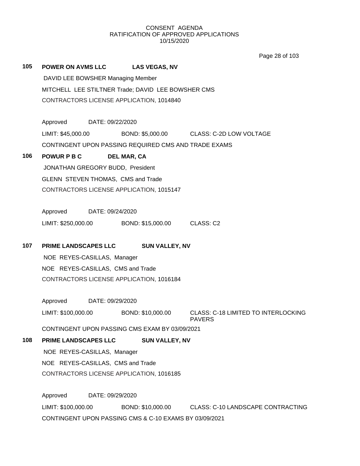Page 28 of 103

**105 POWER ON AVMS LLC LAS VEGAS, NV** DAVID LEE BOWSHER Managing Member MITCHELL LEE STILTNER Trade; DAVID LEE BOWSHER CMS CONTRACTORS LICENSE APPLICATION, 1014840 Approved DATE: 09/22/2020 LIMIT: \$45,000.00 BOND: \$5,000.00 CLASS: C-2D LOW VOLTAGE CONTINGENT UPON PASSING REQUIRED CMS AND TRADE EXAMS **106 POWUR P B C DEL MAR, CA** JONATHAN GREGORY BUDD, President GLENN STEVEN THOMAS, CMS and Trade CONTRACTORS LICENSE APPLICATION, 1015147 Approved DATE: 09/24/2020 LIMIT: \$250,000.00 BOND: \$15,000.00 CLASS: C2 **107 PRIME LANDSCAPES LLC SUN VALLEY, NV** NOE REYES-CASILLAS, Manager NOE REYES-CASILLAS, CMS and Trade CONTRACTORS LICENSE APPLICATION, 1016184 Approved DATE: 09/29/2020 LIMIT: \$100,000.00 BOND: \$10,000.00 CLASS: C-18 LIMITED TO INTERLOCKING PAVERS CONTINGENT UPON PASSING CMS EXAM BY 03/09/2021 **108 PRIME LANDSCAPES LLC SUN VALLEY, NV** NOE REYES-CASILLAS, Manager NOE REYES-CASILLAS, CMS and Trade CONTRACTORS LICENSE APPLICATION, 1016185 Approved DATE: 09/29/2020 LIMIT: \$100,000.00 BOND: \$10,000.00 CLASS: C-10 LANDSCAPE CONTRACTING CONTINGENT UPON PASSING CMS & C-10 EXAMS BY 03/09/2021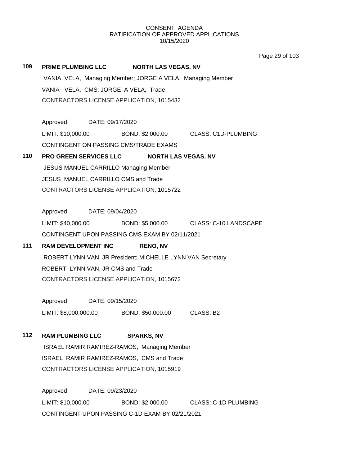Page 29 of 103

| 109 | PRIME PLUMBING LLC NORTH LAS VEGAS, NV                                |  |  |  |
|-----|-----------------------------------------------------------------------|--|--|--|
|     | VANIA VELA, Managing Member; JORGE A VELA, Managing Member            |  |  |  |
|     | VANIA VELA, CMS; JORGE A VELA, Trade                                  |  |  |  |
|     | CONTRACTORS LICENSE APPLICATION, 1015432                              |  |  |  |
|     |                                                                       |  |  |  |
|     | Approved DATE: 09/17/2020                                             |  |  |  |
|     | LIMIT: \$10,000.00 BOND: \$2,000.00 CLASS: C1D-PLUMBING               |  |  |  |
|     | CONTINGENT ON PASSING CMS/TRADE EXAMS                                 |  |  |  |
| 110 | PRO GREEN SERVICES LLC NORTH LAS VEGAS, NV                            |  |  |  |
|     | JESUS MANUEL CARRILLO Managing Member                                 |  |  |  |
|     | JESUS MANUEL CARRILLO CMS and Trade                                   |  |  |  |
|     | CONTRACTORS LICENSE APPLICATION, 1015722                              |  |  |  |
|     |                                                                       |  |  |  |
|     | Approved DATE: 09/04/2020                                             |  |  |  |
|     | LIMIT: \$40,000.00 BOND: \$5,000.00 CLASS: C-10 LANDSCAPE             |  |  |  |
|     | CONTINGENT UPON PASSING CMS EXAM BY 02/11/2021                        |  |  |  |
| 111 | <b>RAM DEVELOPMENT INC</b><br><b>RENO, NV</b>                         |  |  |  |
|     | ROBERT LYNN VAN, JR President; MICHELLE LYNN VAN Secretary            |  |  |  |
|     | ROBERT LYNN VAN, JR CMS and Trade                                     |  |  |  |
|     | CONTRACTORS LICENSE APPLICATION, 1015672                              |  |  |  |
|     | Approved DATE: 09/15/2020                                             |  |  |  |
|     | LIMIT: \$8,000,000.00 BOND: \$50,000.00 CLASS: B2                     |  |  |  |
|     |                                                                       |  |  |  |
| 112 | <b>RAM PLUMBING LLC</b><br><b>SPARKS, NV</b>                          |  |  |  |
|     | ISRAEL RAMIR RAMIREZ-RAMOS, Managing Member                           |  |  |  |
|     | ISRAEL RAMIR RAMIREZ-RAMOS, CMS and Trade                             |  |  |  |
|     | CONTRACTORS LICENSE APPLICATION, 1015919                              |  |  |  |
|     |                                                                       |  |  |  |
|     | Approved<br>DATE: 09/23/2020                                          |  |  |  |
|     | LIMIT: \$10,000.00<br>BOND: \$2,000.00<br><b>CLASS: C-1D PLUMBING</b> |  |  |  |
|     | CONTINGENT UPON PASSING C-1D EXAM BY 02/21/2021                       |  |  |  |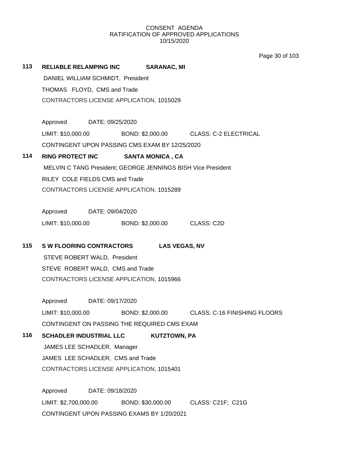Page 30 of 103

| 113 | <b>RELIABLE RELAMPING INC</b><br><b>SARANAC, MI</b>              |  |  |
|-----|------------------------------------------------------------------|--|--|
|     | DANIEL WILLIAM SCHMIDT, President                                |  |  |
|     | THOMAS FLOYD, CMS and Trade                                      |  |  |
|     | CONTRACTORS LICENSE APPLICATION, 1015029                         |  |  |
|     |                                                                  |  |  |
|     | Approved DATE: 09/25/2020                                        |  |  |
|     | LIMIT: \$10,000.00 BOND: \$2,000.00 CLASS: C-2 ELECTRICAL        |  |  |
|     | CONTINGENT UPON PASSING CMS EXAM BY 12/25/2020                   |  |  |
| 114 | RING PROTECT INC SANTA MONICA, CA                                |  |  |
|     | MELVIN C TANG President; GEORGE JENNINGS BISH Vice President     |  |  |
|     | RILEY COLE FIELDS CMS and Trade                                  |  |  |
|     | CONTRACTORS LICENSE APPLICATION, 1015289                         |  |  |
|     |                                                                  |  |  |
|     | Approved DATE: 09/04/2020                                        |  |  |
|     | LIMIT: \$10,000.00 BOND: \$2,000.00 CLASS: C2D                   |  |  |
| 115 | <b>SW FLOORING CONTRACTORS</b><br><b>LAS VEGAS, NV</b>           |  |  |
|     | STEVE ROBERT WALD, President                                     |  |  |
|     | STEVE ROBERT WALD, CMS and Trade                                 |  |  |
|     | CONTRACTORS LICENSE APPLICATION, 1015966                         |  |  |
|     |                                                                  |  |  |
|     | Approved DATE: 09/17/2020                                        |  |  |
|     | LIMIT: \$10,000.00 BOND: \$2,000.00 CLASS: C-16 FINISHING FLOORS |  |  |
|     | CONTINGENT ON PASSING THE REQUIRED CMS EXAM                      |  |  |
| 116 | <b>SCHADLER INDUSTRIAL LLC</b><br><b>KUTZTOWN, PA</b>            |  |  |
|     | JAMES LEE SCHADLER, Manager                                      |  |  |
|     | JAMES LEE SCHADLER, CMS and Trade                                |  |  |
|     | CONTRACTORS LICENSE APPLICATION, 1015401                         |  |  |
|     | Approved<br>DATE: 09/18/2020                                     |  |  |
|     |                                                                  |  |  |
|     | LIMIT: \$2,700,000.00<br>BOND: \$30,000.00<br>CLASS: C21F; C21G  |  |  |
|     | CONTINGENT UPON PASSING EXAMS BY 1/20/2021                       |  |  |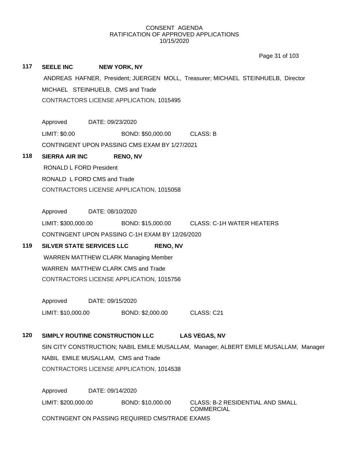|     |                                                                                      | Page 31 of 103                          |  |  |  |  |  |
|-----|--------------------------------------------------------------------------------------|-----------------------------------------|--|--|--|--|--|
| 117 | <b>SEELE INC</b><br><b>NEW YORK, NY</b>                                              |                                         |  |  |  |  |  |
|     | ANDREAS HAFNER, President; JUERGEN MOLL, Treasurer; MICHAEL STEINHUELB, Director     |                                         |  |  |  |  |  |
|     | MICHAEL STEINHUELB, CMS and Trade                                                    |                                         |  |  |  |  |  |
|     | CONTRACTORS LICENSE APPLICATION, 1015495                                             |                                         |  |  |  |  |  |
|     |                                                                                      |                                         |  |  |  |  |  |
|     | Approved DATE: 09/23/2020                                                            |                                         |  |  |  |  |  |
|     | LIMIT: \$0.00<br>BOND: \$50,000.00                                                   | <b>CLASS: B</b>                         |  |  |  |  |  |
|     | CONTINGENT UPON PASSING CMS EXAM BY 1/27/2021                                        |                                         |  |  |  |  |  |
| 118 | <b>SIERRA AIR INC</b><br><b>RENO, NV</b>                                             |                                         |  |  |  |  |  |
|     | <b>RONALD L FORD President</b>                                                       |                                         |  |  |  |  |  |
|     | RONALD L FORD CMS and Trade                                                          |                                         |  |  |  |  |  |
|     | CONTRACTORS LICENSE APPLICATION, 1015058                                             |                                         |  |  |  |  |  |
|     |                                                                                      |                                         |  |  |  |  |  |
|     | Approved<br>DATE: 08/10/2020                                                         |                                         |  |  |  |  |  |
|     | LIMIT: \$300,000.00 BOND: \$15,000.00 CLASS: C-1H WATER HEATERS                      |                                         |  |  |  |  |  |
|     | CONTINGENT UPON PASSING C-1H EXAM BY 12/26/2020                                      |                                         |  |  |  |  |  |
| 119 | SILVER STATE SERVICES LLC<br><b>RENO, NV</b>                                         |                                         |  |  |  |  |  |
|     | <b>WARREN MATTHEW CLARK Managing Member</b>                                          |                                         |  |  |  |  |  |
|     | WARREN MATTHEW CLARK CMS and Trade                                                   |                                         |  |  |  |  |  |
|     | CONTRACTORS LICENSE APPLICATION, 1015756                                             |                                         |  |  |  |  |  |
|     | Approved DATE: 09/15/2020                                                            |                                         |  |  |  |  |  |
|     | LIMIT: \$10,000.00<br>BOND: \$2,000.00                                               | CLASS: C21                              |  |  |  |  |  |
| 120 | SIMPLY ROUTINE CONSTRUCTION LLC                                                      | <b>LAS VEGAS, NV</b>                    |  |  |  |  |  |
|     | SIN CITY CONSTRUCTION; NABIL EMILE MUSALLAM, Manager; ALBERT EMILE MUSALLAM, Manager |                                         |  |  |  |  |  |
|     | NABIL EMILE MUSALLAM, CMS and Trade                                                  |                                         |  |  |  |  |  |
|     | CONTRACTORS LICENSE APPLICATION, 1014538                                             |                                         |  |  |  |  |  |
|     |                                                                                      |                                         |  |  |  |  |  |
|     | Approved<br>DATE: 09/14/2020                                                         |                                         |  |  |  |  |  |
|     | LIMIT: \$200,000.00<br>BOND: \$10,000.00                                             | <b>CLASS: B-2 RESIDENTIAL AND SMALL</b> |  |  |  |  |  |
|     |                                                                                      | <b>COMMERCIAL</b>                       |  |  |  |  |  |
|     | CONTINGENT ON PASSING REQUIRED CMS/TRADE EXAMS                                       |                                         |  |  |  |  |  |
|     |                                                                                      |                                         |  |  |  |  |  |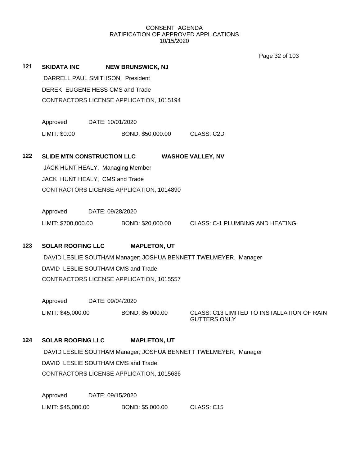Page 32 of 103

**121 SKIDATA INC NEW BRUNSWICK, NJ** DARRELL PAUL SMITHSON, President DEREK EUGENE HESS CMS and Trade CONTRACTORS LICENSE APPLICATION, 1015194 Approved DATE: 10/01/2020 LIMIT: \$0.00 BOND: \$50,000.00 CLASS: C2D **122 SLIDE MTN CONSTRUCTION LLC WASHOE VALLEY, NV** JACK HUNT HEALY, Managing Member JACK HUNT HEALY, CMS and Trade CONTRACTORS LICENSE APPLICATION, 1014890 Approved DATE: 09/28/2020 LIMIT: \$700,000.00 BOND: \$20,000.00 CLASS: C-1 PLUMBING AND HEATING **123 SOLAR ROOFING LLC MAPLETON, UT** DAVID LESLIE SOUTHAM Manager; JOSHUA BENNETT TWELMEYER, Manager DAVID LESLIE SOUTHAM CMS and Trade CONTRACTORS LICENSE APPLICATION, 1015557 Approved DATE: 09/04/2020 LIMIT: \$45,000.00 BOND: \$5,000.00 CLASS: C13 LIMITED TO INSTALLATION OF RAIN GUTTERS ONLY **124 SOLAR ROOFING LLC MAPLETON, UT** DAVID LESLIE SOUTHAM Manager; JOSHUA BENNETT TWELMEYER, Manager DAVID LESLIE SOUTHAM CMS and Trade CONTRACTORS LICENSE APPLICATION, 1015636 Approved DATE: 09/15/2020

LIMIT: \$45,000.00 BOND: \$5,000.00 CLASS: C15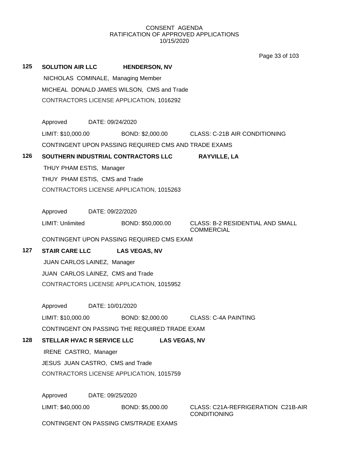Page 33 of 103

| 125 | <b>SOLUTION AIR LLC</b><br>NICHOLAS COMINALE, Managing Member<br>MICHEAL DONALD JAMES WILSON, CMS and Trade<br>CONTRACTORS LICENSE APPLICATION, 1016292 | <b>HENDERSON, NV</b> |                                                              |
|-----|---------------------------------------------------------------------------------------------------------------------------------------------------------|----------------------|--------------------------------------------------------------|
|     | Approved DATE: 09/24/2020                                                                                                                               |                      |                                                              |
|     | LIMIT: \$10,000.00                                                                                                                                      |                      | BOND: \$2,000.00 CLASS: C-21B AIR CONDITIONING               |
|     | CONTINGENT UPON PASSING REQUIRED CMS AND TRADE EXAMS                                                                                                    |                      |                                                              |
| 126 | SOUTHERN INDUSTRIAL CONTRACTORS LLC                                                                                                                     |                      | <b>RAYVILLE, LA</b>                                          |
|     | THUY PHAM ESTIS, Manager                                                                                                                                |                      |                                                              |
|     | THUY PHAM ESTIS, CMS and Trade                                                                                                                          |                      |                                                              |
|     | CONTRACTORS LICENSE APPLICATION, 1015263                                                                                                                |                      |                                                              |
|     |                                                                                                                                                         |                      |                                                              |
|     | Approved DATE: 09/22/2020                                                                                                                               |                      |                                                              |
|     | <b>LIMIT: Unlimited</b>                                                                                                                                 | BOND: \$50,000.00    | <b>CLASS: B-2 RESIDENTIAL AND SMALL</b><br><b>COMMERCIAL</b> |
|     | CONTINGENT UPON PASSING REQUIRED CMS EXAM                                                                                                               |                      |                                                              |
| 127 | <b>STAIR CARE LLC</b>                                                                                                                                   | <b>LAS VEGAS, NV</b> |                                                              |
|     | JUAN CARLOS LAINEZ, Manager                                                                                                                             |                      |                                                              |
|     | JUAN CARLOS LAINEZ, CMS and Trade                                                                                                                       |                      |                                                              |
|     | CONTRACTORS LICENSE APPLICATION, 1015952                                                                                                                |                      |                                                              |
|     | Approved<br>DATE: 10/01/2020                                                                                                                            |                      |                                                              |
|     | LIMIT: \$10,000.00                                                                                                                                      |                      | BOND: \$2,000.00 CLASS: C-4A PAINTING                        |
|     | CONTINGENT ON PASSING THE REQUIRED TRADE EXAM                                                                                                           |                      |                                                              |
| 128 | <b>STELLAR HVAC R SERVICE LLC</b>                                                                                                                       | <b>LAS VEGAS, NV</b> |                                                              |
|     | IRENE CASTRO, Manager                                                                                                                                   |                      |                                                              |
|     | JESUS JUAN CASTRO, CMS and Trade                                                                                                                        |                      |                                                              |
|     | CONTRACTORS LICENSE APPLICATION, 1015759                                                                                                                |                      |                                                              |
|     |                                                                                                                                                         |                      |                                                              |
|     | Approved<br>DATE: 09/25/2020                                                                                                                            |                      |                                                              |
|     | LIMIT: \$40,000.00                                                                                                                                      | BOND: \$5,000.00     | CLASS: C21A-REFRIGERATION C21B-AIR<br><b>CONDITIONING</b>    |
|     | CONTINGENT ON PASSING CMS/TRADE EXAMS                                                                                                                   |                      |                                                              |
|     |                                                                                                                                                         |                      |                                                              |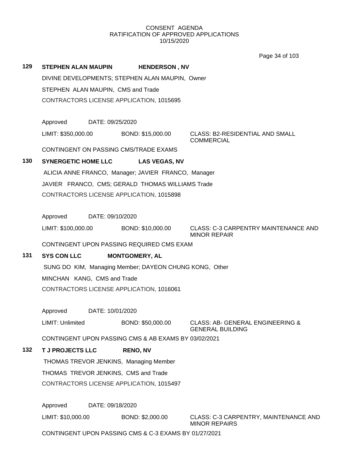Page 34 of 103

|     |                                                        |                       | Page 34 OF TOS                                                         |
|-----|--------------------------------------------------------|-----------------------|------------------------------------------------------------------------|
| 129 | STEPHEN ALAN MAUPIN                                    | <b>HENDERSON, NV</b>  |                                                                        |
|     | DIVINE DEVELOPMENTS; STEPHEN ALAN MAUPIN, Owner        |                       |                                                                        |
|     | STEPHEN ALAN MAUPIN, CMS and Trade                     |                       |                                                                        |
|     | CONTRACTORS LICENSE APPLICATION, 1015695               |                       |                                                                        |
|     |                                                        |                       |                                                                        |
|     | Approved<br>DATE: 09/25/2020                           |                       |                                                                        |
|     | LIMIT: \$350,000.00                                    | BOND: \$15,000.00     | CLASS: B2-RESIDENTIAL AND SMALL<br><b>COMMERCIAL</b>                   |
|     | CONTINGENT ON PASSING CMS/TRADE EXAMS                  |                       |                                                                        |
| 130 | <b>SYNERGETIC HOME LLC</b>                             | <b>LAS VEGAS, NV</b>  |                                                                        |
|     | ALICIA ANNE FRANCO, Manager; JAVIER FRANCO, Manager    |                       |                                                                        |
|     | JAVIER FRANCO, CMS; GERALD THOMAS WILLIAMS Trade       |                       |                                                                        |
|     | CONTRACTORS LICENSE APPLICATION, 1015898               |                       |                                                                        |
|     |                                                        |                       |                                                                        |
|     | Approved<br>DATE: 09/10/2020                           |                       |                                                                        |
|     | LIMIT: \$100,000.00                                    | BOND: \$10,000.00     | <b>CLASS: C-3 CARPENTRY MAINTENANCE AND</b><br><b>MINOR REPAIR</b>     |
|     | CONTINGENT UPON PASSING REQUIRED CMS EXAM              |                       |                                                                        |
| 131 | <b>SYS CON LLC</b>                                     | <b>MONTGOMERY, AL</b> |                                                                        |
|     | SUNG DO KIM, Managing Member; DAYEON CHUNG KONG, Other |                       |                                                                        |
|     | MINCHAN KANG, CMS and Trade                            |                       |                                                                        |
|     | CONTRACTORS LICENSE APPLICATION, 1016061               |                       |                                                                        |
|     |                                                        |                       |                                                                        |
|     | Approved<br>DATE: 10/01/2020                           |                       |                                                                        |
|     | LIMIT: Unlimited                                       | BOND: \$50,000.00     | <b>CLASS: AB- GENERAL ENGINEERING &amp;</b><br><b>GENERAL BUILDING</b> |
|     | CONTINGENT UPON PASSING CMS & AB EXAMS BY 03/02/2021   |                       |                                                                        |
| 132 | <b>T J PROJECTS LLC</b>                                | <b>RENO, NV</b>       |                                                                        |
|     | THOMAS TREVOR JENKINS, Managing Member                 |                       |                                                                        |
|     | THOMAS TREVOR JENKINS, CMS and Trade                   |                       |                                                                        |
|     | CONTRACTORS LICENSE APPLICATION, 1015497               |                       |                                                                        |
|     |                                                        |                       |                                                                        |
|     | Approved<br>DATE: 09/18/2020                           |                       |                                                                        |
|     | LIMIT: \$10,000.00                                     | BOND: \$2,000.00      | CLASS: C-3 CARPENTRY, MAINTENANCE AND                                  |

MINOR REPAIRS

CONTINGENT UPON PASSING CMS & C-3 EXAMS BY 01/27/2021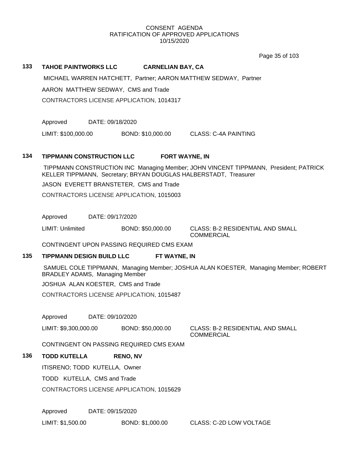Page 35 of 103

#### **133 TAHOE PAINTWORKS LLC CARNELIAN BAY, CA**

MICHAEL WARREN HATCHETT, Partner; AARON MATTHEW SEDWAY, Partner

AARON MATTHEW SEDWAY, CMS and Trade

CONTRACTORS LICENSE APPLICATION, 1014317

Approved DATE: 09/18/2020

LIMIT: \$100,000.00 BOND: \$10,000.00 CLASS: C-4A PAINTING

#### **134 TIPPMANN CONSTRUCTION LLC FORT WAYNE, IN**

TIPPMANN CONSTRUCTION INC Managing Member; JOHN VINCENT TIPPMANN, President; PATRICK KELLER TIPPMANN, Secretary; BRYAN DOUGLAS HALBERSTADT, Treasurer

JASON EVERETT BRANSTETER, CMS and Trade

CONTRACTORS LICENSE APPLICATION, 1015003

Approved DATE: 09/17/2020

LIMIT: Unlimited BOND: \$50,000.00 CLASS: B-2 RESIDENTIAL AND SMALL

COMMERCIAL

CONTINGENT UPON PASSING REQUIRED CMS EXAM

# **135 TIPPMANN DESIGN BUILD LLC FT WAYNE, IN**

SAMUEL COLE TIPPMANN, Managing Member; JOSHUA ALAN KOESTER, Managing Member; ROBERT BRADLEY ADAMS, Managing Member

JOSHUA ALAN KOESTER, CMS and Trade

CONTRACTORS LICENSE APPLICATION, 1015487

Approved DATE: 09/10/2020

LIMIT: \$9,300,000.00 BOND: \$50,000.00 CLASS: B-2 RESIDENTIAL AND SMALL

**COMMERCIAL** 

CONTINGENT ON PASSING REQUIRED CMS EXAM

# **136 TODD KUTELLA RENO, NV**

ITISRENO; TODD KUTELLA, Owner

TODD KUTELLA, CMS and Trade

CONTRACTORS LICENSE APPLICATION, 1015629

Approved DATE: 09/15/2020

LIMIT: \$1,500.00 BOND: \$1,000.00 CLASS: C-2D LOW VOLTAGE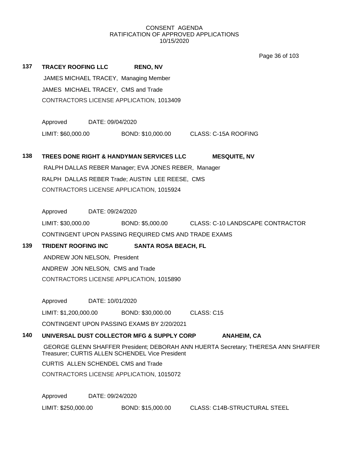Page 36 of 103

| 137 | <b>TRACEY ROOFING LLC</b>        |                  | <b>RENO, NV</b>                                                                       |                                                                                   |
|-----|----------------------------------|------------------|---------------------------------------------------------------------------------------|-----------------------------------------------------------------------------------|
|     |                                  |                  | JAMES MICHAEL TRACEY, Managing Member                                                 |                                                                                   |
|     |                                  |                  | JAMES MICHAEL TRACEY, CMS and Trade                                                   |                                                                                   |
|     |                                  |                  | CONTRACTORS LICENSE APPLICATION, 1013409                                              |                                                                                   |
|     |                                  |                  |                                                                                       |                                                                                   |
|     | Approved                         | DATE: 09/04/2020 |                                                                                       |                                                                                   |
|     |                                  |                  |                                                                                       | LIMIT: \$60,000.00 BOND: \$10,000.00 CLASS: C-15A ROOFING                         |
|     |                                  |                  |                                                                                       |                                                                                   |
| 138 |                                  |                  | TREES DONE RIGHT & HANDYMAN SERVICES LLC                                              | <b>MESQUITE, NV</b>                                                               |
|     |                                  |                  | RALPH DALLAS REBER Manager; EVA JONES REBER, Manager                                  |                                                                                   |
|     |                                  |                  | RALPH DALLAS REBER Trade; AUSTIN LEE REESE, CMS                                       |                                                                                   |
|     |                                  |                  | CONTRACTORS LICENSE APPLICATION, 1015924                                              |                                                                                   |
|     |                                  |                  |                                                                                       |                                                                                   |
|     | Approved DATE: 09/24/2020        |                  |                                                                                       |                                                                                   |
|     |                                  |                  |                                                                                       | LIMIT: \$30,000.00 BOND: \$5,000.00 CLASS: C-10 LANDSCAPE CONTRACTOR              |
|     |                                  |                  | CONTINGENT UPON PASSING REQUIRED CMS AND TRADE EXAMS                                  |                                                                                   |
| 139 |                                  |                  | TRIDENT ROOFING INC SANTA ROSA BEACH, FL                                              |                                                                                   |
|     | ANDREW JON NELSON, President     |                  |                                                                                       |                                                                                   |
|     | ANDREW JON NELSON, CMS and Trade |                  |                                                                                       |                                                                                   |
|     |                                  |                  | CONTRACTORS LICENSE APPLICATION, 1015890                                              |                                                                                   |
|     |                                  |                  |                                                                                       |                                                                                   |
|     | Approved DATE: 10/01/2020        |                  |                                                                                       | CLASS: C15                                                                        |
|     |                                  |                  | LIMIT: \$1,200,000.00 BOND: \$30,000.00<br>CONTINGENT UPON PASSING EXAMS BY 2/20/2021 |                                                                                   |
| 140 |                                  |                  | UNIVERSAL DUST COLLECTOR MFG & SUPPLY CORP                                            |                                                                                   |
|     |                                  |                  |                                                                                       | <b>ANAHEIM, CA</b>                                                                |
|     |                                  |                  | Treasurer; CURTIS ALLEN SCHENDEL Vice President                                       | GEORGE GLENN SHAFFER President; DEBORAH ANN HUERTA Secretary; THERESA ANN SHAFFER |
|     |                                  |                  | <b>CURTIS ALLEN SCHENDEL CMS and Trade</b>                                            |                                                                                   |
|     |                                  |                  | CONTRACTORS LICENSE APPLICATION, 1015072                                              |                                                                                   |
|     |                                  |                  |                                                                                       |                                                                                   |
|     | Approved                         | DATE: 09/24/2020 |                                                                                       |                                                                                   |
|     | LIMIT: \$250,000.00              |                  | BOND: \$15,000.00                                                                     | <b>CLASS: C14B-STRUCTURAL STEEL</b>                                               |
|     |                                  |                  |                                                                                       |                                                                                   |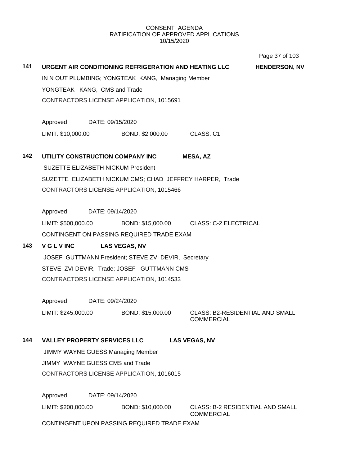# **141 URGENT AIR CONDITIONING REFRIGERATION AND HEATING LLC HENDERSON, NV** IN N OUT PLUMBING; YONGTEAK KANG, Managing Member YONGTEAK KANG, CMS and Trade CONTRACTORS LICENSE APPLICATION, 1015691 Approved DATE: 09/15/2020 LIMIT: \$10,000.00 BOND: \$2,000.00 CLASS: C1 **142 UTILITY CONSTRUCTION COMPANY INC MESA, AZ** SUZETTE ELIZABETH NICKUM President SUZETTE ELIZABETH NICKUM CMS; CHAD JEFFREY HARPER, Trade CONTRACTORS LICENSE APPLICATION, 1015466 Approved DATE: 09/14/2020 LIMIT: \$500,000.00 BOND: \$15,000.00 CLASS: C-2 ELECTRICAL CONTINGENT ON PASSING REQUIRED TRADE EXAM **143 V G L V INC LAS VEGAS, NV** JOSEF GUTTMANN President; STEVE ZVI DEVIR, Secretary STEVE ZVI DEVIR, Trade; JOSEF GUTTMANN CMS CONTRACTORS LICENSE APPLICATION, 1014533 Approved DATE: 09/24/2020 LIMIT: \$245,000.00 BOND: \$15,000.00 CLASS: B2-RESIDENTIAL AND SMALL COMMERCIAL **144 VALLEY PROPERTY SERVICES LLC LAS VEGAS, NV** JIMMY WAYNE GUESS Managing Member JIMMY WAYNE GUESS CMS and Trade CONTRACTORS LICENSE APPLICATION, 1016015 Approved DATE: 09/14/2020 LIMIT: \$200,000.00 BOND: \$10,000.00 CLASS: B-2 RESIDENTIAL AND SMALL COMMERCIAL CONTINGENT UPON PASSING REQUIRED TRADE EXAM Page 37 of 103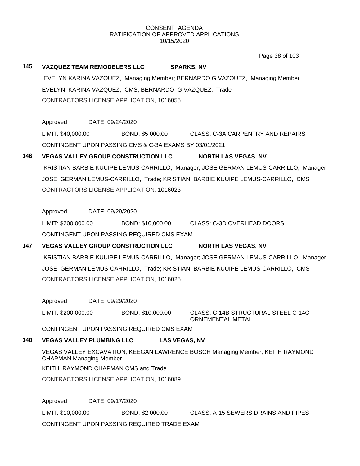Page 38 of 103

| 145 |                                  |                  | <b>VAZQUEZ TEAM REMODELERS LLC</b>                     | <b>SPARKS, NV</b>                                                                   |
|-----|----------------------------------|------------------|--------------------------------------------------------|-------------------------------------------------------------------------------------|
|     |                                  |                  |                                                        | EVELYN KARINA VAZQUEZ, Managing Member; BERNARDO G VAZQUEZ, Managing Member         |
|     |                                  |                  | EVELYN KARINA VAZQUEZ, CMS; BERNARDO G VAZQUEZ, Trade  |                                                                                     |
|     |                                  |                  | CONTRACTORS LICENSE APPLICATION, 1016055               |                                                                                     |
|     |                                  |                  |                                                        |                                                                                     |
|     | Approved                         | DATE: 09/24/2020 |                                                        |                                                                                     |
|     | LIMIT: \$40,000.00               |                  |                                                        | BOND: \$5,000.00 CLASS: C-3A CARPENTRY AND REPAIRS                                  |
|     |                                  |                  | CONTINGENT UPON PASSING CMS & C-3A EXAMS BY 03/01/2021 |                                                                                     |
| 146 |                                  |                  | <b>VEGAS VALLEY GROUP CONSTRUCTION LLC</b>             | <b>NORTH LAS VEGAS, NV</b>                                                          |
|     |                                  |                  |                                                        | KRISTIAN BARBIE KUUIPE LEMUS-CARRILLO, Manager; JOSE GERMAN LEMUS-CARRILLO, Manager |
|     |                                  |                  |                                                        | JOSE GERMAN LEMUS-CARRILLO, Trade; KRISTIAN BARBIE KUUIPE LEMUS-CARRILLO, CMS       |
|     |                                  |                  | CONTRACTORS LICENSE APPLICATION, 1016023               |                                                                                     |
|     |                                  |                  |                                                        |                                                                                     |
|     | Approved                         | DATE: 09/29/2020 |                                                        |                                                                                     |
|     | LIMIT: \$200,000.00              |                  |                                                        | BOND: \$10,000.00 CLASS: C-3D OVERHEAD DOORS                                        |
|     |                                  |                  | CONTINGENT UPON PASSING REQUIRED CMS EXAM              |                                                                                     |
| 147 |                                  |                  | <b>VEGAS VALLEY GROUP CONSTRUCTION LLC</b>             | <b>NORTH LAS VEGAS, NV</b>                                                          |
|     |                                  |                  |                                                        | KRISTIAN BARBIE KUUIPE LEMUS-CARRILLO, Manager; JOSE GERMAN LEMUS-CARRILLO, Manager |
|     |                                  |                  |                                                        | JOSE GERMAN LEMUS-CARRILLO, Trade; KRISTIAN BARBIE KUUIPE LEMUS-CARRILLO, CMS       |
|     |                                  |                  | CONTRACTORS LICENSE APPLICATION, 1016025               |                                                                                     |
|     |                                  |                  |                                                        |                                                                                     |
|     | Approved                         | DATE: 09/29/2020 |                                                        |                                                                                     |
|     | LIMIT: \$200,000.00              |                  | BOND: \$10,000.00                                      | CLASS: C-14B STRUCTURAL STEEL C-14C<br>ORNEMENTAL METAL                             |
|     |                                  |                  | CONTINGENT UPON PASSING REQUIRED CMS EXAM              |                                                                                     |
| 148 | <b>VEGAS VALLEY PLUMBING LLC</b> |                  |                                                        | <b>LAS VEGAS, NV</b>                                                                |
|     | <b>CHAPMAN Managing Member</b>   |                  |                                                        | VEGAS VALLEY EXCAVATION; KEEGAN LAWRENCE BOSCH Managing Member; KEITH RAYMOND       |
|     |                                  |                  | KEITH RAYMOND CHAPMAN CMS and Trade                    |                                                                                     |
|     |                                  |                  | CONTRACTORS LICENSE APPLICATION, 1016089               |                                                                                     |
|     |                                  |                  |                                                        |                                                                                     |
|     | Approved                         |                  | DATE: 09/17/2020                                       |                                                                                     |
|     | LIMIT: \$10,000.00               |                  | BOND: \$2,000.00                                       | <b>CLASS: A-15 SEWERS DRAINS AND PIPES</b>                                          |
|     |                                  |                  | CONTINGENT UPON PASSING REQUIRED TRADE EXAM            |                                                                                     |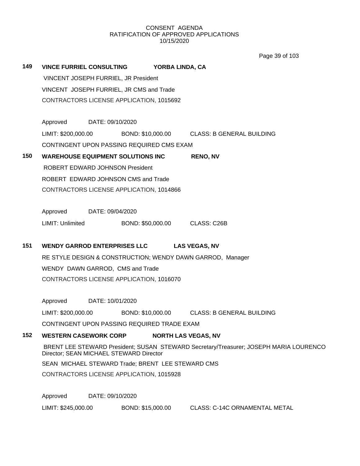Page 39 of 103

| 149 | <b>VINCE FURRIEL CONSULTING</b>                            | YORBA LINDA, CA               |                                                                                       |
|-----|------------------------------------------------------------|-------------------------------|---------------------------------------------------------------------------------------|
|     | VINCENT JOSEPH FURRIEL, JR President                       |                               |                                                                                       |
|     | VINCENT JOSEPH FURRIEL, JR CMS and Trade                   |                               |                                                                                       |
|     | CONTRACTORS LICENSE APPLICATION, 1015692                   |                               |                                                                                       |
|     | Approved DATE: 09/10/2020                                  |                               |                                                                                       |
|     |                                                            |                               | LIMIT: \$200,000.00 BOND: \$10,000.00 CLASS: B GENERAL BUILDING                       |
|     | CONTINGENT UPON PASSING REQUIRED CMS EXAM                  |                               |                                                                                       |
| 150 | <b>WAREHOUSE EQUIPMENT SOLUTIONS INC</b>                   |                               | <b>RENO, NV</b>                                                                       |
|     | <b>ROBERT EDWARD JOHNSON President</b>                     |                               |                                                                                       |
|     | ROBERT EDWARD JOHNSON CMS and Trade                        |                               |                                                                                       |
|     | CONTRACTORS LICENSE APPLICATION, 1014866                   |                               |                                                                                       |
|     | Approved DATE: 09/04/2020                                  |                               |                                                                                       |
|     | <b>LIMIT: Unlimited</b>                                    | BOND: \$50,000.00 CLASS: C26B |                                                                                       |
| 151 | <b>WENDY GARROD ENTERPRISES LLC</b>                        |                               | <b>LAS VEGAS, NV</b>                                                                  |
|     |                                                            |                               |                                                                                       |
|     | RE STYLE DESIGN & CONSTRUCTION; WENDY DAWN GARROD, Manager |                               |                                                                                       |
|     | WENDY DAWN GARROD, CMS and Trade                           |                               |                                                                                       |
|     | CONTRACTORS LICENSE APPLICATION, 1016070                   |                               |                                                                                       |
|     | Approved DATE: 10/01/2020                                  |                               |                                                                                       |
|     |                                                            |                               | LIMIT: \$200,000.00 BOND: \$10,000.00 CLASS: B GENERAL BUILDING                       |
|     | CONTINGENT UPON PASSING REQUIRED TRADE EXAM                |                               |                                                                                       |
| 152 | <b>WESTERN CASEWORK CORP</b>                               |                               | <b>NORTH LAS VEGAS, NV</b>                                                            |
|     | Director; SEAN MICHAEL STEWARD Director                    |                               | BRENT LEE STEWARD President; SUSAN STEWARD Secretary/Treasurer; JOSEPH MARIA LOURENCO |
|     | SEAN MICHAEL STEWARD Trade; BRENT LEE STEWARD CMS          |                               |                                                                                       |
|     | CONTRACTORS LICENSE APPLICATION, 1015928                   |                               |                                                                                       |
|     | Approved<br>DATE: 09/10/2020                               |                               |                                                                                       |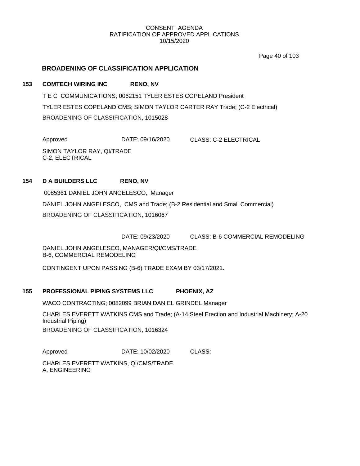Page 40 of 103

# **BROADENING OF CLASSIFICATION APPLICATION**

# **153 COMTECH WIRING INC RENO, NV**

T E C COMMUNICATIONS; 0062151 TYLER ESTES COPELAND President TYLER ESTES COPELAND CMS; SIMON TAYLOR CARTER RAY Trade; (C-2 Electrical) BROADENING OF CLASSIFICATION, 1015028

Approved DATE: 09/16/2020 CLASS: C-2 ELECTRICAL SIMON TAYLOR RAY, QI/TRADE C-2, ELECTRICAL

# **154 D A BUILDERS LLC RENO, NV**

0085361 DANIEL JOHN ANGELESCO, Manager DANIEL JOHN ANGELESCO, CMS and Trade; (B-2 Residential and Small Commercial) BROADENING OF CLASSIFICATION, 1016067

DATE: 09/23/2020 CLASS: B-6 COMMERCIAL REMODELING

DANIEL JOHN ANGELESCO, MANAGER/QI/CMS/TRADE B-6, COMMERCIAL REMODELING

CONTINGENT UPON PASSING (B-6) TRADE EXAM BY 03/17/2021.

# **155 PROFESSIONAL PIPING SYSTEMS LLC PHOENIX, AZ**

WACO CONTRACTING; 0082099 BRIAN DANIEL GRINDEL Manager

CHARLES EVERETT WATKINS CMS and Trade; (A-14 Steel Erection and Industrial Machinery; A-20 Industrial Piping) BROADENING OF CLASSIFICATION, 1016324

Approved DATE: 10/02/2020 CLASS:

CHARLES EVERETT WATKINS, QI/CMS/TRADE A, ENGINEERING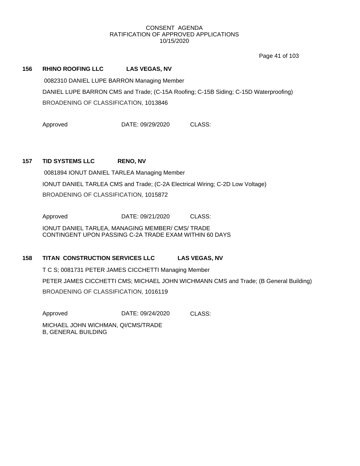Page 41 of 103

# **156 RHINO ROOFING LLC LAS VEGAS, NV**

0082310 DANIEL LUPE BARRON Managing Member DANIEL LUPE BARRON CMS and Trade; (C-15A Roofing; C-15B Siding; C-15D Waterproofing) BROADENING OF CLASSIFICATION, 1013846

Approved DATE: 09/29/2020 CLASS:

## **157 TID SYSTEMS LLC RENO, NV**

0081894 IONUT DANIEL TARLEA Managing Member IONUT DANIEL TARLEA CMS and Trade; (C-2A Electrical Wiring; C-2D Low Voltage) BROADENING OF CLASSIFICATION, 1015872

Approved DATE: 09/21/2020 CLASS:

IONUT DANIEL TARLEA, MANAGING MEMBER/ CMS/ TRADE CONTINGENT UPON PASSING C-2A TRADE EXAM WITHIN 60 DAYS

#### **158 TITAN CONSTRUCTION SERVICES LLC LAS VEGAS, NV**

T C S; 0081731 PETER JAMES CICCHETTI Managing Member PETER JAMES CICCHETTI CMS; MICHAEL JOHN WICHMANN CMS and Trade; (B General Building)

BROADENING OF CLASSIFICATION, 1016119

Approved DATE: 09/24/2020 CLASS:

MICHAEL JOHN WICHMAN, QI/CMS/TRADE B, GENERAL BUILDING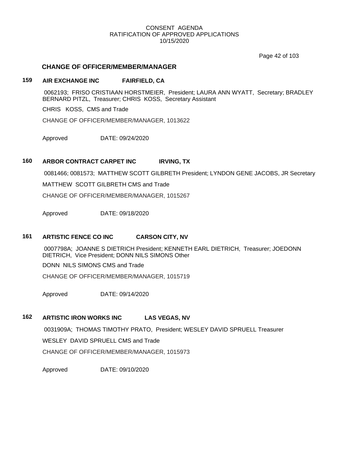Page 42 of 103

# **CHANGE OF OFFICER/MEMBER/MANAGER**

# **159 AIR EXCHANGE INC FAIRFIELD, CA**

0062193; FRISO CRISTIAAN HORSTMEIER, President; LAURA ANN WYATT, Secretary; BRADLEY BERNARD PITZL, Treasurer; CHRIS KOSS, Secretary Assistant

CHRIS KOSS, CMS and Trade

CHANGE OF OFFICER/MEMBER/MANAGER, 1013622

Approved DATE: 09/24/2020

# **160 ARBOR CONTRACT CARPET INC IRVING, TX**

0081466; 0081573; MATTHEW SCOTT GILBRETH President; LYNDON GENE JACOBS, JR Secretary MATTHEW SCOTT GILBRETH CMS and Trade

CHANGE OF OFFICER/MEMBER/MANAGER, 1015267

Approved DATE: 09/18/2020

# **161 ARTISTIC FENCE CO INC CARSON CITY, NV**

0007798A; JOANNE S DIETRICH President; KENNETH EARL DIETRICH, Treasurer; JOEDONN DIETRICH, Vice President; DONN NILS SIMONS Other DONN NILS SIMONS CMS and Trade

CHANGE OF OFFICER/MEMBER/MANAGER, 1015719

Approved DATE: 09/14/2020

# **162 ARTISTIC IRON WORKS INC LAS VEGAS, NV**

0031909A; THOMAS TIMOTHY PRATO, President; WESLEY DAVID SPRUELL Treasurer WESLEY DAVID SPRUELL CMS and Trade CHANGE OF OFFICER/MEMBER/MANAGER, 1015973

Approved DATE: 09/10/2020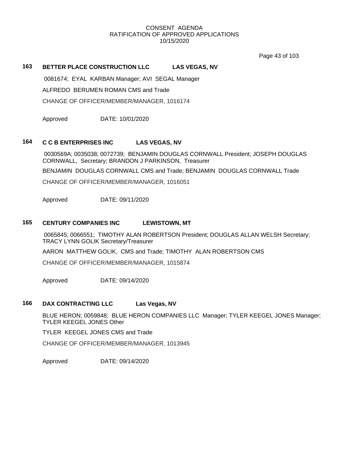Page 43 of 103

## **163 BETTER PLACE CONSTRUCTION LLC LAS VEGAS, NV**

0081674; EYAL KARBAN Manager; AVI SEGAL Manager

ALFREDO BERUMEN ROMAN CMS and Trade

CHANGE OF OFFICER/MEMBER/MANAGER, 1016174

Approved DATE: 10/01/2020

## **164 C C B ENTERPRISES INC LAS VEGAS, NV**

0030569A; 0035038; 0072739; BENJAMIN DOUGLAS CORNWALL President; JOSEPH DOUGLAS CORNWALL, Secretary; BRANDON J PARKINSON, Treasurer

BENJAMIN DOUGLAS CORNWALL CMS and Trade; BENJAMIN DOUGLAS CORNWALL Trade

CHANGE OF OFFICER/MEMBER/MANAGER, 1016051

Approved DATE: 09/11/2020

#### **165 CENTURY COMPANIES INC LEWISTOWN, MT**

0065845; 0066551; TIMOTHY ALAN ROBERTSON President; DOUGLAS ALLAN WELSH Secretary; TRACY LYNN GOLIK Secretary/Treasurer

AARON MATTHEW GOLIK, CMS and Trade; TIMOTHY ALAN ROBERTSON CMS

CHANGE OF OFFICER/MEMBER/MANAGER, 1015874

Approved DATE: 09/14/2020

## **166 DAX CONTRACTING LLC Las Vegas, NV**

BLUE HERON; 0059848; BLUE HERON COMPANIES LLC Manager; TYLER KEEGEL JONES Manager; TYLER KEEGEL JONES Other

TYLER KEEGEL JONES CMS and Trade

CHANGE OF OFFICER/MEMBER/MANAGER, 1013945

Approved DATE: 09/14/2020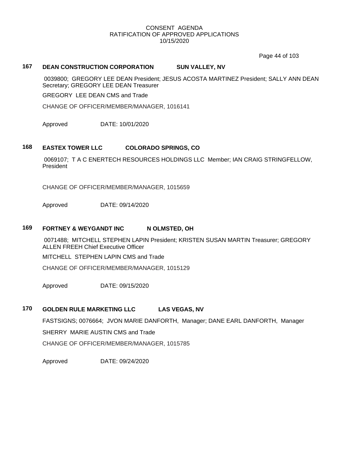Page 44 of 103

## **167 DEAN CONSTRUCTION CORPORATION SUN VALLEY, NV**

0039800; GREGORY LEE DEAN President; JESUS ACOSTA MARTINEZ President; SALLY ANN DEAN Secretary; GREGORY LEE DEAN Treasurer

GREGORY LEE DEAN CMS and Trade

CHANGE OF OFFICER/MEMBER/MANAGER, 1016141

Approved DATE: 10/01/2020

#### **168 EASTEX TOWER LLC COLORADO SPRINGS, CO**

0069107; T A C ENERTECH RESOURCES HOLDINGS LLC Member; IAN CRAIG STRINGFELLOW, President

CHANGE OF OFFICER/MEMBER/MANAGER, 1015659

Approved DATE: 09/14/2020

#### **169 FORTNEY & WEYGANDT INC N OLMSTED, OH**

0071488; MITCHELL STEPHEN LAPIN President; KRISTEN SUSAN MARTIN Treasurer; GREGORY ALLEN FREEH Chief Executive Officer

MITCHELL STEPHEN LAPIN CMS and Trade

CHANGE OF OFFICER/MEMBER/MANAGER, 1015129

Approved DATE: 09/15/2020

# **170 GOLDEN RULE MARKETING LLC LAS VEGAS, NV**

FASTSIGNS; 0076664; JVON MARIE DANFORTH, Manager; DANE EARL DANFORTH, Manager SHERRY MARIE AUSTIN CMS and Trade

CHANGE OF OFFICER/MEMBER/MANAGER, 1015785

Approved DATE: 09/24/2020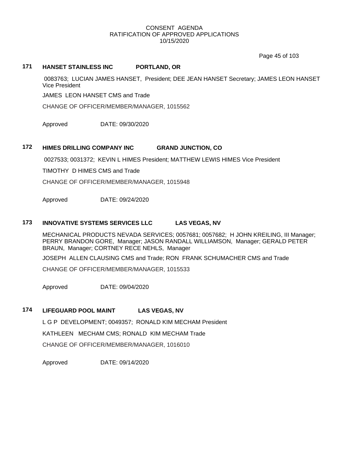Page 45 of 103

# **171 HANSET STAINLESS INC PORTLAND, OR**

0083763; LUCIAN JAMES HANSET, President; DEE JEAN HANSET Secretary; JAMES LEON HANSET Vice President

JAMES LEON HANSET CMS and Trade

CHANGE OF OFFICER/MEMBER/MANAGER, 1015562

Approved DATE: 09/30/2020

# **172 HIMES DRILLING COMPANY INC GRAND JUNCTION, CO**

0027533; 0031372; KEVIN L HIMES President; MATTHEW LEWIS HIMES Vice President

TIMOTHY D HIMES CMS and Trade

CHANGE OF OFFICER/MEMBER/MANAGER, 1015948

Approved DATE: 09/24/2020

#### **173 INNOVATIVE SYSTEMS SERVICES LLC LAS VEGAS, NV**

MECHANICAL PRODUCTS NEVADA SERVICES; 0057681; 0057682; H JOHN KREILING, III Manager; PERRY BRANDON GORE, Manager; JASON RANDALL WILLIAMSON, Manager; GERALD PETER BRAUN, Manager; CORTNEY RECE NEHLS, Manager

JOSEPH ALLEN CLAUSING CMS and Trade; RON FRANK SCHUMACHER CMS and Trade

CHANGE OF OFFICER/MEMBER/MANAGER, 1015533

Approved DATE: 09/04/2020

#### **174 LIFEGUARD POOL MAINT LAS VEGAS, NV**

L G P DEVELOPMENT; 0049357; RONALD KIM MECHAM President KATHLEEN MECHAM CMS; RONALD KIM MECHAM Trade

CHANGE OF OFFICER/MEMBER/MANAGER, 1016010

Approved DATE: 09/14/2020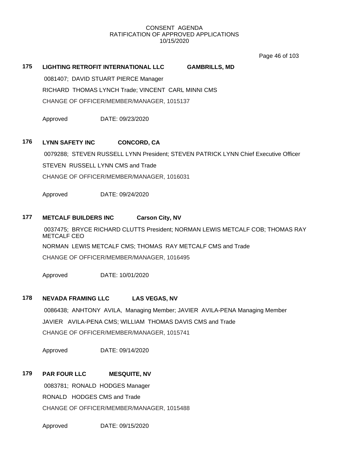Page 46 of 103

# **175 LIGHTING RETROFIT INTERNATIONAL LLC GAMBRILLS, MD**

0081407; DAVID STUART PIERCE Manager

RICHARD THOMAS LYNCH Trade; VINCENT CARL MINNI CMS CHANGE OF OFFICER/MEMBER/MANAGER, 1015137

Approved DATE: 09/23/2020

# **176 LYNN SAFETY INC CONCORD, CA**

0079288; STEVEN RUSSELL LYNN President; STEVEN PATRICK LYNN Chief Executive Officer STEVEN RUSSELL LYNN CMS and Trade CHANGE OF OFFICER/MEMBER/MANAGER, 1016031

Approved DATE: 09/24/2020

# **177 METCALF BUILDERS INC Carson City, NV**

0037475; BRYCE RICHARD CLUTTS President; NORMAN LEWIS METCALF COB; THOMAS RAY METCALF CEO NORMAN LEWIS METCALF CMS; THOMAS RAY METCALF CMS and Trade CHANGE OF OFFICER/MEMBER/MANAGER, 1016495

Approved DATE: 10/01/2020

#### **178 NEVADA FRAMING LLC LAS VEGAS, NV**

0086438; ANHTONY AVILA, Managing Member; JAVIER AVILA-PENA Managing Member JAVIER AVILA-PENA CMS; WILLIAM THOMAS DAVIS CMS and Trade CHANGE OF OFFICER/MEMBER/MANAGER, 1015741

Approved DATE: 09/14/2020

#### **179 PAR FOUR LLC MESQUITE, NV**

0083781; RONALD HODGES Manager RONALD HODGES CMS and Trade CHANGE OF OFFICER/MEMBER/MANAGER, 1015488

Approved DATE: 09/15/2020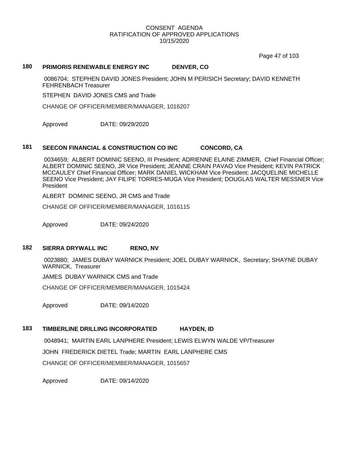Page 47 of 103

#### **180 PRIMORIS RENEWABLE ENERGY INC DENVER, CO**

0086704; STEPHEN DAVID JONES President; JOHN M PERISICH Secretary; DAVID KENNETH FEHRENBACH Treasurer

STEPHEN DAVID JONES CMS and Trade

CHANGE OF OFFICER/MEMBER/MANAGER, 1016207

Approved DATE: 09/29/2020

# **181 SEECON FINANCIAL & CONSTRUCTION CO INC CONCORD, CA**

0034659; ALBERT DOMINIC SEENO, III President; ADRIENNE ELAINE ZIMMER, Chief Financial Officer; ALBERT DOMINIC SEENO, JR Vice President; JEANNE CRAIN PAVAO Vice President; KEVIN PATRICK MCCAULEY Chief Financial Officer; MARK DANIEL WICKHAM Vice President; JACQUELINE MICHELLE SEENO Vice President; JAY FILIPE TORRES-MUGA Vice President; DOUGLAS WALTER MESSNER Vice President

ALBERT DOMINIC SEENO, JR CMS and Trade

CHANGE OF OFFICER/MEMBER/MANAGER, 1016115

Approved DATE: 09/24/2020

# **182 SIERRA DRYWALL INC RENO, NV**

0023880; JAMES DUBAY WARNICK President; JOEL DUBAY WARNICK, Secretary; SHAYNE DUBAY WARNICK, Treasurer

JAMES DUBAY WARNICK CMS and Trade

CHANGE OF OFFICER/MEMBER/MANAGER, 1015424

Approved DATE: 09/14/2020

# **183 TIMBERLINE DRILLING INCORPORATED HAYDEN, ID**

0048941; MARTIN EARL LANPHERE President; LEWIS ELWYN WALDE VP/Treasurer JOHN FREDERICK DIETEL Trade; MARTIN EARL LANPHERE CMS CHANGE OF OFFICER/MEMBER/MANAGER, 1015657

Approved DATE: 09/14/2020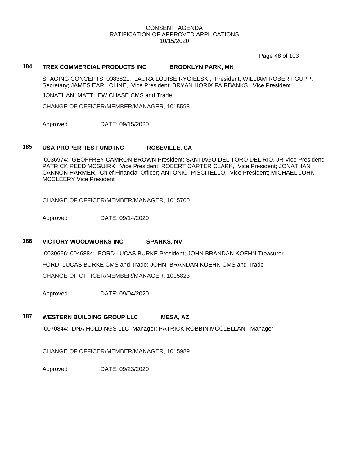Page 48 of 103

## **184 TREX COMMERCIAL PRODUCTS INC BROOKLYN PARK, MN**

STAGING CONCEPTS; 0083821; LAURA LOUISE RYGIELSKI, President; WILLIAM ROBERT GUPP, Secretary; JAMES EARL CLINE, Vice President; BRYAN HORIX FAIRBANKS, Vice President

JONATHAN MATTHEW CHASE CMS and Trade

CHANGE OF OFFICER/MEMBER/MANAGER, 1015598

Approved DATE: 09/15/2020

# **185 USA PROPERTIES FUND INC ROSEVILLE, CA**

0036974; GEOFFREY CAMRON BROWN President; SANTIAGO DEL TORO DEL RIO, JR Vice President; PATRICK REED MCGUIRK, Vice President; ROBERT CARTER CLARK, Vice President; JONATHAN CANNON HARMER, Chief Financial Officer; ANTONIO PISCITELLO, Vice President; MICHAEL JOHN MCCLEERY Vice President

CHANGE OF OFFICER/MEMBER/MANAGER, 1015700

Approved DATE: 09/14/2020

#### **186 VICTORY WOODWORKS INC SPARKS, NV**

0039666; 0046884; FORD LUCAS BURKE President; JOHN BRANDAN KOEHN Treasurer FORD LUCAS BURKE CMS and Trade; JOHN BRANDAN KOEHN CMS and Trade CHANGE OF OFFICER/MEMBER/MANAGER, 1015823

Approved DATE: 09/04/2020

# **187 WESTERN BUILDING GROUP LLC MESA, AZ**

0070844; DNA HOLDINGS LLC Manager; PATRICK ROBBIN MCCLELLAN, Manager

CHANGE OF OFFICER/MEMBER/MANAGER, 1015989

Approved DATE: 09/23/2020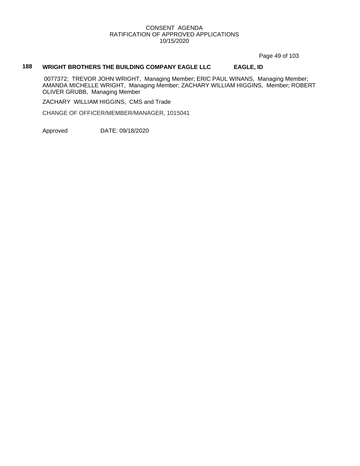Page 49 of 103

# **188 WRIGHT BROTHERS THE BUILDING COMPANY EAGLE LLC EAGLE, ID**

0077372; TREVOR JOHN WRIGHT, Managing Member; ERIC PAUL WINANS, Managing Member; AMANDA MICHELLE WRIGHT, Managing Member; ZACHARY WILLIAM HIGGINS, Member; ROBERT OLIVER GRUBB, Managing Member

ZACHARY WILLIAM HIGGINS, CMS and Trade

CHANGE OF OFFICER/MEMBER/MANAGER, 1015041

Approved DATE: 09/18/2020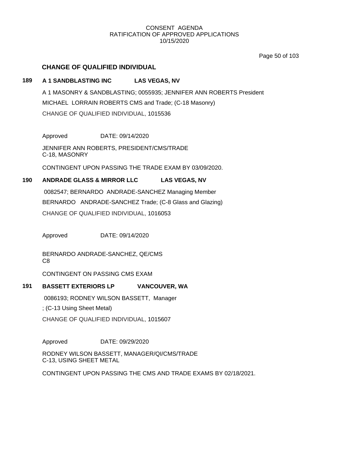Page 50 of 103

# **CHANGE OF QUALIFIED INDIVIDUAL**

# **189 A 1 SANDBLASTING INC LAS VEGAS, NV**

A 1 MASONRY & SANDBLASTING; 0055935; JENNIFER ANN ROBERTS President MICHAEL LORRAIN ROBERTS CMS and Trade; (C-18 Masonry) CHANGE OF QUALIFIED INDIVIDUAL, 1015536

Approved DATE: 09/14/2020

JENNIFER ANN ROBERTS, PRESIDENT/CMS/TRADE C-18, MASONRY

CONTINGENT UPON PASSING THE TRADE EXAM BY 03/09/2020.

# **190 ANDRADE GLASS & MIRROR LLC LAS VEGAS, NV**

0082547; BERNARDO ANDRADE-SANCHEZ Managing Member BERNARDO ANDRADE-SANCHEZ Trade; (C-8 Glass and Glazing) CHANGE OF QUALIFIED INDIVIDUAL, 1016053

Approved DATE: 09/14/2020

BERNARDO ANDRADE-SANCHEZ, QE/CMS C8

CONTINGENT ON PASSING CMS EXAM

# **191 BASSETT EXTERIORS LP VANCOUVER, WA**

0086193; RODNEY WILSON BASSETT, Manager

; (C-13 Using Sheet Metal)

CHANGE OF QUALIFIED INDIVIDUAL, 1015607

Approved DATE: 09/29/2020

RODNEY WILSON BASSETT, MANAGER/QI/CMS/TRADE C-13, USING SHEET METAL

CONTINGENT UPON PASSING THE CMS AND TRADE EXAMS BY 02/18/2021.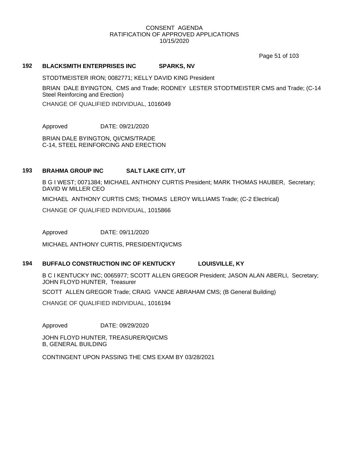Page 51 of 103

#### **192 BLACKSMITH ENTERPRISES INC SPARKS, NV**

STODTMEISTER IRON; 0082771; KELLY DAVID KING President

BRIAN DALE BYINGTON, CMS and Trade; RODNEY LESTER STODTMEISTER CMS and Trade; (C-14 Steel Reinforcing and Erection)

CHANGE OF QUALIFIED INDIVIDUAL, 1016049

Approved DATE: 09/21/2020

BRIAN DALE BYINGTON, QI/CMS/TRADE C-14, STEEL REINFORCING AND ERECTION

## **193 BRAHMA GROUP INC SALT LAKE CITY, UT**

B G I WEST; 0071384; MICHAEL ANTHONY CURTIS President; MARK THOMAS HAUBER, Secretary; DAVID W MILLER CEO

MICHAEL ANTHONY CURTIS CMS; THOMAS LEROY WILLIAMS Trade; (C-2 Electrical)

CHANGE OF QUALIFIED INDIVIDUAL, 1015866

Approved DATE: 09/11/2020

MICHAEL ANTHONY CURTIS, PRESIDENT/QI/CMS

# **194 BUFFALO CONSTRUCTION INC OF KENTUCKY LOUISVILLE, KY**

B C I KENTUCKY INC; 0065977; SCOTT ALLEN GREGOR President; JASON ALAN ABERLI, Secretary; JOHN FLOYD HUNTER, Treasurer

SCOTT ALLEN GREGOR Trade; CRAIG VANCE ABRAHAM CMS; (B General Building)

CHANGE OF QUALIFIED INDIVIDUAL, 1016194

Approved DATE: 09/29/2020

JOHN FLOYD HUNTER, TREASURER/QI/CMS B, GENERAL BUILDING

CONTINGENT UPON PASSING THE CMS EXAM BY 03/28/2021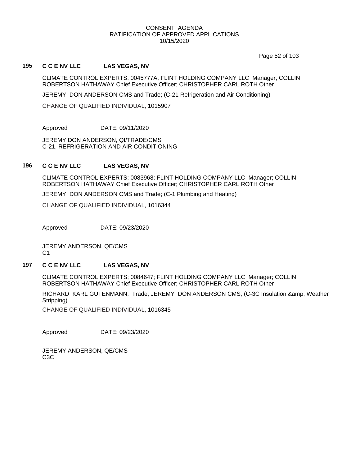Page 52 of 103

#### **195 C C E NV LLC LAS VEGAS, NV**

CLIMATE CONTROL EXPERTS; 0045777A; FLINT HOLDING COMPANY LLC Manager; COLLIN ROBERTSON HATHAWAY Chief Executive Officer; CHRISTOPHER CARL ROTH Other

JEREMY DON ANDERSON CMS and Trade; (C-21 Refrigeration and Air Conditioning)

CHANGE OF QUALIFIED INDIVIDUAL, 1015907

Approved DATE: 09/11/2020

JEREMY DON ANDERSON, QI/TRADE/CMS C-21, REFRIGERATION AND AIR CONDITIONING

## **196 C C E NV LLC LAS VEGAS, NV**

CLIMATE CONTROL EXPERTS; 0083968; FLINT HOLDING COMPANY LLC Manager; COLLIN ROBERTSON HATHAWAY Chief Executive Officer; CHRISTOPHER CARL ROTH Other

JEREMY DON ANDERSON CMS and Trade; (C-1 Plumbing and Heating)

CHANGE OF QUALIFIED INDIVIDUAL, 1016344

Approved DATE: 09/23/2020

JEREMY ANDERSON, QE/CMS C1

# **197 C C E NV LLC LAS VEGAS, NV**

CLIMATE CONTROL EXPERTS; 0084647; FLINT HOLDING COMPANY LLC Manager; COLLIN ROBERTSON HATHAWAY Chief Executive Officer; CHRISTOPHER CARL ROTH Other

RICHARD KARL GUTENMANN, Trade; JEREMY DON ANDERSON CMS; (C-3C Insulation & amp; Weather Stripping)

CHANGE OF QUALIFIED INDIVIDUAL, 1016345

Approved DATE: 09/23/2020

JEREMY ANDERSON, QE/CMS C3C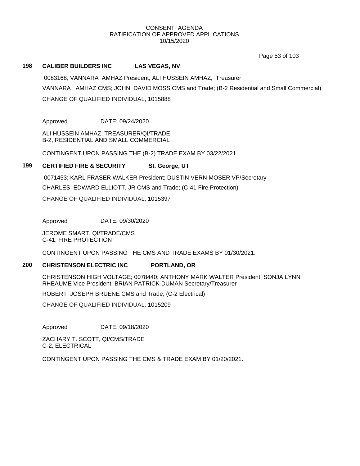Page 53 of 103

#### **198 CALIBER BUILDERS INC LAS VEGAS, NV**

0083168; VANNARA AMHAZ President; ALI HUSSEIN AMHAZ, Treasurer VANNARA AMHAZ CMS; JOHN DAVID MOSS CMS and Trade; (B-2 Residential and Small Commercial) CHANGE OF QUALIFIED INDIVIDUAL, 1015888

Approved DATE: 09/24/2020

ALI HUSSEIN AMHAZ, TREASURER/QI/TRADE B-2, RESIDENTIAL AND SMALL COMMERCIAL

CONTINGENT UPON PASSING THE (B-2) TRADE EXAM BY 03/22/2021.

## **199 CERTIFIED FIRE & SECURITY St. George, UT**

0071453; KARL FRASER WALKER President; DUSTIN VERN MOSER VP/Secretary

CHARLES EDWARD ELLIOTT, JR CMS and Trade; (C-41 Fire Protection)

CHANGE OF QUALIFIED INDIVIDUAL, 1015397

Approved DATE: 09/30/2020

JEROME SMART, QI/TRADE/CMS C-41, FIRE PROTECTION

CONTINGENT UPON PASSING THE CMS AND TRADE EXAMS BY 01/30/2021.

## **200 CHRISTENSON ELECTRIC INC PORTLAND, OR**

CHRISTENSON HIGH VOLTAGE; 0078440; ANTHONY MARK WALTER President; SONJA LYNN RHEAUME Vice President; BRIAN PATRICK DUMAN Secretary/Treasurer

ROBERT JOSEPH BRUENE CMS and Trade; (C-2 Electrical)

CHANGE OF QUALIFIED INDIVIDUAL, 1015209

Approved DATE: 09/18/2020

ZACHARY T. SCOTT, QI/CMS/TRADE C-2, ELECTRICAL

CONTINGENT UPON PASSING THE CMS & TRADE EXAM BY 01/20/2021.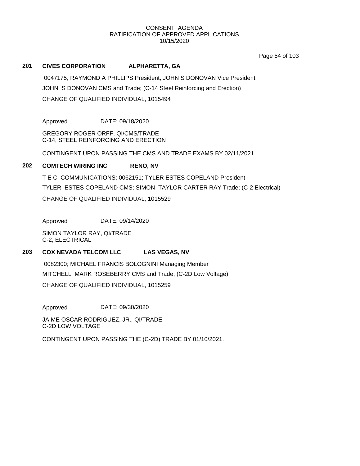Page 54 of 103

# **201 CIVES CORPORATION ALPHARETTA, GA**

0047175; RAYMOND A PHILLIPS President; JOHN S DONOVAN Vice President JOHN S DONOVAN CMS and Trade; (C-14 Steel Reinforcing and Erection) CHANGE OF QUALIFIED INDIVIDUAL, 1015494

Approved DATE: 09/18/2020

GREGORY ROGER ORFF, QI/CMS/TRADE C-14, STEEL REINFORCING AND ERECTION

CONTINGENT UPON PASSING THE CMS AND TRADE EXAMS BY 02/11/2021.

## **202 COMTECH WIRING INC RENO, NV**

T E C COMMUNICATIONS; 0062151; TYLER ESTES COPELAND President TYLER ESTES COPELAND CMS; SIMON TAYLOR CARTER RAY Trade; (C-2 Electrical) CHANGE OF QUALIFIED INDIVIDUAL, 1015529

Approved DATE: 09/14/2020

SIMON TAYLOR RAY, QI/TRADE C-2, ELECTRICAL

# **203 COX NEVADA TELCOM LLC LAS VEGAS, NV**

0082300; MICHAEL FRANCIS BOLOGNINI Managing Member MITCHELL MARK ROSEBERRY CMS and Trade; (C-2D Low Voltage) CHANGE OF QUALIFIED INDIVIDUAL, 1015259

Approved DATE: 09/30/2020

JAIME OSCAR RODRIGUEZ, JR., QI/TRADE C-2D LOW VOLTAGE

CONTINGENT UPON PASSING THE (C-2D) TRADE BY 01/10/2021.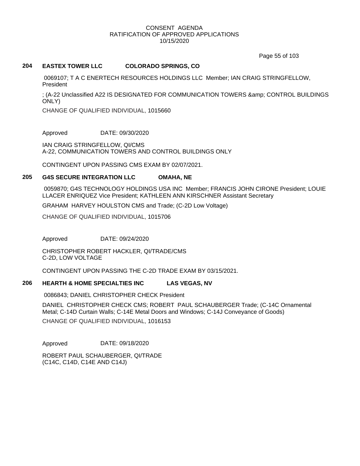Page 55 of 103

## **204 EASTEX TOWER LLC COLORADO SPRINGS, CO**

0069107; T A C ENERTECH RESOURCES HOLDINGS LLC Member; IAN CRAIG STRINGFELLOW, President

; (A-22 Unclassified A22 IS DESIGNATED FOR COMMUNICATION TOWERS & amp; CONTROL BUILDINGS ONLY)

CHANGE OF QUALIFIED INDIVIDUAL, 1015660

Approved DATE: 09/30/2020

IAN CRAIG STRINGFELLOW, QI/CMS A-22, COMMUNICATION TOWERS AND CONTROL BUILDINGS ONLY

CONTINGENT UPON PASSING CMS EXAM BY 02/07/2021.

## **205 G4S SECURE INTEGRATION LLC OMAHA, NE**

0059870; G4S TECHNOLOGY HOLDINGS USA INC Member; FRANCIS JOHN CIRONE President; LOUIE LLACER ENRIQUEZ Vice President; KATHLEEN ANN KIRSCHNER Assistant Secretary

GRAHAM HARVEY HOULSTON CMS and Trade; (C-2D Low Voltage)

CHANGE OF QUALIFIED INDIVIDUAL, 1015706

Approved DATE: 09/24/2020

CHRISTOPHER ROBERT HACKLER, QI/TRADE/CMS C-2D, LOW VOLTAGE

CONTINGENT UPON PASSING THE C-2D TRADE EXAM BY 03/15/2021.

# **206 HEARTH & HOME SPECIALTIES INC LAS VEGAS, NV**

0086843; DANIEL CHRISTOPHER CHECK President

DANIEL CHRISTOPHER CHECK CMS; ROBERT PAUL SCHAUBERGER Trade; (C-14C Ornamental Metal; C-14D Curtain Walls; C-14E Metal Doors and Windows; C-14J Conveyance of Goods) CHANGE OF QUALIFIED INDIVIDUAL, 1016153

Approved DATE: 09/18/2020

ROBERT PAUL SCHAUBERGER, QI/TRADE (C14C, C14D, C14E AND C14J)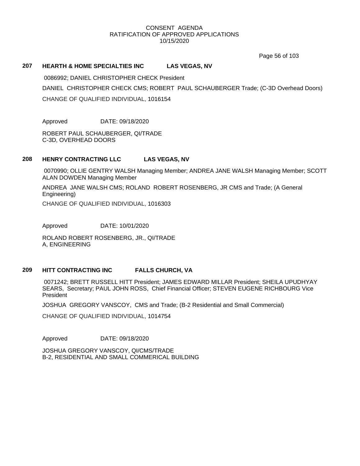Page 56 of 103

#### **207 HEARTH & HOME SPECIALTIES INC LAS VEGAS, NV**

0086992; DANIEL CHRISTOPHER CHECK President DANIEL CHRISTOPHER CHECK CMS; ROBERT PAUL SCHAUBERGER Trade; (C-3D Overhead Doors) CHANGE OF QUALIFIED INDIVIDUAL, 1016154

Approved DATE: 09/18/2020

ROBERT PAUL SCHAUBERGER, QI/TRADE C-3D, OVERHEAD DOORS

# **208 HENRY CONTRACTING LLC LAS VEGAS, NV**

0070990; OLLIE GENTRY WALSH Managing Member; ANDREA JANE WALSH Managing Member; SCOTT ALAN DOWDEN Managing Member

ANDREA JANE WALSH CMS; ROLAND ROBERT ROSENBERG, JR CMS and Trade; (A General Engineering)

CHANGE OF QUALIFIED INDIVIDUAL, 1016303

Approved DATE: 10/01/2020

ROLAND ROBERT ROSENBERG, JR., QI/TRADE A, ENGINEERING

# **209 HITT CONTRACTING INC FALLS CHURCH, VA**

0071242; BRETT RUSSELL HITT President; JAMES EDWARD MILLAR President; SHEILA UPUDHYAY SEARS, Secretary; PAUL JOHN ROSS, Chief Financial Officer; STEVEN EUGENE RICHBOURG Vice President

JOSHUA GREGORY VANSCOY, CMS and Trade; (B-2 Residential and Small Commercial)

CHANGE OF QUALIFIED INDIVIDUAL, 1014754

Approved DATE: 09/18/2020

JOSHUA GREGORY VANSCOY, QI/CMS/TRADE B-2, RESIDENTIAL AND SMALL COMMERICAL BUILDING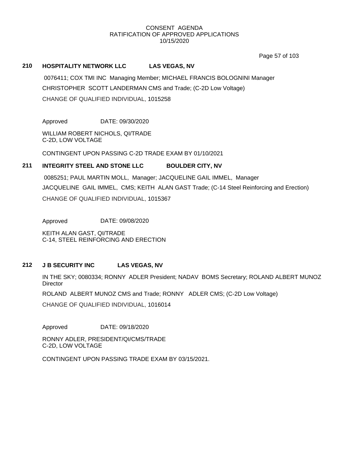Page 57 of 103

## **210 HOSPITALITY NETWORK LLC LAS VEGAS, NV**

0076411; COX TMI INC Managing Member; MICHAEL FRANCIS BOLOGNINI Manager CHRISTOPHER SCOTT LANDERMAN CMS and Trade; (C-2D Low Voltage) CHANGE OF QUALIFIED INDIVIDUAL, 1015258

Approved DATE: 09/30/2020

WILLIAM ROBERT NICHOLS, QI/TRADE C-2D, LOW VOLTAGE

CONTINGENT UPON PASSING C-2D TRADE EXAM BY 01/10/2021

## **211 INTEGRITY STEEL AND STONE LLC BOULDER CITY, NV**

0085251; PAUL MARTIN MOLL, Manager; JACQUELINE GAIL IMMEL, Manager JACQUELINE GAIL IMMEL, CMS; KEITH ALAN GAST Trade; (C-14 Steel Reinforcing and Erection) CHANGE OF QUALIFIED INDIVIDUAL, 1015367

Approved DATE: 09/08/2020

KEITH ALAN GAST, QI/TRADE C-14, STEEL REINFORCING AND ERECTION

# **212 J B SECURITY INC LAS VEGAS, NV**

IN THE SKY; 0080334; RONNY ADLER President; NADAV BOMS Secretary; ROLAND ALBERT MUNOZ **Director** 

ROLAND ALBERT MUNOZ CMS and Trade; RONNY ADLER CMS; (C-2D Low Voltage)

CHANGE OF QUALIFIED INDIVIDUAL, 1016014

Approved DATE: 09/18/2020

RONNY ADLER, PRESIDENT/QI/CMS/TRADE C-2D, LOW VOLTAGE

CONTINGENT UPON PASSING TRADE EXAM BY 03/15/2021.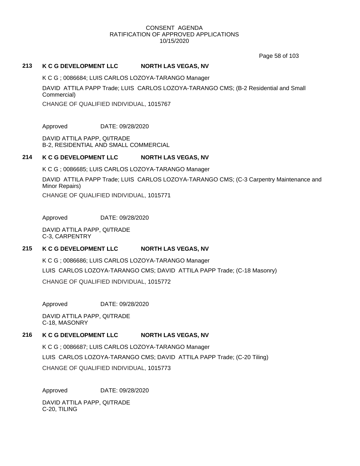Page 58 of 103

## **213 K C G DEVELOPMENT LLC NORTH LAS VEGAS, NV**

K C G ; 0086684; LUIS CARLOS LOZOYA-TARANGO Manager

DAVID ATTILA PAPP Trade; LUIS CARLOS LOZOYA-TARANGO CMS; (B-2 Residential and Small Commercial)

CHANGE OF QUALIFIED INDIVIDUAL, 1015767

Approved DATE: 09/28/2020

DAVID ATTILA PAPP, QI/TRADE B-2, RESIDENTIAL AND SMALL COMMERCIAL

# **214 K C G DEVELOPMENT LLC NORTH LAS VEGAS, NV**

K C G ; 0086685; LUIS CARLOS LOZOYA-TARANGO Manager DAVID ATTILA PAPP Trade; LUIS CARLOS LOZOYA-TARANGO CMS; (C-3 Carpentry Maintenance and Minor Repairs)

CHANGE OF QUALIFIED INDIVIDUAL, 1015771

Approved DATE: 09/28/2020

DAVID ATTILA PAPP, QI/TRADE C-3, CARPENTRY

# **215 K C G DEVELOPMENT LLC NORTH LAS VEGAS, NV**

K C G ; 0086686; LUIS CARLOS LOZOYA-TARANGO Manager LUIS CARLOS LOZOYA-TARANGO CMS; DAVID ATTILA PAPP Trade; (C-18 Masonry) CHANGE OF QUALIFIED INDIVIDUAL, 1015772

Approved DATE: 09/28/2020

DAVID ATTILA PAPP, QI/TRADE C-18, MASONRY

#### **216 K C G DEVELOPMENT LLC NORTH LAS VEGAS, NV**

K C G ; 0086687; LUIS CARLOS LOZOYA-TARANGO Manager LUIS CARLOS LOZOYA-TARANGO CMS; DAVID ATTILA PAPP Trade; (C-20 Tiling) CHANGE OF QUALIFIED INDIVIDUAL, 1015773

Approved DATE: 09/28/2020

DAVID ATTILA PAPP, QI/TRADE C-20, TILING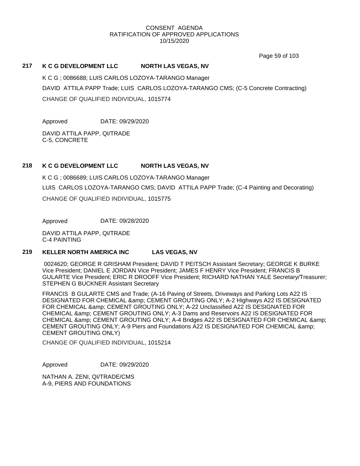Page 59 of 103

## **217 K C G DEVELOPMENT LLC NORTH LAS VEGAS, NV**

K C G ; 0086688; LUIS CARLOS LOZOYA-TARANGO Manager DAVID ATTILA PAPP Trade; LUIS CARLOS LOZOYA-TARANGO CMS; (C-5 Concrete Contracting) CHANGE OF QUALIFIED INDIVIDUAL, 1015774

Approved DATE: 09/29/2020

DAVID ATTILA PAPP, QI/TRADE C-5, CONCRETE

# **218 K C G DEVELOPMENT LLC NORTH LAS VEGAS, NV**

K C G ; 0086689; LUIS CARLOS LOZOYA-TARANGO Manager LUIS CARLOS LOZOYA-TARANGO CMS; DAVID ATTILA PAPP Trade; (C-4 Painting and Decorating) CHANGE OF QUALIFIED INDIVIDUAL, 1015775

Approved DATE: 09/28/2020

DAVID ATTILA PAPP, QI/TRADE C-4 PAINTING

# **219 KELLER NORTH AMERICA INC LAS VEGAS, NV**

0024620; GEORGE R GRISHAM President; DAVID T PEITSCH Assistant Secretary; GEORGE K BURKE Vice President; DANIEL E JORDAN Vice President; JAMES F HENRY Vice President; FRANCIS B GULARTE Vice President; ERIC R DROOFF Vice President; RICHARD NATHAN YALE Secretary/Treasurer; STEPHEN G BUCKNER Assistant Secretary

FRANCIS B GULARTE CMS and Trade; (A-16 Paving of Streets, Driveways and Parking Lots A22 IS DESIGNATED FOR CHEMICAL & amp; CEMENT GROUTING ONLY; A-2 Highways A22 IS DESIGNATED FOR CHEMICAL & amp; CEMENT GROUTING ONLY; A-22 Unclassified A22 IS DESIGNATED FOR CHEMICAL & CEMENT GROUTING ONLY; A-3 Dams and Reservoirs A22 IS DESIGNATED FOR CHEMICAL & amp; CEMENT GROUTING ONLY; A-4 Bridges A22 IS DESIGNATED FOR CHEMICAL & amp; CEMENT GROUTING ONLY; A-9 Piers and Foundations A22 IS DESIGNATED FOR CHEMICAL & CEMENT GROUTING ONLY)

CHANGE OF QUALIFIED INDIVIDUAL, 1015214

Approved DATE: 09/29/2020

NATHAN A. ZENI, QI/TRADE/CMS A-9, PIERS AND FOUNDATIONS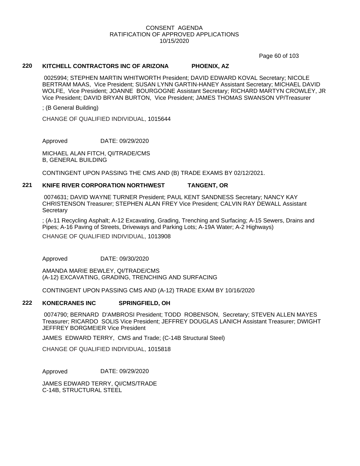Page 60 of 103

#### **220 KITCHELL CONTRACTORS INC OF ARIZONA PHOENIX, AZ**

0025994; STEPHEN MARTIN WHITWORTH President; DAVID EDWARD KOVAL Secretary; NICOLE BERTRAM MAAS, Vice President; SUSAN LYNN GARTIN-HANEY Assistant Secretary; MICHAEL DAVID WOLFE, Vice President; JOANNE BOURGOGNE Assistant Secretary; RICHARD MARTYN CROWLEY, JR Vice President; DAVID BRYAN BURTON, Vice President; JAMES THOMAS SWANSON VP/Treasurer

; (B General Building)

CHANGE OF QUALIFIED INDIVIDUAL, 1015644

Approved DATE: 09/29/2020

MICHAEL ALAN FITCH, QI/TRADE/CMS B, GENERAL BUILDING

CONTINGENT UPON PASSING THE CMS AND (B) TRADE EXAMS BY 02/12/2021.

#### **221 KNIFE RIVER CORPORATION NORTHWEST TANGENT, OR**

0074631; DAVID WAYNE TURNER President; PAUL KENT SANDNESS Secretary; NANCY KAY CHRISTENSON Treasurer; STEPHEN ALAN FREY Vice President; CALVIN RAY DEWALL Assistant **Secretary** 

; (A-11 Recycling Asphalt; A-12 Excavating, Grading, Trenching and Surfacing; A-15 Sewers, Drains and Pipes; A-16 Paving of Streets, Driveways and Parking Lots; A-19A Water; A-2 Highways)

CHANGE OF QUALIFIED INDIVIDUAL, 1013908

Approved DATE: 09/30/2020

AMANDA MARIE BEWLEY, QI/TRADE/CMS (A-12) EXCAVATING, GRADING, TRENCHING AND SURFACING

CONTINGENT UPON PASSING CMS AND (A-12) TRADE EXAM BY 10/16/2020

#### **222 KONECRANES INC SPRINGFIELD, OH**

0074790; BERNARD D'AMBROSI President; TODD ROBENSON, Secretary; STEVEN ALLEN MAYES Treasurer; RICARDO SOLIS Vice President; JEFFREY DOUGLAS LANICH Assistant Treasurer; DWIGHT JEFFREY BORGMEIER Vice President

JAMES EDWARD TERRY, CMS and Trade; (C-14B Structural Steel)

CHANGE OF QUALIFIED INDIVIDUAL, 1015818

Approved DATE: 09/29/2020

JAMES EDWARD TERRY, QI/CMS/TRADE C-14B, STRUCTURAL STEEL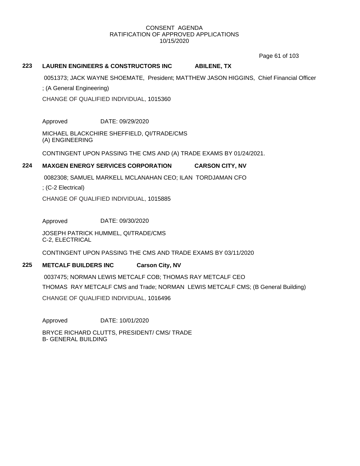Page 61 of 103

# **223 LAUREN ENGINEERS & CONSTRUCTORS INC ABILENE, TX**

0051373; JACK WAYNE SHOEMATE, President; MATTHEW JASON HIGGINS, Chief Financial Officer

; (A General Engineering)

CHANGE OF QUALIFIED INDIVIDUAL, 1015360

Approved DATE: 09/29/2020

MICHAEL BLACKCHIRE SHEFFIELD, QI/TRADE/CMS (A) ENGINEERING

CONTINGENT UPON PASSING THE CMS AND (A) TRADE EXAMS BY 01/24/2021.

## **224 MAXGEN ENERGY SERVICES CORPORATION CARSON CITY, NV**

0082308; SAMUEL MARKELL MCLANAHAN CEO; ILAN TORDJAMAN CFO

; (C-2 Electrical)

CHANGE OF QUALIFIED INDIVIDUAL, 1015885

Approved DATE: 09/30/2020

JOSEPH PATRICK HUMMEL, QI/TRADE/CMS C-2, ELECTRICAL

CONTINGENT UPON PASSING THE CMS AND TRADE EXAMS BY 03/11/2020

## **225 METCALF BUILDERS INC Carson City, NV**

0037475; NORMAN LEWIS METCALF COB; THOMAS RAY METCALF CEO THOMAS RAY METCALF CMS and Trade; NORMAN LEWIS METCALF CMS; (B General Building) CHANGE OF QUALIFIED INDIVIDUAL, 1016496

Approved DATE: 10/01/2020

BRYCE RICHARD CLUTTS, PRESIDENT/ CMS/ TRADE B- GENERAL BUILDING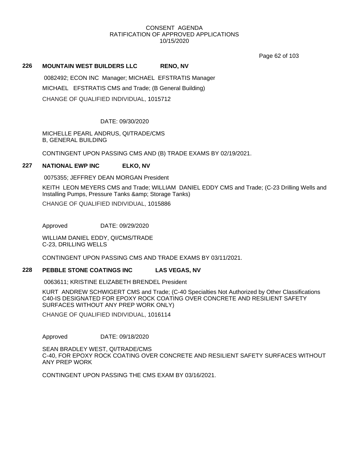Page 62 of 103

#### **226 MOUNTAIN WEST BUILDERS LLC RENO, NV**

0082492; ECON INC Manager; MICHAEL EFSTRATIS Manager MICHAEL EFSTRATIS CMS and Trade; (B General Building) CHANGE OF QUALIFIED INDIVIDUAL, 1015712

## DATE: 09/30/2020

MICHELLE PEARL ANDRUS, QI/TRADE/CMS B, GENERAL BUILDING

CONTINGENT UPON PASSING CMS AND (B) TRADE EXAMS BY 02/19/2021.

## **227 NATIONAL EWP INC ELKO, NV**

0075355; JEFFREY DEAN MORGAN President

KEITH LEON MEYERS CMS and Trade; WILLIAM DANIEL EDDY CMS and Trade; (C-23 Drilling Wells and Installing Pumps, Pressure Tanks & amp; Storage Tanks) CHANGE OF QUALIFIED INDIVIDUAL, 1015886

Approved DATE: 09/29/2020

WILLIAM DANIEL EDDY, QI/CMS/TRADE C-23, DRILLING WELLS

CONTINGENT UPON PASSING CMS AND TRADE EXAMS BY 03/11/2021.

# **228 PEBBLE STONE COATINGS INC LAS VEGAS, NV**

0063611; KRISTINE ELIZABETH BRENDEL President

KURT ANDREW SCHWIGERT CMS and Trade; (C-40 Specialties Not Authorized by Other Classifications C40-IS DESIGNATED FOR EPOXY ROCK COATING OVER CONCRETE AND RESILIENT SAFETY SURFACES WITHOUT ANY PREP WORK ONLY)

CHANGE OF QUALIFIED INDIVIDUAL, 1016114

Approved DATE: 09/18/2020

SEAN BRADLEY WEST, QI/TRADE/CMS C-40, FOR EPOXY ROCK COATING OVER CONCRETE AND RESILIENT SAFETY SURFACES WITHOUT ANY PREP WORK

CONTINGENT UPON PASSING THE CMS EXAM BY 03/16/2021.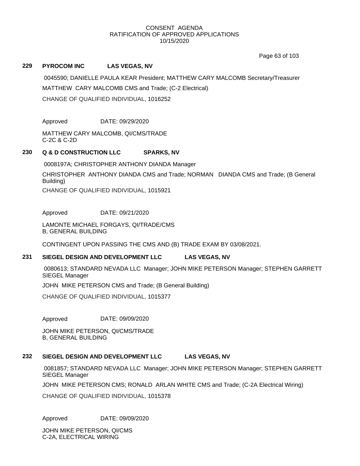Page 63 of 103

# **229 PYROCOM INC LAS VEGAS, NV**

0045590; DANIELLE PAULA KEAR President; MATTHEW CARY MALCOMB Secretary/Treasurer MATTHEW CARY MALCOMB CMS and Trade; (C-2 Electrical) CHANGE OF QUALIFIED INDIVIDUAL, 1016252

Approved DATE: 09/29/2020

MATTHEW CARY MALCOMB, QI/CMS/TRADE C-2C & C-2D

## **230 Q & D CONSTRUCTION LLC SPARKS, NV**

0008197A; CHRISTOPHER ANTHONY DIANDA Manager

CHRISTOPHER ANTHONY DIANDA CMS and Trade; NORMAN DIANDA CMS and Trade; (B General Building)

CHANGE OF QUALIFIED INDIVIDUAL, 1015921

Approved DATE: 09/21/2020

LAMONTE MICHAEL FORGAYS, QI/TRADE/CMS B, GENERAL BUILDING

CONTINGENT UPON PASSING THE CMS AND (B) TRADE EXAM BY 03/08/2021.

#### **231 SIEGEL DESIGN AND DEVELOPMENT LLC LAS VEGAS, NV**

0080613; STANDARD NEVADA LLC Manager; JOHN MIKE PETERSON Manager; STEPHEN GARRETT SIEGEL Manager

JOHN MIKE PETERSON CMS and Trade; (B General Building)

CHANGE OF QUALIFIED INDIVIDUAL, 1015377

Approved DATE: 09/09/2020

JOHN MIKE PETERSON, QI/CMS/TRADE B, GENERAL BUILDING

# **232 SIEGEL DESIGN AND DEVELOPMENT LLC LAS VEGAS, NV**

0081857; STANDARD NEVADA LLC Manager; JOHN MIKE PETERSON Manager; STEPHEN GARRETT SIEGEL Manager

JOHN MIKE PETERSON CMS; RONALD ARLAN WHITE CMS and Trade; (C-2A Electrical Wiring)

CHANGE OF QUALIFIED INDIVIDUAL, 1015378

Approved DATE: 09/09/2020

JOHN MIKE PETERSON, QI/CMS C-2A, ELECTRICAL WIRING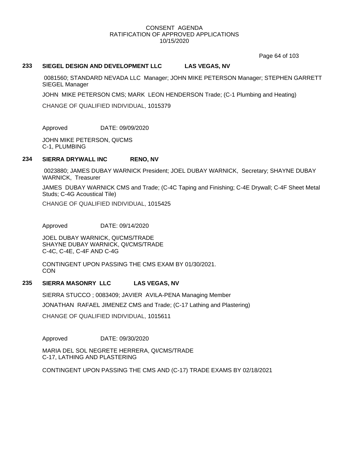Page 64 of 103

## **233 SIEGEL DESIGN AND DEVELOPMENT LLC LAS VEGAS, NV**

0081560; STANDARD NEVADA LLC Manager; JOHN MIKE PETERSON Manager; STEPHEN GARRETT SIEGEL Manager

JOHN MIKE PETERSON CMS; MARK LEON HENDERSON Trade; (C-1 Plumbing and Heating)

CHANGE OF QUALIFIED INDIVIDUAL, 1015379

Approved DATE: 09/09/2020

JOHN MIKE PETERSON, QI/CMS C-1, PLUMBING

#### **234 SIERRA DRYWALL INC RENO, NV**

0023880; JAMES DUBAY WARNICK President; JOEL DUBAY WARNICK, Secretary; SHAYNE DUBAY WARNICK, Treasurer

JAMES DUBAY WARNICK CMS and Trade; (C-4C Taping and Finishing; C-4E Drywall; C-4F Sheet Metal Studs; C-4G Acoustical Tile)

CHANGE OF QUALIFIED INDIVIDUAL, 1015425

Approved DATE: 09/14/2020

JOEL DUBAY WARNICK, QI/CMS/TRADE SHAYNE DUBAY WARNICK, QI/CMS/TRADE C-4C, C-4E, C-4F AND C-4G

CONTINGENT UPON PASSING THE CMS EXAM BY 01/30/2021. **CON** 

## **235 SIERRA MASONRY LLC LAS VEGAS, NV**

SIERRA STUCCO ; 0083409; JAVIER AVILA-PENA Managing Member JONATHAN RAFAEL JIMENEZ CMS and Trade; (C-17 Lathing and Plastering) CHANGE OF QUALIFIED INDIVIDUAL, 1015611

Approved DATE: 09/30/2020

MARIA DEL SOL NEGRETE HERRERA, QI/CMS/TRADE C-17, LATHING AND PLASTERING

CONTINGENT UPON PASSING THE CMS AND (C-17) TRADE EXAMS BY 02/18/2021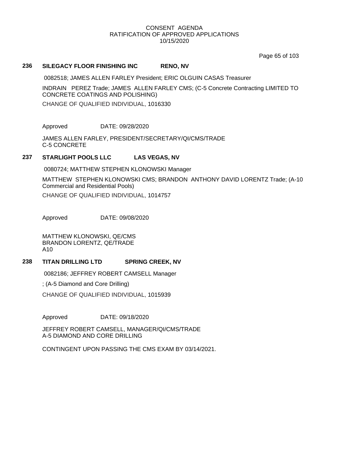Page 65 of 103

#### **236 SILEGACY FLOOR FINISHING INC RENO, NV**

0082518; JAMES ALLEN FARLEY President; ERIC OLGUIN CASAS Treasurer

INDRAIN PEREZ Trade; JAMES ALLEN FARLEY CMS; (C-5 Concrete Contracting LIMITED TO CONCRETE COATINGS AND POLISHING)

CHANGE OF QUALIFIED INDIVIDUAL, 1016330

Approved DATE: 09/28/2020

JAMES ALLEN FARLEY, PRESIDENT/SECRETARY/QI/CMS/TRADE C-5 CONCRETE

## **237 STARLIGHT POOLS LLC LAS VEGAS, NV**

0080724; MATTHEW STEPHEN KLONOWSKI Manager

MATTHEW STEPHEN KLONOWSKI CMS; BRANDON ANTHONY DAVID LORENTZ Trade; (A-10 Commercial and Residential Pools) CHANGE OF QUALIFIED INDIVIDUAL, 1014757

Approved DATE: 09/08/2020

MATTHEW KLONOWSKI, QE/CMS BRANDON LORENTZ, QE/TRADE A10

# **238 TITAN DRILLING LTD SPRING CREEK, NV**

0082186; JEFFREY ROBERT CAMSELL Manager

; (A-5 Diamond and Core Drilling)

CHANGE OF QUALIFIED INDIVIDUAL, 1015939

Approved DATE: 09/18/2020

JEFFREY ROBERT CAMSELL, MANAGER/QI/CMS/TRADE A-5 DIAMOND AND CORE DRILLING

CONTINGENT UPON PASSING THE CMS EXAM BY 03/14/2021.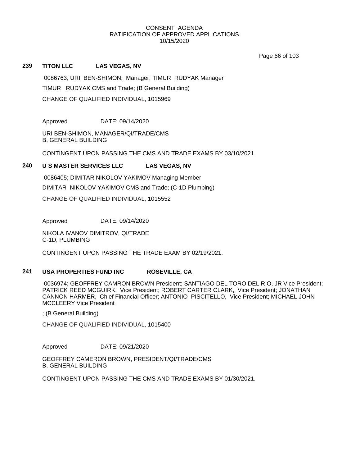Page 66 of 103

## **239 TITON LLC LAS VEGAS, NV**

0086763; URI BEN-SHIMON, Manager; TIMUR RUDYAK Manager TIMUR RUDYAK CMS and Trade; (B General Building) CHANGE OF QUALIFIED INDIVIDUAL, 1015969

Approved DATE: 09/14/2020

URI BEN-SHIMON, MANAGER/QI/TRADE/CMS B, GENERAL BUILDING

CONTINGENT UPON PASSING THE CMS AND TRADE EXAMS BY 03/10/2021.

## **240 U S MASTER SERVICES LLC LAS VEGAS, NV**

0086405; DIMITAR NIKOLOV YAKIMOV Managing Member DIMITAR NIKOLOV YAKIMOV CMS and Trade; (C-1D Plumbing) CHANGE OF QUALIFIED INDIVIDUAL, 1015552

Approved DATE: 09/14/2020

NIKOLA IVANOV DIMITROV, QI/TRADE C-1D, PLUMBING

CONTINGENT UPON PASSING THE TRADE EXAM BY 02/19/2021.

## **241 USA PROPERTIES FUND INC ROSEVILLE, CA**

0036974; GEOFFREY CAMRON BROWN President; SANTIAGO DEL TORO DEL RIO, JR Vice President; PATRICK REED MCGUIRK, Vice President; ROBERT CARTER CLARK, Vice President; JONATHAN CANNON HARMER, Chief Financial Officer; ANTONIO PISCITELLO, Vice President; MICHAEL JOHN MCCLEERY Vice President

; (B General Building)

CHANGE OF QUALIFIED INDIVIDUAL, 1015400

Approved DATE: 09/21/2020

GEOFFREY CAMERON BROWN, PRESIDENT/QI/TRADE/CMS B, GENERAL BUILDING

CONTINGENT UPON PASSING THE CMS AND TRADE EXAMS BY 01/30/2021.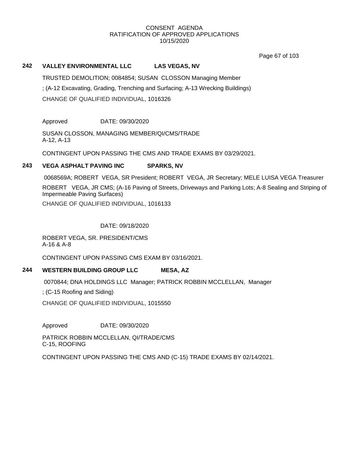Page 67 of 103

# **242 VALLEY ENVIRONMENTAL LLC LAS VEGAS, NV**

TRUSTED DEMOLITION; 0084854; SUSAN CLOSSON Managing Member ; (A-12 Excavating, Grading, Trenching and Surfacing; A-13 Wrecking Buildings) CHANGE OF QUALIFIED INDIVIDUAL, 1016326

Approved DATE: 09/30/2020

SUSAN CLOSSON, MANAGING MEMBER/QI/CMS/TRADE A-12, A-13

CONTINGENT UPON PASSING THE CMS AND TRADE EXAMS BY 03/29/2021.

## **243 VEGA ASPHALT PAVING INC SPARKS, NV**

0068569A; ROBERT VEGA, SR President; ROBERT VEGA, JR Secretary; MELE LUISA VEGA Treasurer ROBERT VEGA, JR CMS; (A-16 Paving of Streets, Driveways and Parking Lots; A-8 Sealing and Striping of Impermeable Paving Surfaces) CHANGE OF QUALIFIED INDIVIDUAL, 1016133

DATE: 09/18/2020

ROBERT VEGA, SR. PRESIDENT/CMS A-16 & A-8

CONTINGENT UPON PASSING CMS EXAM BY 03/16/2021.

# **244 WESTERN BUILDING GROUP LLC MESA, AZ**

0070844; DNA HOLDINGS LLC Manager; PATRICK ROBBIN MCCLELLAN, Manager

; (C-15 Roofing and Siding)

CHANGE OF QUALIFIED INDIVIDUAL, 1015550

Approved DATE: 09/30/2020

PATRICK ROBBIN MCCLELLAN, QI/TRADE/CMS C-15, ROOFING

CONTINGENT UPON PASSING THE CMS AND (C-15) TRADE EXAMS BY 02/14/2021.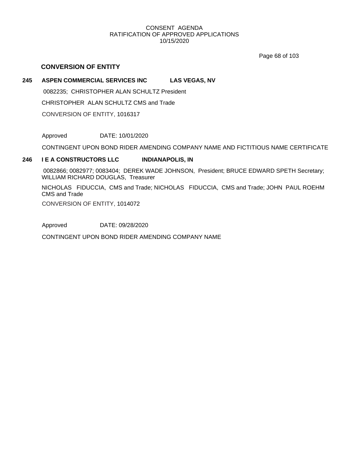Page 68 of 103

# **CONVERSION OF ENTITY**

# **245 ASPEN COMMERCIAL SERVICES INC LAS VEGAS, NV**

0082235; CHRISTOPHER ALAN SCHULTZ President CHRISTOPHER ALAN SCHULTZ CMS and Trade CONVERSION OF ENTITY, 1016317

Approved DATE: 10/01/2020

CONTINGENT UPON BOND RIDER AMENDING COMPANY NAME AND FICTITIOUS NAME CERTIFICATE

# **246 I E A CONSTRUCTORS LLC INDIANAPOLIS, IN**

0082866; 0082977; 0083404; DEREK WADE JOHNSON, President; BRUCE EDWARD SPETH Secretary; WILLIAM RICHARD DOUGLAS, Treasurer

NICHOLAS FIDUCCIA, CMS and Trade; NICHOLAS FIDUCCIA, CMS and Trade; JOHN PAUL ROEHM CMS and Trade

CONVERSION OF ENTITY, 1014072

Approved DATE: 09/28/2020

CONTINGENT UPON BOND RIDER AMENDING COMPANY NAME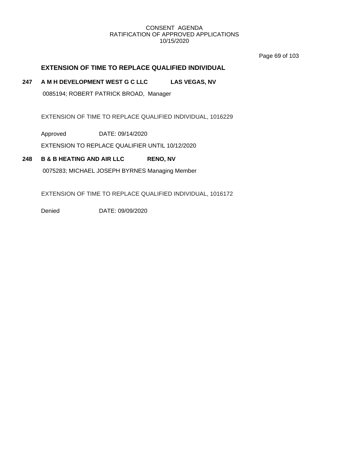Page 69 of 103

# **EXTENSION OF TIME TO REPLACE QUALIFIED INDIVIDUAL**

# **247 A M H DEVELOPMENT WEST G C LLC LAS VEGAS, NV**

0085194; ROBERT PATRICK BROAD, Manager

EXTENSION OF TIME TO REPLACE QUALIFIED INDIVIDUAL, 1016229

Approved DATE: 09/14/2020

EXTENSION TO REPLACE QUALIFIER UNTIL 10/12/2020

# **248 B & B HEATING AND AIR LLC RENO, NV**

0075283; MICHAEL JOSEPH BYRNES Managing Member

EXTENSION OF TIME TO REPLACE QUALIFIED INDIVIDUAL, 1016172

Denied DATE: 09/09/2020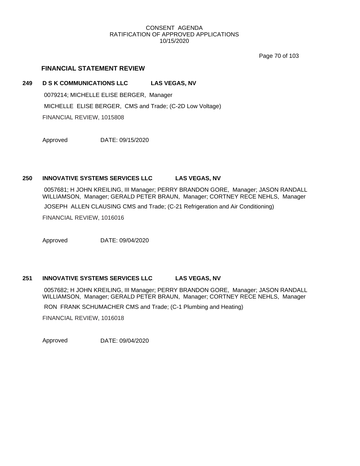Page 70 of 103

# **FINANCIAL STATEMENT REVIEW**

#### **249 D S K COMMUNICATIONS LLC LAS VEGAS, NV**

0079214; MICHELLE ELISE BERGER, Manager MICHELLE ELISE BERGER, CMS and Trade; (C-2D Low Voltage) FINANCIAL REVIEW, 1015808

Approved DATE: 09/15/2020

# **250 INNOVATIVE SYSTEMS SERVICES LLC LAS VEGAS, NV**

0057681; H JOHN KREILING, III Manager; PERRY BRANDON GORE, Manager; JASON RANDALL WILLIAMSON, Manager; GERALD PETER BRAUN, Manager; CORTNEY RECE NEHLS, Manager

JOSEPH ALLEN CLAUSING CMS and Trade; (C-21 Refrigeration and Air Conditioning)

FINANCIAL REVIEW, 1016016

Approved DATE: 09/04/2020

# **251 INNOVATIVE SYSTEMS SERVICES LLC LAS VEGAS, NV**

0057682; H JOHN KREILING, III Manager; PERRY BRANDON GORE, Manager; JASON RANDALL WILLIAMSON, Manager; GERALD PETER BRAUN, Manager; CORTNEY RECE NEHLS, Manager

RON FRANK SCHUMACHER CMS and Trade; (C-1 Plumbing and Heating)

FINANCIAL REVIEW, 1016018

Approved DATE: 09/04/2020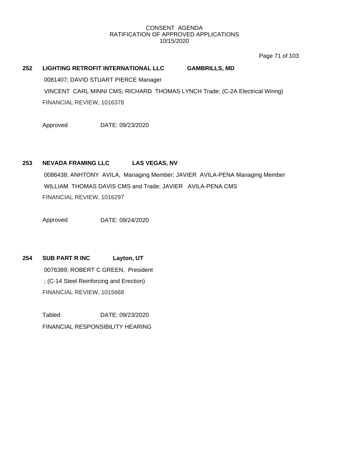Page 71 of 103

# **252 LIGHTING RETROFIT INTERNATIONAL LLC GAMBRILLS, MD**

0081407; DAVID STUART PIERCE Manager VINCENT CARL MINNI CMS; RICHARD THOMAS LYNCH Trade; (C-2A Electrical Wiring) FINANCIAL REVIEW, 1016378

Approved DATE: 09/23/2020

# **253 NEVADA FRAMING LLC LAS VEGAS, NV**

0086438; ANHTONY AVILA, Managing Member; JAVIER AVILA-PENA Managing Member WILLIAM THOMAS DAVIS CMS and Trade; JAVIER AVILA-PENA CMS FINANCIAL REVIEW, 1016297

Approved DATE: 09/24/2020

**254 SUB PART R INC Layton, UT** 0076389; ROBERT C GREEN, President ; (C-14 Steel Reinforcing and Erection) FINANCIAL REVIEW, 1015668

> Tabled DATE: 09/23/2020 FINANCIAL RESPONSIBILITY HEARING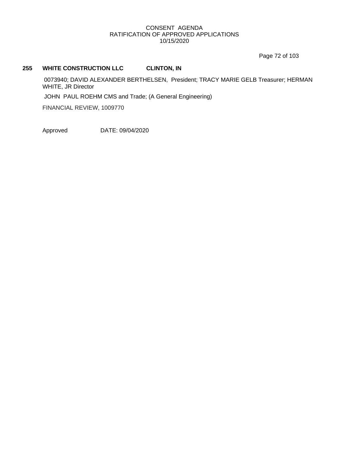Page 72 of 103

# **255 WHITE CONSTRUCTION LLC CLINTON, IN**

0073940; DAVID ALEXANDER BERTHELSEN, President; TRACY MARIE GELB Treasurer; HERMAN WHITE, JR Director

JOHN PAUL ROEHM CMS and Trade; (A General Engineering)

FINANCIAL REVIEW, 1009770

Approved DATE: 09/04/2020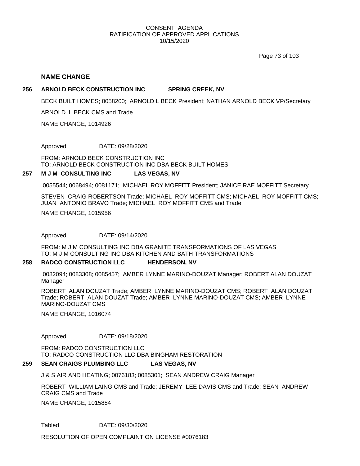Page 73 of 103

#### **NAME CHANGE**

#### **256 ARNOLD BECK CONSTRUCTION INC SPRING CREEK, NV**

BECK BUILT HOMES; 0058200; ARNOLD L BECK President; NATHAN ARNOLD BECK VP/Secretary

ARNOLD L BECK CMS and Trade

NAME CHANGE, 1014926

Approved DATE: 09/28/2020

FROM: ARNOLD BECK CONSTRUCTION INC TO: ARNOLD BECK CONSTRUCTION INC DBA BECK BUILT HOMES

#### **257 M J M CONSULTING INC LAS VEGAS, NV**

0055544; 0068494; 0081171; MICHAEL ROY MOFFITT President; JANICE RAE MOFFITT Secretary

STEVEN CRAIG ROBERTSON Trade; MICHAEL ROY MOFFITT CMS; MICHAEL ROY MOFFITT CMS; JUAN ANTONIO BRAVO Trade; MICHAEL ROY MOFFITT CMS and Trade

NAME CHANGE, 1015956

Approved DATE: 09/14/2020

FROM: M J M CONSULTING INC DBA GRANITE TRANSFORMATIONS OF LAS VEGAS TO: M J M CONSULTING INC DBA KITCHEN AND BATH TRANSFORMATIONS

#### **258 RADCO CONSTRUCTION LLC HENDERSON, NV**

0082094; 0083308; 0085457; AMBER LYNNE MARINO-DOUZAT Manager; ROBERT ALAN DOUZAT Manager

ROBERT ALAN DOUZAT Trade; AMBER LYNNE MARINO-DOUZAT CMS; ROBERT ALAN DOUZAT Trade; ROBERT ALAN DOUZAT Trade; AMBER LYNNE MARINO-DOUZAT CMS; AMBER LYNNE MARINO-DOUZAT CMS

NAME CHANGE, 1016074

Approved DATE: 09/18/2020

FROM: RADCO CONSTRUCTION LLC TO: RADCO CONSTRUCTION LLC DBA BINGHAM RESTORATION

#### **259 SEAN CRAIGS PLUMBING LLC LAS VEGAS, NV**

J & S AIR AND HEATING; 0076183; 0085301; SEAN ANDREW CRAIG Manager

ROBERT WILLIAM LAING CMS and Trade; JEREMY LEE DAVIS CMS and Trade; SEAN ANDREW CRAIG CMS and Trade

NAME CHANGE, 1015884

Tabled DATE: 09/30/2020

RESOLUTION OF OPEN COMPLAINT ON LICENSE #0076183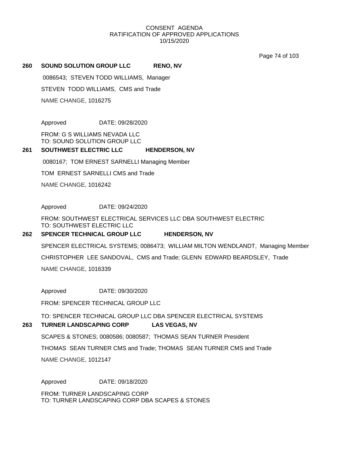Page 74 of 103

#### **260 SOUND SOLUTION GROUP LLC RENO, NV**

0086543; STEVEN TODD WILLIAMS, Manager

STEVEN TODD WILLIAMS, CMS and Trade

NAME CHANGE, 1016275

Approved DATE: 09/28/2020

FROM: G S WILLIAMS NEVADA LLC TO: SOUND SOLUTION GROUP LLC

#### **261 SOUTHWEST ELECTRIC LLC HENDERSON, NV**

0080167; TOM ERNEST SARNELLI Managing Member

TOM ERNEST SARNELLI CMS and Trade

NAME CHANGE, 1016242

Approved DATE: 09/24/2020

FROM: SOUTHWEST ELECTRICAL SERVICES LLC DBA SOUTHWEST ELECTRIC TO: SOUTHWEST ELECTRIC LLC

#### **262 SPENCER TECHNICAL GROUP LLC HENDERSON, NV**

NAME CHANGE, 1016339 CHRISTOPHER LEE SANDOVAL, CMS and Trade; GLENN EDWARD BEARDSLEY, Trade SPENCER ELECTRICAL SYSTEMS; 0086473; WILLIAM MILTON WENDLANDT, Managing Member

Approved DATE: 09/30/2020

FROM: SPENCER TECHNICAL GROUP LLC

TO: SPENCER TECHNICAL GROUP LLC DBA SPENCER ELECTRICAL SYSTEMS

#### **263 TURNER LANDSCAPING CORP LAS VEGAS, NV**

SCAPES & STONES; 0080586; 0080587; THOMAS SEAN TURNER President

THOMAS SEAN TURNER CMS and Trade; THOMAS SEAN TURNER CMS and Trade

NAME CHANGE, 1012147

Approved DATE: 09/18/2020

FROM: TURNER LANDSCAPING CORP TO: TURNER LANDSCAPING CORP DBA SCAPES & STONES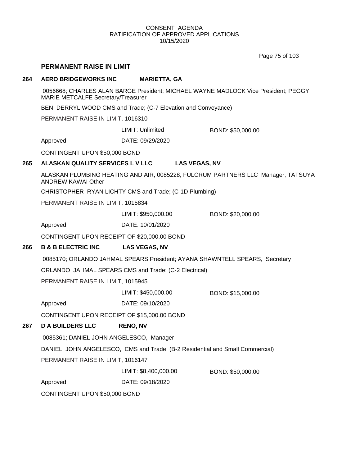Page 75 of 103

## **PERMANENT RAISE IN LIMIT**

#### **264 AERO BRIDGEWORKS INC MARIETTA, GA**

0056668; CHARLES ALAN BARGE President; MICHAEL WAYNE MADLOCK Vice President; PEGGY MARIE METCALFE Secretary/Treasurer

BEN DERRYL WOOD CMS and Trade; (C-7 Elevation and Conveyance)

PERMANENT RAISE IN LIMIT, 1016310

LIMIT: Unlimited BOND: \$50,000.00

Approved DATE: 09/29/2020

CONTINGENT UPON \$50,000 BOND

## **265 ALASKAN QUALITY SERVICES L V LLC LAS VEGAS, NV**

ALASKAN PLUMBING HEATING AND AIR; 0085228; FULCRUM PARTNERS LLC Manager; TATSUYA ANDREW KAWAI Other

CHRISTOPHER RYAN LICHTY CMS and Trade; (C-1D Plumbing)

PERMANENT RAISE IN LIMIT, 1015834

LIMIT: \$950,000.00 BOND: \$20,000.00

Approved DATE: 10/01/2020

CONTINGENT UPON RECEIPT OF \$20,000.00 BOND

# **266 B & B ELECTRIC INC LAS VEGAS, NV**

0085170; ORLANDO JAHMAL SPEARS President; AYANA SHAWNTELL SPEARS, Secretary

ORLANDO JAHMAL SPEARS CMS and Trade; (C-2 Electrical)

PERMANENT RAISE IN LIMIT, 1015945

LIMIT: \$450,000.00 BOND: \$15,000.00

Approved DATE: 09/10/2020

CONTINGENT UPON RECEIPT OF \$15,000.00 BOND

# **267 D A BUILDERS LLC RENO, NV**

0085361; DANIEL JOHN ANGELESCO, Manager

DANIEL JOHN ANGELESCO, CMS and Trade; (B-2 Residential and Small Commercial)

PERMANENT RAISE IN LIMIT, 1016147

LIMIT: \$8,400,000.00 BOND: \$50,000.00

Approved DATE: 09/18/2020

CONTINGENT UPON \$50,000 BOND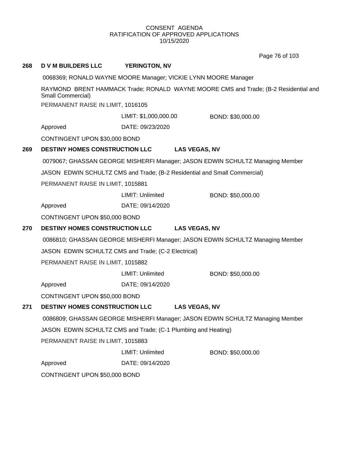Page 76 of 103

| 268 | <b>D V M BUILDERS LLC</b>                                                     | <b>YERINGTON, NV</b>    |                                                                                     |
|-----|-------------------------------------------------------------------------------|-------------------------|-------------------------------------------------------------------------------------|
|     |                                                                               |                         | 0068369; RONALD WAYNE MOORE Manager; VICKIE LYNN MOORE Manager                      |
|     | Small Commercial)                                                             |                         | RAYMOND BRENT HAMMACK Trade; RONALD WAYNE MOORE CMS and Trade; (B-2 Residential and |
|     | PERMANENT RAISE IN LIMIT, 1016105                                             |                         |                                                                                     |
|     |                                                                               | LIMIT: \$1,000,000.00   | BOND: \$30,000.00                                                                   |
|     | Approved                                                                      | DATE: 09/23/2020        |                                                                                     |
|     | CONTINGENT UPON \$30,000 BOND                                                 |                         |                                                                                     |
| 269 | <b>DESTINY HOMES CONSTRUCTION LLC</b>                                         |                         | <b>LAS VEGAS, NV</b>                                                                |
|     |                                                                               |                         | 0079067; GHASSAN GEORGE MISHERFI Manager; JASON EDWIN SCHULTZ Managing Member       |
|     |                                                                               |                         | JASON EDWIN SCHULTZ CMS and Trade; (B-2 Residential and Small Commercial)           |
|     | PERMANENT RAISE IN LIMIT, 1015881                                             |                         |                                                                                     |
|     |                                                                               | LIMIT: Unlimited        | BOND: \$50,000.00                                                                   |
|     | Approved                                                                      | DATE: 09/14/2020        |                                                                                     |
|     | CONTINGENT UPON \$50,000 BOND                                                 |                         |                                                                                     |
| 270 | <b>DESTINY HOMES CONSTRUCTION LLC</b>                                         |                         | <b>LAS VEGAS, NV</b>                                                                |
|     |                                                                               |                         | 0086810; GHASSAN GEORGE MISHERFI Manager; JASON EDWIN SCHULTZ Managing Member       |
|     | JASON EDWIN SCHULTZ CMS and Trade; (C-2 Electrical)                           |                         |                                                                                     |
|     | PERMANENT RAISE IN LIMIT, 1015882                                             |                         |                                                                                     |
|     |                                                                               | <b>LIMIT: Unlimited</b> | BOND: \$50,000.00                                                                   |
|     | Approved                                                                      | DATE: 09/14/2020        |                                                                                     |
|     | CONTINGENT UPON \$50,000 BOND                                                 |                         |                                                                                     |
| 271 | <b>DESTINY HOMES CONSTRUCTION LLC</b>                                         |                         | <b>LAS VEGAS, NV</b>                                                                |
|     | 0086809; GHASSAN GEORGE MISHERFI Manager; JASON EDWIN SCHULTZ Managing Member |                         |                                                                                     |
|     | JASON EDWIN SCHULTZ CMS and Trade; (C-1 Plumbing and Heating)                 |                         |                                                                                     |
|     | PERMANENT RAISE IN LIMIT, 1015883                                             |                         |                                                                                     |
|     |                                                                               | LIMIT: Unlimited        | BOND: \$50,000.00                                                                   |
|     | Approved                                                                      | DATE: 09/14/2020        |                                                                                     |
|     | CONTINGENT UPON \$50,000 BOND                                                 |                         |                                                                                     |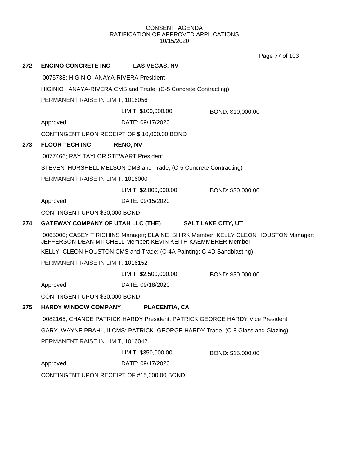Page 77 of 103

| 272 | <b>ENCINO CONCRETE INC</b>                                            | <b>LAS VEGAS, NV</b>  |                                                                                     |
|-----|-----------------------------------------------------------------------|-----------------------|-------------------------------------------------------------------------------------|
|     | 0075738; HIGINIO ANAYA-RIVERA President                               |                       |                                                                                     |
|     | HIGINIO ANAYA-RIVERA CMS and Trade; (C-5 Concrete Contracting)        |                       |                                                                                     |
|     | PERMANENT RAISE IN LIMIT, 1016056                                     |                       |                                                                                     |
|     |                                                                       | LIMIT: \$100,000.00   | BOND: \$10,000.00                                                                   |
|     | Approved                                                              | DATE: 09/17/2020      |                                                                                     |
|     | CONTINGENT UPON RECEIPT OF \$10,000.00 BOND                           |                       |                                                                                     |
| 273 | <b>FLOOR TECH INC</b>                                                 | <b>RENO, NV</b>       |                                                                                     |
|     | 0077466; RAY TAYLOR STEWART President                                 |                       |                                                                                     |
|     | STEVEN HURSHELL MELSON CMS and Trade; (C-5 Concrete Contracting)      |                       |                                                                                     |
|     | PERMANENT RAISE IN LIMIT, 1016000                                     |                       |                                                                                     |
|     |                                                                       | LIMIT: \$2,000,000.00 | BOND: \$30,000.00                                                                   |
|     | Approved                                                              | DATE: 09/15/2020      |                                                                                     |
|     | CONTINGENT UPON \$30,000 BOND                                         |                       |                                                                                     |
| 274 | GATEWAY COMPANY OF UTAH LLC (THE) SALT LAKE CITY, UT                  |                       |                                                                                     |
|     | JEFFERSON DEAN MITCHELL Member; KEVIN KEITH KAEMMERER Member          |                       | 0065000; CASEY T RICHINS Manager; BLAINE SHIRK Member; KELLY CLEON HOUSTON Manager; |
|     | KELLY CLEON HOUSTON CMS and Trade; (C-4A Painting; C-4D Sandblasting) |                       |                                                                                     |
|     | PERMANENT RAISE IN LIMIT, 1016152                                     |                       |                                                                                     |
|     |                                                                       | LIMIT: \$2,500,000.00 | BOND: \$30,000.00                                                                   |
|     | Approved                                                              | DATE: 09/18/2020      |                                                                                     |
|     | CONTINGENT UPON \$30,000 BOND                                         |                       |                                                                                     |
| 275 | <b>HARDY WINDOW COMPANY</b>                                           | <b>PLACENTIA, CA</b>  |                                                                                     |
|     |                                                                       |                       | 0082165; CHANCE PATRICK HARDY President; PATRICK GEORGE HARDY Vice President        |
|     |                                                                       |                       | GARY WAYNE PRAHL, II CMS; PATRICK GEORGE HARDY Trade; (C-8 Glass and Glazing)       |
|     | PERMANENT RAISE IN LIMIT, 1016042                                     |                       |                                                                                     |
|     |                                                                       | LIMIT: \$350,000.00   | BOND: \$15,000.00                                                                   |
|     | Approved                                                              | DATE: 09/17/2020      |                                                                                     |
|     | CONTINGENT UPON RECEIPT OF #15,000.00 BOND                            |                       |                                                                                     |
|     |                                                                       |                       |                                                                                     |
|     |                                                                       |                       |                                                                                     |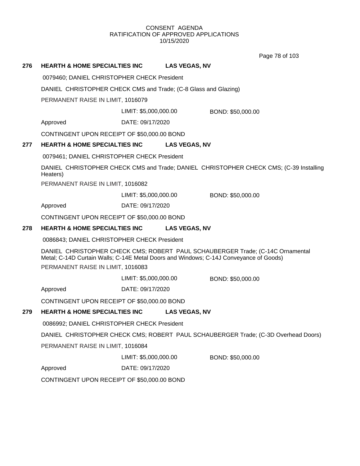Page 78 of 103

# **276 HEARTH & HOME SPECIALTIES INC LAS VEGAS, NV**

0079460; DANIEL CHRISTOPHER CHECK President

DANIEL CHRISTOPHER CHECK CMS and Trade; (C-8 Glass and Glazing)

PERMANENT RAISE IN LIMIT, 1016079

LIMIT: \$5,000,000.00 BOND: \$50,000.00

Approved DATE: 09/17/2020

CONTINGENT UPON RECEIPT OF \$50,000.00 BOND

# **277 HEARTH & HOME SPECIALTIES INC LAS VEGAS, NV**

0079461; DANIEL CHRISTOPHER CHECK President

DANIEL CHRISTOPHER CHECK CMS and Trade; DANIEL CHRISTOPHER CHECK CMS; (C-39 Installing Heaters)

PERMANENT RAISE IN LIMIT, 1016082

LIMIT: \$5,000,000.00 BOND: \$50,000.00

Approved DATE: 09/17/2020

CONTINGENT UPON RECEIPT OF \$50,000.00 BOND

## **278 HEARTH & HOME SPECIALTIES INC LAS VEGAS, NV**

0086843; DANIEL CHRISTOPHER CHECK President

DANIEL CHRISTOPHER CHECK CMS; ROBERT PAUL SCHAUBERGER Trade; (C-14C Ornamental Metal; C-14D Curtain Walls; C-14E Metal Doors and Windows; C-14J Conveyance of Goods) PERMANENT RAISE IN LIMIT, 1016083

LIMIT: \$5,000,000.00 BOND: \$50,000.00

Approved DATE: 09/17/2020

CONTINGENT UPON RECEIPT OF \$50,000.00 BOND

# **279 HEARTH & HOME SPECIALTIES INC LAS VEGAS, NV**

0086992; DANIEL CHRISTOPHER CHECK President

DANIEL CHRISTOPHER CHECK CMS; ROBERT PAUL SCHAUBERGER Trade; (C-3D Overhead Doors)

PERMANENT RAISE IN LIMIT, 1016084

LIMIT: \$5,000,000.00 BOND: \$50,000.00

Approved DATE: 09/17/2020

CONTINGENT UPON RECEIPT OF \$50,000.00 BOND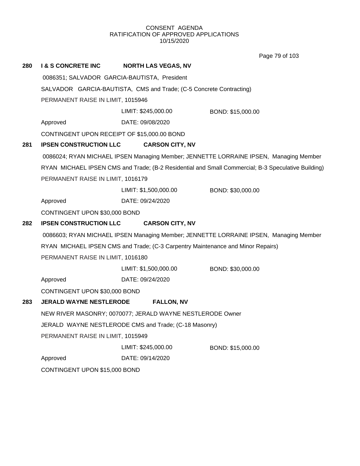Page 79 of 103

| 280 | <b>I &amp; S CONCRETE INC</b>                | <b>NORTH LAS VEGAS, NV</b>                                                      |                                                                                                    |
|-----|----------------------------------------------|---------------------------------------------------------------------------------|----------------------------------------------------------------------------------------------------|
|     | 0086351; SALVADOR GARCIA-BAUTISTA, President |                                                                                 |                                                                                                    |
|     |                                              | SALVADOR GARCIA-BAUTISTA, CMS and Trade; (C-5 Concrete Contracting)             |                                                                                                    |
|     | PERMANENT RAISE IN LIMIT, 1015946            |                                                                                 |                                                                                                    |
|     |                                              | LIMIT: \$245,000.00                                                             | BOND: \$15,000.00                                                                                  |
|     | Approved                                     | DATE: 09/08/2020                                                                |                                                                                                    |
|     | CONTINGENT UPON RECEIPT OF \$15,000.00 BOND  |                                                                                 |                                                                                                    |
| 281 | <b>IPSEN CONSTRUCTION LLC</b>                | <b>CARSON CITY, NV</b>                                                          |                                                                                                    |
|     |                                              |                                                                                 | 0086024; RYAN MICHAEL IPSEN Managing Member; JENNETTE LORRAINE IPSEN, Managing Member              |
|     |                                              |                                                                                 | RYAN MICHAEL IPSEN CMS and Trade; (B-2 Residential and Small Commercial; B-3 Speculative Building) |
|     | PERMANENT RAISE IN LIMIT, 1016179            |                                                                                 |                                                                                                    |
|     |                                              | LIMIT: \$1,500,000.00                                                           | BOND: \$30,000.00                                                                                  |
|     | Approved                                     | DATE: 09/24/2020                                                                |                                                                                                    |
|     | CONTINGENT UPON \$30,000 BOND                |                                                                                 |                                                                                                    |
| 282 | <b>IPSEN CONSTRUCTION LLC</b>                | <b>CARSON CITY, NV</b>                                                          |                                                                                                    |
|     |                                              |                                                                                 | 0086603; RYAN MICHAEL IPSEN Managing Member; JENNETTE LORRAINE IPSEN, Managing Member              |
|     |                                              | RYAN MICHAEL IPSEN CMS and Trade; (C-3 Carpentry Maintenance and Minor Repairs) |                                                                                                    |
|     | PERMANENT RAISE IN LIMIT, 1016180            |                                                                                 |                                                                                                    |
|     |                                              | LIMIT: \$1,500,000.00                                                           | BOND: \$30,000.00                                                                                  |
|     | Approved                                     | DATE: 09/24/2020                                                                |                                                                                                    |
|     | CONTINGENT UPON \$30,000 BOND                |                                                                                 |                                                                                                    |
| 283 | <b>JERALD WAYNE NESTLERODE</b>               | <b>FALLON, NV</b>                                                               |                                                                                                    |
|     |                                              | NEW RIVER MASONRY; 0070077; JERALD WAYNE NESTLERODE Owner                       |                                                                                                    |
|     |                                              | JERALD WAYNE NESTLERODE CMS and Trade; (C-18 Masonry)                           |                                                                                                    |
|     | PERMANENT RAISE IN LIMIT, 1015949            |                                                                                 |                                                                                                    |
|     |                                              | LIMIT: \$245,000.00                                                             | BOND: \$15,000.00                                                                                  |
|     | Approved                                     | DATE: 09/14/2020                                                                |                                                                                                    |
|     | CONTINGENT UPON \$15,000 BOND                |                                                                                 |                                                                                                    |
|     |                                              |                                                                                 |                                                                                                    |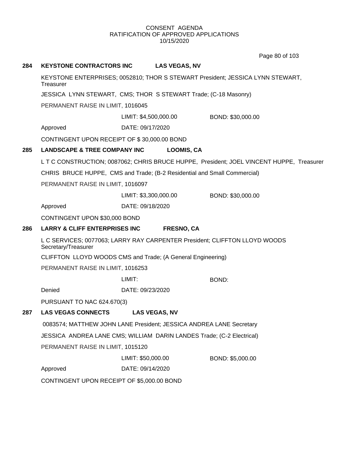Page 80 of 103

# **284 KEYSTONE CONTRACTORS INC LAS VEGAS, NV**

KEYSTONE ENTERPRISES; 0052810; THOR S STEWART President; JESSICA LYNN STEWART, **Treasurer** 

JESSICA LYNN STEWART, CMS; THOR S STEWART Trade; (C-18 Masonry)

PERMANENT RAISE IN LIMIT, 1016045

LIMIT: \$4,500,000.00 BOND: \$30,000.00

Approved DATE: 09/17/2020

CONTINGENT UPON RECEIPT OF \$ 30,000.00 BOND

## **285 LANDSCAPE & TREE COMPANY INC LOOMIS, CA**

L T C CONSTRUCTION; 0087062; CHRIS BRUCE HUPPE, President; JOEL VINCENT HUPPE, Treasurer

CHRIS BRUCE HUPPE, CMS and Trade; (B-2 Residential and Small Commercial)

PERMANENT RAISE IN LIMIT, 1016097

LIMIT: \$3,300,000.00 BOND: \$30,000.00

Approved DATE: 09/18/2020

CONTINGENT UPON \$30,000 BOND

#### **286 LARRY & CLIFF ENTERPRISES INC FRESNO, CA**

L C SERVICES; 0077063; LARRY RAY CARPENTER President; CLIFFTON LLOYD WOODS Secretary/Treasurer

CLIFFTON LLOYD WOODS CMS and Trade; (A General Engineering)

PERMANENT RAISE IN LIMIT, 1016253

LIMIT: BOND:

Denied DATE: 09/23/2020

PURSUANT TO NAC 624.670(3)

# **287 LAS VEGAS CONNECTS LAS VEGAS, NV**

0083574; MATTHEW JOHN LANE President; JESSICA ANDREA LANE Secretary

JESSICA ANDREA LANE CMS; WILLIAM DARIN LANDES Trade; (C-2 Electrical)

PERMANENT RAISE IN LIMIT, 1015120

LIMIT: \$50,000.00 BOND: \$5,000.00

Approved DATE: 09/14/2020

CONTINGENT UPON RECEIPT OF \$5,000.00 BOND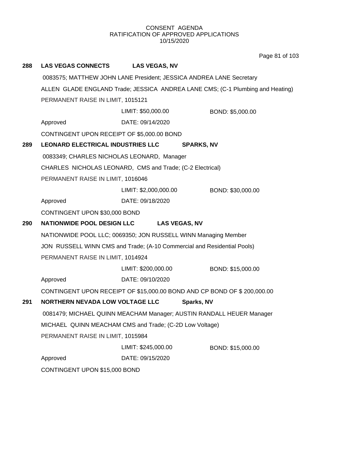Page 81 of 103

| 288 | <b>LAS VEGAS CONNECTS</b>                  | <b>LAS VEGAS, NV</b>                                                    |                                                                                |
|-----|--------------------------------------------|-------------------------------------------------------------------------|--------------------------------------------------------------------------------|
|     |                                            | 0083575; MATTHEW JOHN LANE President; JESSICA ANDREA LANE Secretary     |                                                                                |
|     |                                            |                                                                         | ALLEN GLADE ENGLAND Trade; JESSICA ANDREA LANE CMS; (C-1 Plumbing and Heating) |
|     | PERMANENT RAISE IN LIMIT, 1015121          |                                                                         |                                                                                |
|     |                                            | LIMIT: \$50,000.00                                                      | BOND: \$5,000.00                                                               |
|     | Approved                                   | DATE: 09/14/2020                                                        |                                                                                |
|     | CONTINGENT UPON RECEIPT OF \$5,000.00 BOND |                                                                         |                                                                                |
| 289 | <b>LEONARD ELECTRICAL INDUSTRIES LLC</b>   | <b>SPARKS, NV</b>                                                       |                                                                                |
|     | 0083349; CHARLES NICHOLAS LEONARD, Manager |                                                                         |                                                                                |
|     |                                            | CHARLES NICHOLAS LEONARD, CMS and Trade; (C-2 Electrical)               |                                                                                |
|     | PERMANENT RAISE IN LIMIT, 1016046          |                                                                         |                                                                                |
|     |                                            | LIMIT: \$2,000,000.00                                                   | BOND: \$30,000.00                                                              |
|     | Approved                                   | DATE: 09/18/2020                                                        |                                                                                |
|     | CONTINGENT UPON \$30,000 BOND              |                                                                         |                                                                                |
| 290 | <b>NATIONWIDE POOL DESIGN LLC</b>          | <b>LAS VEGAS, NV</b>                                                    |                                                                                |
|     |                                            | NATIONWIDE POOL LLC; 0069350; JON RUSSELL WINN Managing Member          |                                                                                |
|     |                                            | JON RUSSELL WINN CMS and Trade; (A-10 Commercial and Residential Pools) |                                                                                |
|     | PERMANENT RAISE IN LIMIT, 1014924          |                                                                         |                                                                                |
|     |                                            | LIMIT: \$200,000.00                                                     | BOND: \$15,000.00                                                              |
|     | Approved                                   | DATE: 09/10/2020                                                        |                                                                                |
|     |                                            | CONTINGENT UPON RECEIPT OF \$15,000.00 BOND AND CP BOND OF \$200,000.00 |                                                                                |
| 291 | NORTHERN NEVADA LOW VOLTAGE LLC            | Sparks, NV                                                              |                                                                                |
|     |                                            | 0081479; MICHAEL QUINN MEACHAM Manager; AUSTIN RANDALL HEUER Manager    |                                                                                |
|     |                                            | MICHAEL QUINN MEACHAM CMS and Trade; (C-2D Low Voltage)                 |                                                                                |
|     | PERMANENT RAISE IN LIMIT, 1015984          |                                                                         |                                                                                |
|     |                                            | LIMIT: \$245,000.00                                                     | BOND: \$15,000.00                                                              |
|     | Approved                                   | DATE: 09/15/2020                                                        |                                                                                |
|     | CONTINGENT UPON \$15,000 BOND              |                                                                         |                                                                                |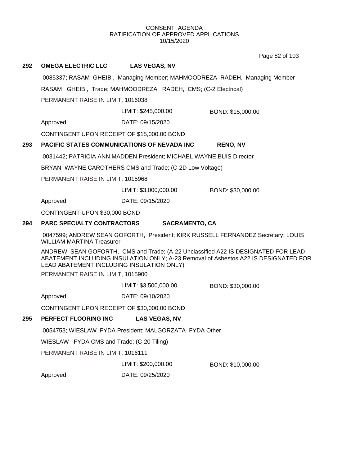Page 82 of 103

# **292 OMEGA ELECTRIC LLC LAS VEGAS, NV** 0085337; RASAM GHEIBI, Managing Member; MAHMOODREZA RADEH, Managing Member RASAM GHEIBI, Trade; MAHMOODREZA RADEH, CMS; (C-2 Electrical) PERMANENT RAISE IN LIMIT, 1016038 Approved DATE: 09/15/2020 LIMIT: \$245,000.00 BOND: \$15,000.00 CONTINGENT UPON RECEIPT OF \$15,000.00 BOND **293 PACIFIC STATES COMMUNICATIONS OF NEVADA INC RENO, NV** 0031442; PATRICIA ANN MADDEN President; MICHAEL WAYNE BUIS Director BRYAN WAYNE CAROTHERS CMS and Trade; (C-2D Low Voltage) PERMANENT RAISE IN LIMIT, 1015968 Approved DATE: 09/15/2020 LIMIT: \$3,000,000.00 BOND: \$30,000.00 CONTINGENT UPON \$30,000 BOND **294 PARC SPECIALTY CONTRACTORS SACRAMENTO, CA** 0047599; ANDREW SEAN GOFORTH, President; KIRK RUSSELL FERNANDEZ Secretary; LOUIS WILLIAM MARTINA Treasurer ANDREW SEAN GOFORTH, CMS and Trade; (A-22 Unclassified A22 IS DESIGNATED FOR LEAD ABATEMENT INCLUDING INSULATION ONLY; A-23 Removal of Asbestos A22 IS DESIGNATED FOR LEAD ABATEMENT INCLUDING INSULATION ONLY) PERMANENT RAISE IN LIMIT, 1015900 Approved DATE: 09/10/2020 LIMIT: \$3,500,000.00 BOND: \$30,000.00 CONTINGENT UPON RECEIPT OF \$30,000.00 BOND **295 PERFECT FLOORING INC LAS VEGAS, NV** 0054753; WIESLAW FYDA President; MALGORZATA FYDA Other WIESLAW FYDA CMS and Trade; (C-20 Tiling) PERMANENT RAISE IN LIMIT, 1016111 Approved DATE: 09/25/2020 LIMIT: \$200,000.00 BOND: \$10,000.00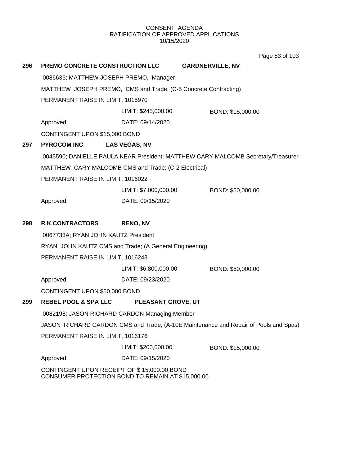Page 83 of 103

| 296 | <b>PREMO CONCRETE CONSTRUCTION LLC</b>                                                           |                           | <b>GARDNERVILLE, NV</b>                                                              |
|-----|--------------------------------------------------------------------------------------------------|---------------------------|--------------------------------------------------------------------------------------|
|     | 0086636; MATTHEW JOSEPH PREMO, Manager                                                           |                           |                                                                                      |
|     | MATTHEW JOSEPH PREMO, CMS and Trade; (C-5 Concrete Contracting)                                  |                           |                                                                                      |
|     | PERMANENT RAISE IN LIMIT, 1015970                                                                |                           |                                                                                      |
|     |                                                                                                  | LIMIT: \$245,000.00       | BOND: \$15,000.00                                                                    |
|     | Approved                                                                                         | DATE: 09/14/2020          |                                                                                      |
|     | CONTINGENT UPON \$15,000 BOND                                                                    |                           |                                                                                      |
| 297 | <b>PYROCOM INC</b>                                                                               | <b>LAS VEGAS, NV</b>      |                                                                                      |
|     |                                                                                                  |                           | 0045590; DANIELLE PAULA KEAR President; MATTHEW CARY MALCOMB Secretary/Treasurer     |
|     | MATTHEW CARY MALCOMB CMS and Trade; (C-2 Electrical)                                             |                           |                                                                                      |
|     | PERMANENT RAISE IN LIMIT, 1016022                                                                |                           |                                                                                      |
|     |                                                                                                  | LIMIT: \$7,000,000.00     | BOND: \$50,000.00                                                                    |
|     | Approved                                                                                         | DATE: 09/15/2020          |                                                                                      |
| 298 | <b>R K CONTRACTORS</b>                                                                           | <b>RENO, NV</b>           |                                                                                      |
|     | 0067733A; RYAN JOHN KAUTZ President                                                              |                           |                                                                                      |
|     | RYAN JOHN KAUTZ CMS and Trade; (A General Engineering)                                           |                           |                                                                                      |
|     | PERMANENT RAISE IN LIMIT, 1016243                                                                |                           |                                                                                      |
|     |                                                                                                  | LIMIT: \$6,800,000.00     | BOND: \$50,000.00                                                                    |
|     | Approved                                                                                         | DATE: 09/23/2020          |                                                                                      |
|     | CONTINGENT UPON \$50,000 BOND                                                                    |                           |                                                                                      |
| 299 | <b>REBEL POOL &amp; SPA LLC</b>                                                                  | <b>PLEASANT GROVE, UT</b> |                                                                                      |
|     | 0082198; JASON RICHARD CARDON Managing Member                                                    |                           |                                                                                      |
|     |                                                                                                  |                           | JASON RICHARD CARDON CMS and Trade; (A-10E Maintenance and Repair of Pools and Spas) |
|     | PERMANENT RAISE IN LIMIT, 1016176                                                                |                           |                                                                                      |
|     |                                                                                                  | LIMIT: \$200,000.00       | BOND: \$15,000.00                                                                    |
|     | Approved                                                                                         | DATE: 09/15/2020          |                                                                                      |
|     | CONTINGENT UPON RECEIPT OF \$15,000.00 BOND<br>CONSUMER PROTECTION BOND TO REMAIN AT \$15,000.00 |                           |                                                                                      |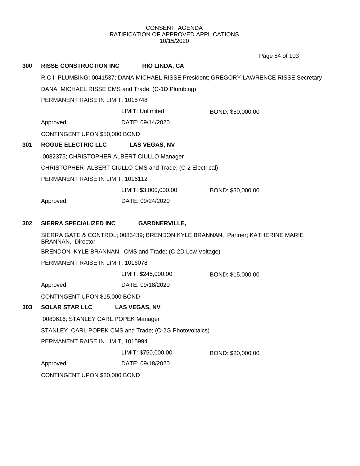Page 84 of 103

| 300 | <b>RISSE CONSTRUCTION INC</b>                     | <b>RIO LINDA, CA</b>                                      |                                                                                         |
|-----|---------------------------------------------------|-----------------------------------------------------------|-----------------------------------------------------------------------------------------|
|     |                                                   |                                                           | R C I PLUMBING; 0041537; DANA MICHAEL RISSE President; GREGORY LAWRENCE RISSE Secretary |
|     | DANA MICHAEL RISSE CMS and Trade; (C-1D Plumbing) |                                                           |                                                                                         |
|     | PERMANENT RAISE IN LIMIT, 1015748                 |                                                           |                                                                                         |
|     |                                                   | LIMIT: Unlimited                                          | BOND: \$50,000.00                                                                       |
|     | Approved                                          | DATE: 09/14/2020                                          |                                                                                         |
|     | CONTINGENT UPON \$50,000 BOND                     |                                                           |                                                                                         |
| 301 | <b>ROGUE ELECTRIC LLC</b>                         | <b>LAS VEGAS, NV</b>                                      |                                                                                         |
|     | 0082375; CHRISTOPHER ALBERT CIULLO Manager        |                                                           |                                                                                         |
|     |                                                   | CHRISTOPHER ALBERT CIULLO CMS and Trade; (C-2 Electrical) |                                                                                         |
|     | PERMANENT RAISE IN LIMIT, 1016112                 |                                                           |                                                                                         |
|     |                                                   | LIMIT: \$3,000,000.00                                     | BOND: \$30,000.00                                                                       |
|     | Approved                                          | DATE: 09/24/2020                                          |                                                                                         |
|     |                                                   |                                                           |                                                                                         |
| 302 | SIERRA SPECIALIZED INC                            | <b>GARDNERVILLE,</b>                                      |                                                                                         |
|     | BRANNAN, Director                                 |                                                           | SIERRA GATE & CONTROL; 0083439; BRENDON KYLE BRANNAN, Partner; KATHERINE MARIE          |
|     |                                                   | BRENDON KYLE BRANNAN, CMS and Trade; (C-2D Low Voltage)   |                                                                                         |
|     | PERMANENT RAISE IN LIMIT, 1016078                 |                                                           |                                                                                         |
|     |                                                   | LIMIT: \$245,000.00                                       | BOND: \$15,000.00                                                                       |
|     | Approved                                          | DATE: 09/18/2020                                          |                                                                                         |
|     | CONTINGENT UPON \$15,000 BOND                     |                                                           |                                                                                         |
| 303 | <b>SOLAR STAR LLC</b>                             | <b>LAS VEGAS, NV</b>                                      |                                                                                         |
|     | 0080616; STANLEY CARL POPEK Manager               |                                                           |                                                                                         |
|     |                                                   | STANLEY CARL POPEK CMS and Trade; (C-2G Photovoltaics)    |                                                                                         |
|     | PERMANENT RAISE IN LIMIT, 1015994                 |                                                           |                                                                                         |
|     |                                                   | LIMIT: \$750,000.00                                       | BOND: \$20,000.00                                                                       |
|     | Approved                                          | DATE: 09/18/2020                                          |                                                                                         |
|     | CONTINGENT UPON \$20,000 BOND                     |                                                           |                                                                                         |
|     |                                                   |                                                           |                                                                                         |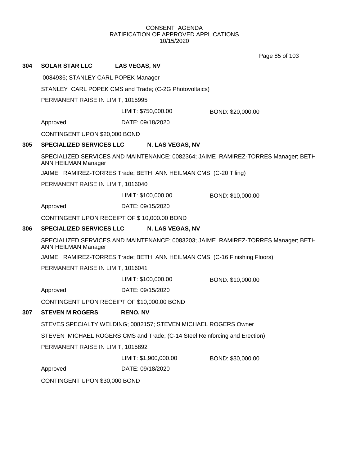Page 85 of 103

| 304                               | <b>SOLAR STAR LLC</b>                                                                                           | <b>LAS VEGAS, NV</b>                                                      |                   |  |  |
|-----------------------------------|-----------------------------------------------------------------------------------------------------------------|---------------------------------------------------------------------------|-------------------|--|--|
|                                   | 0084936; STANLEY CARL POPEK Manager                                                                             |                                                                           |                   |  |  |
|                                   | STANLEY CARL POPEK CMS and Trade; (C-2G Photovoltaics)                                                          |                                                                           |                   |  |  |
|                                   | PERMANENT RAISE IN LIMIT, 1015995                                                                               |                                                                           |                   |  |  |
|                                   |                                                                                                                 | LIMIT: \$750,000.00                                                       | BOND: \$20,000.00 |  |  |
|                                   | Approved                                                                                                        | DATE: 09/18/2020                                                          |                   |  |  |
|                                   | CONTINGENT UPON \$20,000 BOND                                                                                   |                                                                           |                   |  |  |
| 305                               | <b>SPECIALIZED SERVICES LLC</b>                                                                                 | N. LAS VEGAS, NV                                                          |                   |  |  |
|                                   | SPECIALIZED SERVICES AND MAINTENANCE; 0082364; JAIME RAMIREZ-TORRES Manager; BETH<br>ANN HEILMAN Manager        |                                                                           |                   |  |  |
|                                   |                                                                                                                 | JAIME RAMIREZ-TORRES Trade; BETH ANN HEILMAN CMS; (C-20 Tiling)           |                   |  |  |
|                                   |                                                                                                                 | PERMANENT RAISE IN LIMIT, 1016040                                         |                   |  |  |
|                                   |                                                                                                                 | LIMIT: \$100,000.00                                                       | BOND: \$10,000.00 |  |  |
|                                   | Approved                                                                                                        | DATE: 09/15/2020                                                          |                   |  |  |
|                                   |                                                                                                                 | CONTINGENT UPON RECEIPT OF \$10,000.00 BOND                               |                   |  |  |
| 306                               | <b>SPECIALIZED SERVICES LLC</b>                                                                                 | N. LAS VEGAS, NV                                                          |                   |  |  |
|                                   | SPECIALIZED SERVICES AND MAINTENANCE; 0083203; JAIME RAMIREZ-TORRES Manager; BETH<br><b>ANN HEILMAN Manager</b> |                                                                           |                   |  |  |
|                                   |                                                                                                                 | JAIME RAMIREZ-TORRES Trade; BETH ANN HEILMAN CMS; (C-16 Finishing Floors) |                   |  |  |
|                                   | PERMANENT RAISE IN LIMIT, 1016041                                                                               |                                                                           |                   |  |  |
|                                   |                                                                                                                 | LIMIT: \$100,000.00                                                       | BOND: \$10,000.00 |  |  |
|                                   | Approved                                                                                                        | DATE: 09/15/2020                                                          |                   |  |  |
|                                   |                                                                                                                 | CONTINGENT UPON RECEIPT OF \$10,000.00 BOND                               |                   |  |  |
| 307                               | <b>STEVEN M ROGERS</b>                                                                                          | <b>RENO, NV</b>                                                           |                   |  |  |
|                                   |                                                                                                                 | STEVES SPECIALTY WELDING; 0082157; STEVEN MICHAEL ROGERS Owner            |                   |  |  |
|                                   | STEVEN MICHAEL ROGERS CMS and Trade; (C-14 Steel Reinforcing and Erection)                                      |                                                                           |                   |  |  |
| PERMANENT RAISE IN LIMIT, 1015892 |                                                                                                                 |                                                                           |                   |  |  |
|                                   |                                                                                                                 | LIMIT: \$1,900,000.00                                                     | BOND: \$30,000.00 |  |  |
|                                   | Approved                                                                                                        | DATE: 09/18/2020                                                          |                   |  |  |
|                                   | CONTINGENT UPON \$30,000 BOND                                                                                   |                                                                           |                   |  |  |
|                                   |                                                                                                                 |                                                                           |                   |  |  |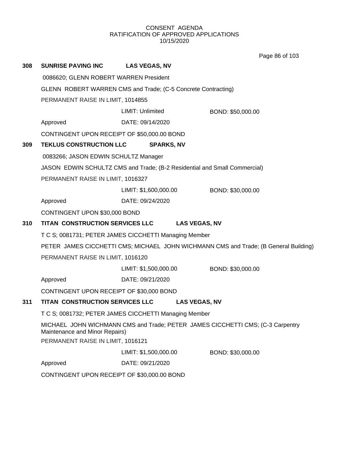Page 86 of 103

| 308 | <b>SUNRISE PAVING INC</b>                                                                                        | <b>LAS VEGAS, NV</b>                                                      |                                                                                      |  |
|-----|------------------------------------------------------------------------------------------------------------------|---------------------------------------------------------------------------|--------------------------------------------------------------------------------------|--|
|     | 0086620; GLENN ROBERT WARREN President                                                                           |                                                                           |                                                                                      |  |
|     | GLENN ROBERT WARREN CMS and Trade; (C-5 Concrete Contracting)                                                    |                                                                           |                                                                                      |  |
|     | PERMANENT RAISE IN LIMIT, 1014855                                                                                |                                                                           |                                                                                      |  |
|     |                                                                                                                  | LIMIT: Unlimited                                                          | BOND: \$50,000.00                                                                    |  |
|     | Approved                                                                                                         | DATE: 09/14/2020                                                          |                                                                                      |  |
|     |                                                                                                                  | CONTINGENT UPON RECEIPT OF \$50,000.00 BOND                               |                                                                                      |  |
| 309 | <b>TEKLUS CONSTRUCTION LLC</b>                                                                                   | <b>SPARKS, NV</b>                                                         |                                                                                      |  |
|     | 0083266; JASON EDWIN SCHULTZ Manager                                                                             |                                                                           |                                                                                      |  |
|     |                                                                                                                  | JASON EDWIN SCHULTZ CMS and Trade; (B-2 Residential and Small Commercial) |                                                                                      |  |
|     | PERMANENT RAISE IN LIMIT, 1016327                                                                                |                                                                           |                                                                                      |  |
|     |                                                                                                                  | LIMIT: \$1,600,000.00                                                     | BOND: \$30,000.00                                                                    |  |
|     | Approved                                                                                                         | DATE: 09/24/2020                                                          |                                                                                      |  |
|     | CONTINGENT UPON \$30,000 BOND                                                                                    |                                                                           |                                                                                      |  |
| 310 | TITAN CONSTRUCTION SERVICES LLC<br><b>LAS VEGAS, NV</b>                                                          |                                                                           |                                                                                      |  |
|     | T C S; 0081731; PETER JAMES CICCHETTI Managing Member                                                            |                                                                           |                                                                                      |  |
|     |                                                                                                                  |                                                                           | PETER JAMES CICCHETTI CMS; MICHAEL JOHN WICHMANN CMS and Trade; (B General Building) |  |
|     | PERMANENT RAISE IN LIMIT, 1016120                                                                                |                                                                           |                                                                                      |  |
|     |                                                                                                                  | LIMIT: \$1,500,000.00                                                     | BOND: \$30,000.00                                                                    |  |
|     | Approved                                                                                                         | DATE: 09/21/2020                                                          |                                                                                      |  |
|     | CONTINGENT UPON RECEIPT OF \$30,000 BOND                                                                         |                                                                           |                                                                                      |  |
| 311 | TITAN CONSTRUCTION SERVICES LLC                                                                                  |                                                                           | <b>LAS VEGAS, NV</b>                                                                 |  |
|     | T C S; 0081732; PETER JAMES CICCHETTI Managing Member                                                            |                                                                           |                                                                                      |  |
|     | MICHAEL JOHN WICHMANN CMS and Trade; PETER JAMES CICCHETTI CMS; (C-3 Carpentry<br>Maintenance and Minor Repairs) |                                                                           |                                                                                      |  |
|     | PERMANENT RAISE IN LIMIT, 1016121                                                                                |                                                                           |                                                                                      |  |
|     |                                                                                                                  | LIMIT: \$1,500,000.00                                                     | BOND: \$30,000.00                                                                    |  |
|     | Approved                                                                                                         | DATE: 09/21/2020                                                          |                                                                                      |  |
|     |                                                                                                                  | CONTINGENT UPON RECEIPT OF \$30,000.00 BOND                               |                                                                                      |  |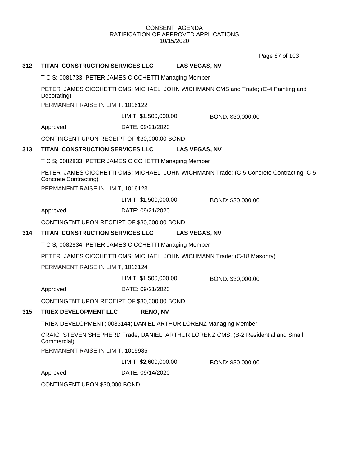Page 87 of 103

# **312 TITAN CONSTRUCTION SERVICES LLC LAS VEGAS, NV**

T C S; 0081733; PETER JAMES CICCHETTI Managing Member

PETER JAMES CICCHETTI CMS; MICHAEL JOHN WICHMANN CMS and Trade; (C-4 Painting and Decorating)

PERMANENT RAISE IN LIMIT, 1016122

LIMIT: \$1,500,000.00 BOND: \$30,000.00

Approved DATE: 09/21/2020

CONTINGENT UPON RECEIPT OF \$30,000.00 BOND

## **313 TITAN CONSTRUCTION SERVICES LLC LAS VEGAS, NV**

T C S; 0082833; PETER JAMES CICCHETTI Managing Member

PETER JAMES CICCHETTI CMS; MICHAEL JOHN WICHMANN Trade; (C-5 Concrete Contracting; C-5 Concrete Contracting)

PERMANENT RAISE IN LIMIT, 1016123

LIMIT: \$1,500,000.00 BOND: \$30,000.00

Approved DATE: 09/21/2020

CONTINGENT UPON RECEIPT OF \$30,000.00 BOND

# **314 TITAN CONSTRUCTION SERVICES LLC LAS VEGAS, NV**

T C S; 0082834; PETER JAMES CICCHETTI Managing Member

PETER JAMES CICCHETTI CMS; MICHAEL JOHN WICHMANN Trade; (C-18 Masonry)

PERMANENT RAISE IN LIMIT, 1016124

LIMIT: \$1,500,000.00 BOND: \$30,000.00

Approved DATE: 09/21/2020

CONTINGENT UPON RECEIPT OF \$30,000.00 BOND

# **315 TRIEX DEVELOPMENT LLC RENO, NV**

TRIEX DEVELOPMENT; 0083144; DANIEL ARTHUR LORENZ Managing Member

CRAIG STEVEN SHEPHERD Trade; DANIEL ARTHUR LORENZ CMS; (B-2 Residential and Small Commercial)

PERMANENT RAISE IN LIMIT, 1015985

LIMIT: \$2,600,000.00 BOND: \$30,000.00

Approved DATE: 09/14/2020

CONTINGENT UPON \$30,000 BOND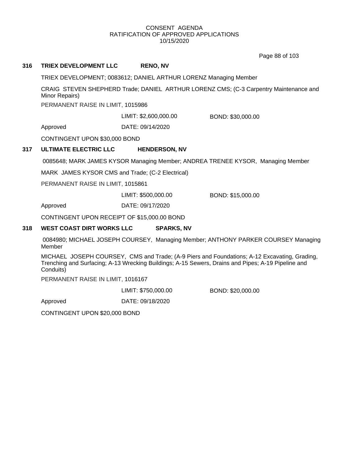Page 88 of 103

# **316 TRIEX DEVELOPMENT LLC RENO, NV**

TRIEX DEVELOPMENT; 0083612; DANIEL ARTHUR LORENZ Managing Member

CRAIG STEVEN SHEPHERD Trade; DANIEL ARTHUR LORENZ CMS; (C-3 Carpentry Maintenance and Minor Repairs)

PERMANENT RAISE IN LIMIT, 1015986

LIMIT: \$2,600,000.00 BOND: \$30,000.00

Approved DATE: 09/14/2020

CONTINGENT UPON \$30,000 BOND

# **317 ULTIMATE ELECTRIC LLC HENDERSON, NV**

0085648; MARK JAMES KYSOR Managing Member; ANDREA TRENEE KYSOR, Managing Member

MARK JAMES KYSOR CMS and Trade; (C-2 Electrical)

PERMANENT RAISE IN LIMIT, 1015861

LIMIT: \$500,000.00 BOND: \$15,000.00

Approved DATE: 09/17/2020

CONTINGENT UPON RECEIPT OF \$15,000.00 BOND

#### **318 WEST COAST DIRT WORKS LLC SPARKS, NV**

0084980; MICHAEL JOSEPH COURSEY, Managing Member; ANTHONY PARKER COURSEY Managing Member

MICHAEL JOSEPH COURSEY, CMS and Trade; (A-9 Piers and Foundations; A-12 Excavating, Grading, Trenching and Surfacing; A-13 Wrecking Buildings; A-15 Sewers, Drains and Pipes; A-19 Pipeline and Conduits)

PERMANENT RAISE IN LIMIT, 1016167

LIMIT: \$750,000.00 BOND: \$20,000.00

Approved DATE: 09/18/2020

CONTINGENT UPON \$20,000 BOND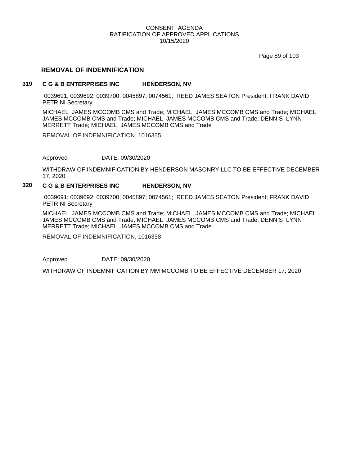Page 89 of 103

## **REMOVAL OF INDEMNIFICATION**

#### **319 C G & B ENTERPRISES INC HENDERSON, NV**

0039691; 0039692; 0039700; 0045897; 0074561; REED JAMES SEATON President; FRANK DAVID PETRINI Secretary

MICHAEL JAMES MCCOMB CMS and Trade; MICHAEL JAMES MCCOMB CMS and Trade; MICHAEL JAMES MCCOMB CMS and Trade; MICHAEL JAMES MCCOMB CMS and Trade; DENNIS LYNN MERRETT Trade; MICHAEL JAMES MCCOMB CMS and Trade

REMOVAL OF INDEMNIFICATION, 1016355

Approved DATE: 09/30/2020

WITHDRAW OF INDEMNIFICATION BY HENDERSON MASONRY LLC TO BE EFFECTIVE DECEMBER 17, 2020

## **320 C G & B ENTERPRISES INC HENDERSON, NV**

0039691; 0039692; 0039700; 0045897; 0074561; REED JAMES SEATON President; FRANK DAVID PETRINI Secretary

MICHAEL JAMES MCCOMB CMS and Trade; MICHAEL JAMES MCCOMB CMS and Trade; MICHAEL JAMES MCCOMB CMS and Trade; MICHAEL JAMES MCCOMB CMS and Trade; DENNIS LYNN MERRETT Trade; MICHAEL JAMES MCCOMB CMS and Trade

REMOVAL OF INDEMNIFICATION, 1016358

Approved DATE: 09/30/2020

WITHDRAW OF INDEMNIFICATION BY MM MCCOMB TO BE EFFECTIVE DECEMBER 17, 2020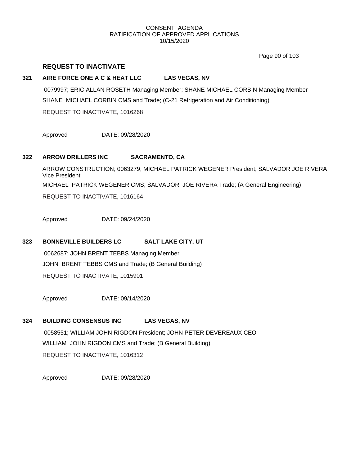Page 90 of 103

# **REQUEST TO INACTIVATE**

# **321 AIRE FORCE ONE A C & HEAT LLC LAS VEGAS, NV**

0079997; ERIC ALLAN ROSETH Managing Member; SHANE MICHAEL CORBIN Managing Member SHANE MICHAEL CORBIN CMS and Trade; (C-21 Refrigeration and Air Conditioning) REQUEST TO INACTIVATE, 1016268

Approved DATE: 09/28/2020

# **322 ARROW DRILLERS INC SACRAMENTO, CA**

ARROW CONSTRUCTION; 0063279; MICHAEL PATRICK WEGENER President; SALVADOR JOE RIVERA Vice President MICHAEL PATRICK WEGENER CMS; SALVADOR JOE RIVERA Trade; (A General Engineering) REQUEST TO INACTIVATE, 1016164

Approved DATE: 09/24/2020

# **323 BONNEVILLE BUILDERS LC SALT LAKE CITY, UT**

0062687; JOHN BRENT TEBBS Managing Member JOHN BRENT TEBBS CMS and Trade; (B General Building) REQUEST TO INACTIVATE, 1015901

Approved DATE: 09/14/2020

# **324 BUILDING CONSENSUS INC LAS VEGAS, NV**

0058551; WILLIAM JOHN RIGDON President; JOHN PETER DEVEREAUX CEO WILLIAM JOHN RIGDON CMS and Trade; (B General Building) REQUEST TO INACTIVATE, 1016312

Approved DATE: 09/28/2020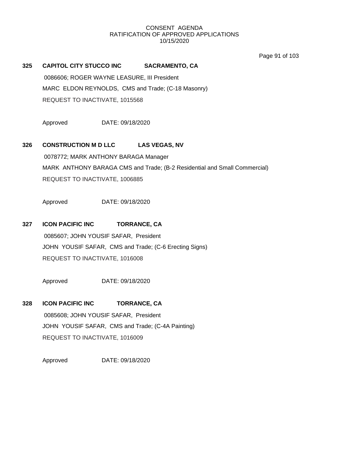Page 91 of 103

**325 CAPITOL CITY STUCCO INC SACRAMENTO, CA** 0086606; ROGER WAYNE LEASURE, III President MARC ELDON REYNOLDS, CMS and Trade; (C-18 Masonry) REQUEST TO INACTIVATE, 1015568

Approved DATE: 09/18/2020

# **326 CONSTRUCTION M D LLC LAS VEGAS, NV**

0078772; MARK ANTHONY BARAGA Manager MARK ANTHONY BARAGA CMS and Trade; (B-2 Residential and Small Commercial) REQUEST TO INACTIVATE, 1006885

Approved DATE: 09/18/2020

# **327 ICON PACIFIC INC TORRANCE, CA**

0085607; JOHN YOUSIF SAFAR, President JOHN YOUSIF SAFAR, CMS and Trade; (C-6 Erecting Signs) REQUEST TO INACTIVATE, 1016008

Approved DATE: 09/18/2020

**328 ICON PACIFIC INC TORRANCE, CA** 0085608; JOHN YOUSIF SAFAR, President JOHN YOUSIF SAFAR, CMS and Trade; (C-4A Painting) REQUEST TO INACTIVATE, 1016009

Approved DATE: 09/18/2020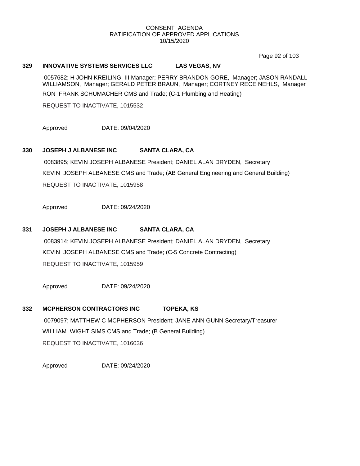Page 92 of 103

#### **329 INNOVATIVE SYSTEMS SERVICES LLC LAS VEGAS, NV**

0057682; H JOHN KREILING, III Manager; PERRY BRANDON GORE, Manager; JASON RANDALL WILLIAMSON, Manager; GERALD PETER BRAUN, Manager; CORTNEY RECE NEHLS, Manager RON FRANK SCHUMACHER CMS and Trade; (C-1 Plumbing and Heating)

REQUEST TO INACTIVATE, 1015532

Approved DATE: 09/04/2020

# **330 JOSEPH J ALBANESE INC SANTA CLARA, CA**

0083895; KEVIN JOSEPH ALBANESE President; DANIEL ALAN DRYDEN, Secretary KEVIN JOSEPH ALBANESE CMS and Trade; (AB General Engineering and General Building) REQUEST TO INACTIVATE, 1015958

Approved DATE: 09/24/2020

# **331 JOSEPH J ALBANESE INC SANTA CLARA, CA**

0083914; KEVIN JOSEPH ALBANESE President; DANIEL ALAN DRYDEN, Secretary KEVIN JOSEPH ALBANESE CMS and Trade; (C-5 Concrete Contracting) REQUEST TO INACTIVATE, 1015959

Approved DATE: 09/24/2020

# **332 MCPHERSON CONTRACTORS INC TOPEKA, KS** 0079097; MATTHEW C MCPHERSON President; JANE ANN GUNN Secretary/Treasurer WILLIAM WIGHT SIMS CMS and Trade; (B General Building) REQUEST TO INACTIVATE, 1016036

Approved DATE: 09/24/2020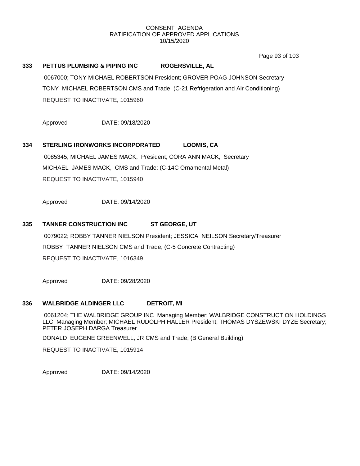Page 93 of 103

# **333 PETTUS PLUMBING & PIPING INC ROGERSVILLE, AL**

0067000; TONY MICHAEL ROBERTSON President; GROVER POAG JOHNSON Secretary TONY MICHAEL ROBERTSON CMS and Trade; (C-21 Refrigeration and Air Conditioning) REQUEST TO INACTIVATE, 1015960

Approved DATE: 09/18/2020

# **334 STERLING IRONWORKS INCORPORATED LOOMIS, CA** 0085345; MICHAEL JAMES MACK, President; CORA ANN MACK, Secretary MICHAEL JAMES MACK, CMS and Trade; (C-14C Ornamental Metal)

REQUEST TO INACTIVATE, 1015940

Approved DATE: 09/14/2020

## **335 TANNER CONSTRUCTION INC ST GEORGE, UT**

0079022; ROBBY TANNER NIELSON President; JESSICA NEILSON Secretary/Treasurer ROBBY TANNER NIELSON CMS and Trade; (C-5 Concrete Contracting) REQUEST TO INACTIVATE, 1016349

Approved DATE: 09/28/2020

#### **336 WALBRIDGE ALDINGER LLC DETROIT, MI**

0061204; THE WALBRIDGE GROUP INC Managing Member; WALBRIDGE CONSTRUCTION HOLDINGS LLC Managing Member; MICHAEL RUDOLPH HALLER President; THOMAS DYSZEWSKI DYZE Secretary; PETER JOSEPH DARGA Treasurer

DONALD EUGENE GREENWELL, JR CMS and Trade; (B General Building)

REQUEST TO INACTIVATE, 1015914

Approved DATE: 09/14/2020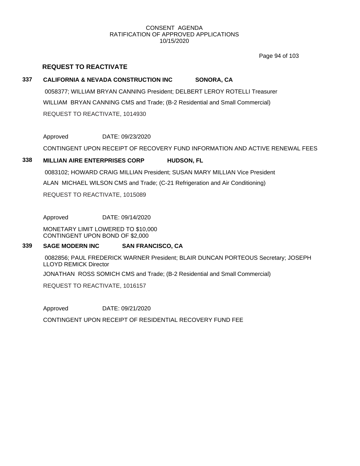Page 94 of 103

# **REQUEST TO REACTIVATE**

# **337 CALIFORNIA & NEVADA CONSTRUCTION INC SONORA, CA**

0058377; WILLIAM BRYAN CANNING President; DELBERT LEROY ROTELLI Treasurer WILLIAM BRYAN CANNING CMS and Trade; (B-2 Residential and Small Commercial) REQUEST TO REACTIVATE, 1014930

# Approved DATE: 09/23/2020

CONTINGENT UPON RECEIPT OF RECOVERY FUND INFORMATION AND ACTIVE RENEWAL FEES

# **338 MILLIAN AIRE ENTERPRISES CORP HUDSON, FL**

0083102; HOWARD CRAIG MILLIAN President; SUSAN MARY MILLIAN Vice President

ALAN MICHAEL WILSON CMS and Trade; (C-21 Refrigeration and Air Conditioning)

REQUEST TO REACTIVATE, 1015089

Approved DATE: 09/14/2020

MONETARY LIMIT LOWERED TO \$10,000 CONTINGENT UPON BOND OF \$2,000

# **339 SAGE MODERN INC SAN FRANCISCO, CA**

0082856; PAUL FREDERICK WARNER President; BLAIR DUNCAN PORTEOUS Secretary; JOSEPH LLOYD REMICK Director JONATHAN ROSS SOMICH CMS and Trade; (B-2 Residential and Small Commercial)

REQUEST TO REACTIVATE, 1016157

Approved DATE: 09/21/2020

CONTINGENT UPON RECEIPT OF RESIDENTIAL RECOVERY FUND FEE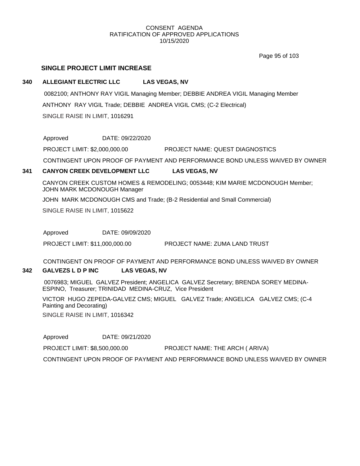Page 95 of 103

# **SINGLE PROJECT LIMIT INCREASE**

## **340 ALLEGIANT ELECTRIC LLC LAS VEGAS, NV**

0082100; ANTHONY RAY VIGIL Managing Member; DEBBIE ANDREA VIGIL Managing Member ANTHONY RAY VIGIL Trade; DEBBIE ANDREA VIGIL CMS; (C-2 Electrical) SINGLE RAISE IN LIMIT, 1016291

Approved DATE: 09/22/2020

PROJECT LIMIT: \$2,000,000.00 PROJECT NAME: QUEST DIAGNOSTICS

CONTINGENT UPON PROOF OF PAYMENT AND PERFORMANCE BOND UNLESS WAIVED BY OWNER

# **341 CANYON CREEK DEVELOPMENT LLC LAS VEGAS, NV**

CANYON CREEK CUSTOM HOMES & REMODELING; 0053448; KIM MARIE MCDONOUGH Member; JOHN MARK MCDONOUGH Manager

JOHN MARK MCDONOUGH CMS and Trade; (B-2 Residential and Small Commercial)

SINGLE RAISE IN LIMIT, 1015622

Approved DATE: 09/09/2020

PROJECT LIMIT: \$11,000,000.00 PROJECT NAME: ZUMA LAND TRUST

CONTINGENT ON PROOF OF PAYMENT AND PERFORMANCE BOND UNLESS WAIVED BY OWNER

# **342 GALVEZS L D P INC LAS VEGAS, NV**

0076983; MIGUEL GALVEZ President; ANGELICA GALVEZ Secretary; BRENDA SOREY MEDINA-ESPINO, Treasurer; TRINIDAD MEDINA-CRUZ, Vice President

VICTOR HUGO ZEPEDA-GALVEZ CMS; MIGUEL GALVEZ Trade; ANGELICA GALVEZ CMS; (C-4 Painting and Decorating)

SINGLE RAISE IN LIMIT, 1016342

Approved DATE: 09/21/2020

PROJECT LIMIT: \$8,500,000.00 PROJECT NAME: THE ARCH ( ARIVA)

CONTINGENT UPON PROOF OF PAYMENT AND PERFORMANCE BOND UNLESS WAIVED BY OWNER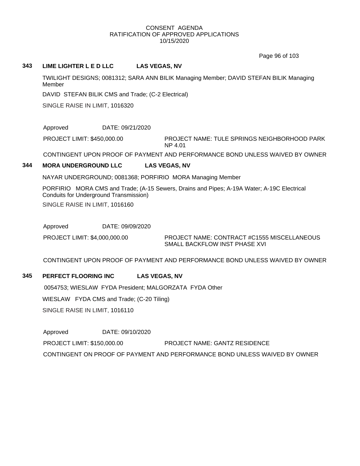Page 96 of 103

#### **343 LIME LIGHTER L E D LLC LAS VEGAS, NV**

TWILIGHT DESIGNS; 0081312; SARA ANN BILIK Managing Member; DAVID STEFAN BILIK Managing Member

DAVID STEFAN BILIK CMS and Trade; (C-2 Electrical)

SINGLE RAISE IN LIMIT, 1016320

Approved DATE: 09/21/2020

PROJECT LIMIT: \$450,000.00

PROJECT NAME: TULE SPRINGS NEIGHBORHOOD PARK NP 4.01

CONTINGENT UPON PROOF OF PAYMENT AND PERFORMANCE BOND UNLESS WAIVED BY OWNER

# **344 MORA UNDERGROUND LLC LAS VEGAS, NV**

NAYAR UNDERGROUND; 0081368; PORFIRIO MORA Managing Member

PORFIRIO MORA CMS and Trade; (A-15 Sewers, Drains and Pipes; A-19A Water; A-19C Electrical Conduits for Underground Transmission) SINGLE RAISE IN LIMIT, 1016160

Approved DATE: 09/09/2020

PROJECT LIMIT: \$4,000,000.00

PROJECT NAME: CONTRACT #C1555 MISCELLANEOUS SMALL BACKFLOW INST PHASE XVI

CONTINGENT UPON PROOF OF PAYMENT AND PERFORMANCE BOND UNLESS WAIVED BY OWNER

# **345 PERFECT FLOORING INC LAS VEGAS, NV**

0054753; WIESLAW FYDA President; MALGORZATA FYDA Other WIESLAW FYDA CMS and Trade; (C-20 Tiling) SINGLE RAISE IN LIMIT, 1016110

Approved DATE: 09/10/2020 PROJECT LIMIT: \$150,000.00 PROJECT NAME: GANTZ RESIDENCE CONTINGENT ON PROOF OF PAYMENT AND PERFORMANCE BOND UNLESS WAIVED BY OWNER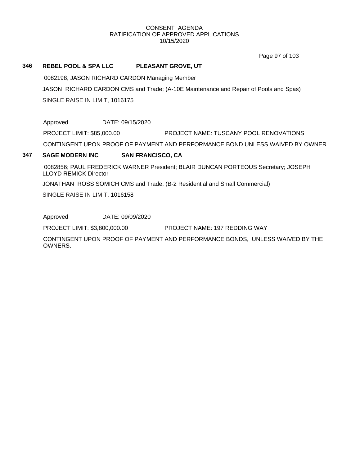Page 97 of 103

## **346 REBEL POOL & SPA LLC PLEASANT GROVE, UT**

0082198; JASON RICHARD CARDON Managing Member

JASON RICHARD CARDON CMS and Trade; (A-10E Maintenance and Repair of Pools and Spas) SINGLE RAISE IN LIMIT, 1016175

Approved DATE: 09/15/2020

PROJECT LIMIT: \$85,000.00 PROJECT NAME: TUSCANY POOL RENOVATIONS

CONTINGENT UPON PROOF OF PAYMENT AND PERFORMANCE BOND UNLESS WAIVED BY OWNER

# **347 SAGE MODERN INC SAN FRANCISCO, CA**

0082856; PAUL FREDERICK WARNER President; BLAIR DUNCAN PORTEOUS Secretary; JOSEPH LLOYD REMICK Director

JONATHAN ROSS SOMICH CMS and Trade; (B-2 Residential and Small Commercial)

SINGLE RAISE IN LIMIT, 1016158

Approved DATE: 09/09/2020

PROJECT LIMIT: \$3,800,000.00 PROJECT NAME: 197 REDDING WAY

CONTINGENT UPON PROOF OF PAYMENT AND PERFORMANCE BONDS, UNLESS WAIVED BY THE OWNERS.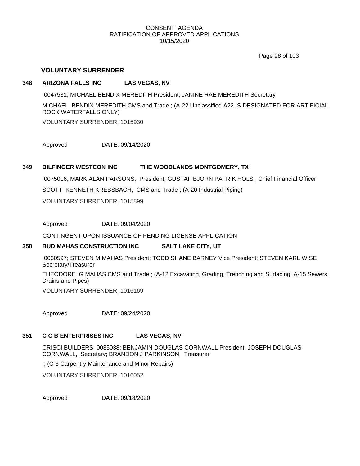Page 98 of 103

# **VOLUNTARY SURRENDER**

## **348 ARIZONA FALLS INC LAS VEGAS, NV**

0047531; MICHAEL BENDIX MEREDITH President; JANINE RAE MEREDITH Secretary

MICHAEL BENDIX MEREDITH CMS and Trade ; (A-22 Unclassified A22 IS DESIGNATED FOR ARTIFICIAL ROCK WATERFALLS ONLY)

VOLUNTARY SURRENDER, 1015930

Approved DATE: 09/14/2020

# **349 BILFINGER WESTCON INC THE WOODLANDS MONTGOMERY, TX**

0075016; MARK ALAN PARSONS, President; GUSTAF BJORN PATRIK HOLS, Chief Financial Officer SCOTT KENNETH KREBSBACH, CMS and Trade ; (A-20 Industrial Piping)

VOLUNTARY SURRENDER, 1015899

Approved DATE: 09/04/2020

CONTINGENT UPON ISSUANCE OF PENDING LICENSE APPLICATION

# **350 BUD MAHAS CONSTRUCTION INC SALT LAKE CITY, UT**

0030597; STEVEN M MAHAS President; TODD SHANE BARNEY Vice President; STEVEN KARL WISE Secretary/Treasurer

THEODORE G MAHAS CMS and Trade ; (A-12 Excavating, Grading, Trenching and Surfacing; A-15 Sewers, Drains and Pipes)

VOLUNTARY SURRENDER, 1016169

Approved DATE: 09/24/2020

#### **351 C C B ENTERPRISES INC LAS VEGAS, NV**

CRISCI BUILDERS; 0035038; BENJAMIN DOUGLAS CORNWALL President; JOSEPH DOUGLAS CORNWALL, Secretary; BRANDON J PARKINSON, Treasurer

; (C-3 Carpentry Maintenance and Minor Repairs)

VOLUNTARY SURRENDER, 1016052

Approved DATE: 09/18/2020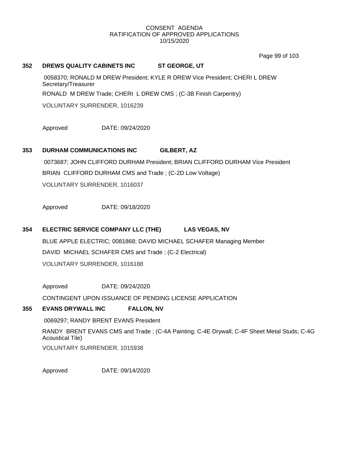Page 99 of 103

#### **352 DREWS QUALITY CABINETS INC ST GEORGE, UT**

0058370; RONALD M DREW President; KYLE R DREW Vice President; CHERI L DREW Secretary/Treasurer RONALD M DREW Trade; CHERI L DREW CMS ; (C-3B Finish Carpentry)

VOLUNTARY SURRENDER, 1016239

Approved DATE: 09/24/2020

# **353 DURHAM COMMUNICATIONS INC GILBERT, AZ**

0073687; JOHN CLIFFORD DURHAM President; BRIAN CLIFFORD DURHAM Vice President BRIAN CLIFFORD DURHAM CMS and Trade ; (C-2D Low Voltage) VOLUNTARY SURRENDER, 1016037

Approved DATE: 09/18/2020

# **354 ELECTRIC SERVICE COMPANY LLC (THE) LAS VEGAS, NV**

BLUE APPLE ELECTRIC; 0081868; DAVID MICHAEL SCHAFER Managing Member DAVID MICHAEL SCHAFER CMS and Trade ; (C-2 Electrical) VOLUNTARY SURRENDER, 1016188

Approved DATE: 09/24/2020

CONTINGENT UPON ISSUANCE OF PENDING LICENSE APPLICATION

# **355 EVANS DRYWALL INC FALLON, NV**

0069297; RANDY BRENT EVANS President

RANDY BRENT EVANS CMS and Trade ; (C-4A Painting; C-4E Drywall; C-4F Sheet Metal Studs; C-4G Acoustical Tile)

VOLUNTARY SURRENDER, 1015938

Approved DATE: 09/14/2020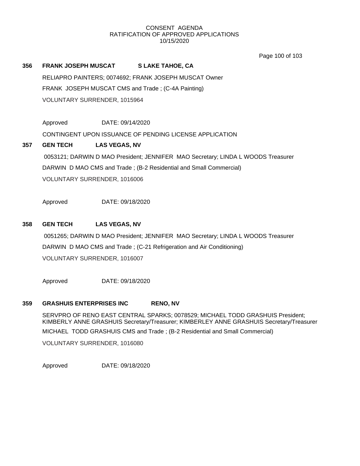Page 100 of 103

# **356 FRANK JOSEPH MUSCAT S LAKE TAHOE, CA**

RELIAPRO PAINTERS; 0074692; FRANK JOSEPH MUSCAT Owner FRANK JOSEPH MUSCAT CMS and Trade ; (C-4A Painting) VOLUNTARY SURRENDER, 1015964

Approved DATE: 09/14/2020

CONTINGENT UPON ISSUANCE OF PENDING LICENSE APPLICATION

**357 GEN TECH LAS VEGAS, NV** 0053121; DARWIN D MAO President; JENNIFER MAO Secretary; LINDA L WOODS Treasurer DARWIN D MAO CMS and Trade ; (B-2 Residential and Small Commercial) VOLUNTARY SURRENDER, 1016006

Approved DATE: 09/18/2020

## **358 GEN TECH LAS VEGAS, NV**

0051265; DARWIN D MAO President; JENNIFER MAO Secretary; LINDA L WOODS Treasurer DARWIN D MAO CMS and Trade ; (C-21 Refrigeration and Air Conditioning) VOLUNTARY SURRENDER, 1016007

Approved DATE: 09/18/2020

#### **359 GRASHUIS ENTERPRISES INC RENO, NV**

SERVPRO OF RENO EAST CENTRAL SPARKS; 0078529; MICHAEL TODD GRASHUIS President; KIMBERLY ANNE GRASHUIS Secretary/Treasurer; KIMBERLEY ANNE GRASHUIS Secretary/Treasurer MICHAEL TODD GRASHUIS CMS and Trade ; (B-2 Residential and Small Commercial) VOLUNTARY SURRENDER, 1016080

Approved DATE: 09/18/2020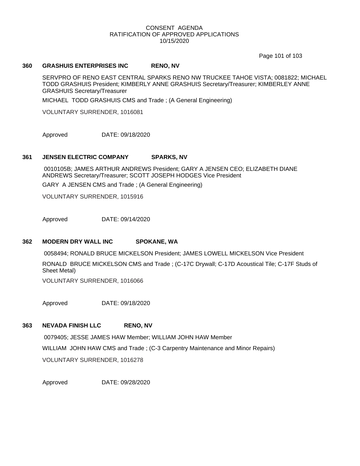Page 101 of 103

#### **360 GRASHUIS ENTERPRISES INC RENO, NV**

SERVPRO OF RENO EAST CENTRAL SPARKS RENO NW TRUCKEE TAHOE VISTA; 0081822; MICHAEL TODD GRASHUIS President; KIMBERLY ANNE GRASHUIS Secretary/Treasurer; KIMBERLEY ANNE GRASHUIS Secretary/Treasurer

MICHAEL TODD GRASHUIS CMS and Trade ; (A General Engineering)

VOLUNTARY SURRENDER, 1016081

Approved DATE: 09/18/2020

#### **361 JENSEN ELECTRIC COMPANY SPARKS, NV**

0010105B; JAMES ARTHUR ANDREWS President; GARY A JENSEN CEO; ELIZABETH DIANE ANDREWS Secretary/Treasurer; SCOTT JOSEPH HODGES Vice President

GARY A JENSEN CMS and Trade ; (A General Engineering)

VOLUNTARY SURRENDER, 1015916

Approved DATE: 09/14/2020

#### **362 MODERN DRY WALL INC SPOKANE, WA**

0058494; RONALD BRUCE MICKELSON President; JAMES LOWELL MICKELSON Vice President RONALD BRUCE MICKELSON CMS and Trade ; (C-17C Drywall; C-17D Acoustical Tile; C-17F Studs of Sheet Metal)

VOLUNTARY SURRENDER, 1016066

Approved DATE: 09/18/2020

#### **363 NEVADA FINISH LLC RENO, NV**

0079405; JESSE JAMES HAW Member; WILLIAM JOHN HAW Member WILLIAM JOHN HAW CMS and Trade ; (C-3 Carpentry Maintenance and Minor Repairs) VOLUNTARY SURRENDER, 1016278

Approved DATE: 09/28/2020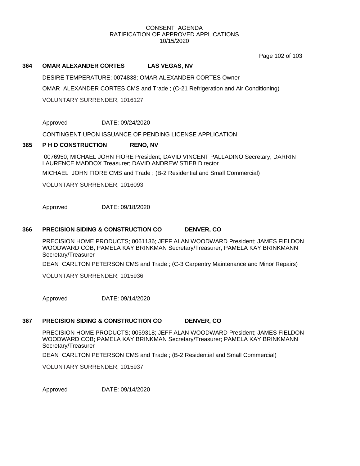Page 102 of 103

#### **364 OMAR ALEXANDER CORTES LAS VEGAS, NV**

DESIRE TEMPERATURE; 0074838; OMAR ALEXANDER CORTES Owner

OMAR ALEXANDER CORTES CMS and Trade ; (C-21 Refrigeration and Air Conditioning)

VOLUNTARY SURRENDER, 1016127

Approved DATE: 09/24/2020

CONTINGENT UPON ISSUANCE OF PENDING LICENSE APPLICATION

#### **365 P H D CONSTRUCTION RENO, NV**

0076950; MICHAEL JOHN FIORE President; DAVID VINCENT PALLADINO Secretary; DARRIN LAURENCE MADDOX Treasurer; DAVID ANDREW STIEB Director

MICHAEL JOHN FIORE CMS and Trade ; (B-2 Residential and Small Commercial)

VOLUNTARY SURRENDER, 1016093

Approved DATE: 09/18/2020

# **366 PRECISION SIDING & CONSTRUCTION CO DENVER, CO**

PRECISION HOME PRODUCTS; 0061136; JEFF ALAN WOODWARD President; JAMES FIELDON WOODWARD COB; PAMELA KAY BRINKMAN Secretary/Treasurer; PAMELA KAY BRINKMANN Secretary/Treasurer

DEAN CARLTON PETERSON CMS and Trade ; (C-3 Carpentry Maintenance and Minor Repairs)

VOLUNTARY SURRENDER, 1015936

Approved DATE: 09/14/2020

#### **367 PRECISION SIDING & CONSTRUCTION CO DENVER, CO**

PRECISION HOME PRODUCTS; 0059318; JEFF ALAN WOODWARD President; JAMES FIELDON WOODWARD COB; PAMELA KAY BRINKMAN Secretary/Treasurer; PAMELA KAY BRINKMANN Secretary/Treasurer

DEAN CARLTON PETERSON CMS and Trade ; (B-2 Residential and Small Commercial)

VOLUNTARY SURRENDER, 1015937

Approved DATE: 09/14/2020